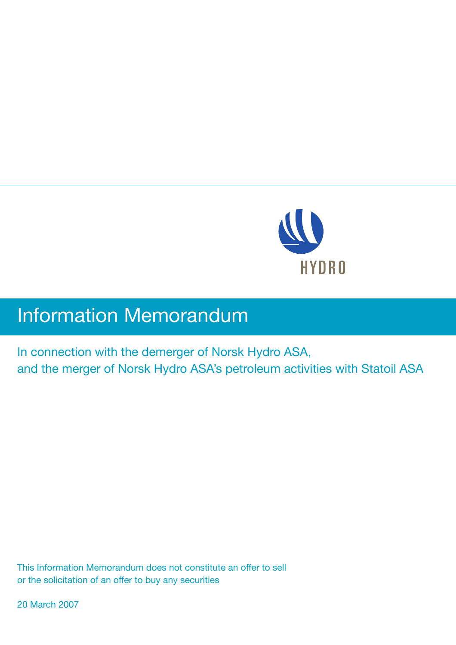

# **Information Memorandum**

In connection with the demerger of Norsk Hydro ASA, and the merger of Norsk Hydro ASA's petroleum activities with Statoil ASA

This Information Memorandum does not constitute an offer to sell or the solicitation of an offer to buy any securities

20 March 2007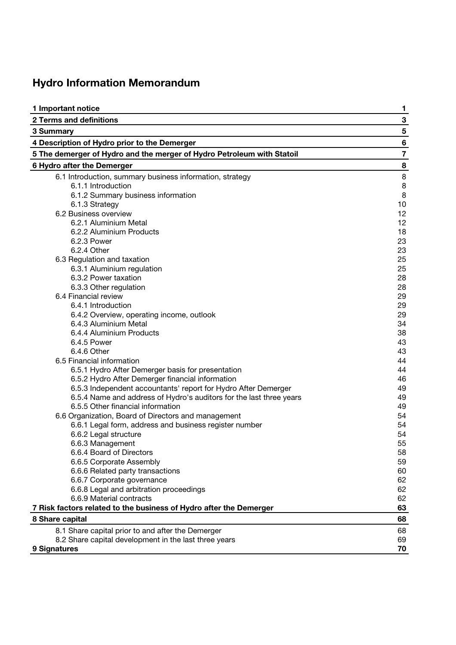## **Hydro Information Memorandum**

| 1 Important notice                                                     | 1              |
|------------------------------------------------------------------------|----------------|
| <b>2 Terms and definitions</b>                                         | 3              |
| 3 Summary                                                              | $\sqrt{5}$     |
| 4 Description of Hydro prior to the Demerger                           | $\bf 6$        |
| 5 The demerger of Hydro and the merger of Hydro Petroleum with Statoil | $\overline{7}$ |
| 6 Hydro after the Demerger                                             | 8              |
| 6.1 Introduction, summary business information, strategy               | $\bf 8$        |
| 6.1.1 Introduction                                                     | 8              |
| 6.1.2 Summary business information                                     | $\, 8$         |
| 6.1.3 Strategy                                                         | 10             |
| 6.2 Business overview                                                  | 12             |
| 6.2.1 Aluminium Metal                                                  | 12             |
| 6.2.2 Aluminium Products                                               | 18             |
| 6.2.3 Power                                                            | 23             |
| 6.2.4 Other                                                            | 23             |
| 6.3 Regulation and taxation                                            | 25             |
| 6.3.1 Aluminium regulation                                             | 25             |
| 6.3.2 Power taxation                                                   | 28             |
| 6.3.3 Other regulation                                                 | 28             |
| 6.4 Financial review                                                   | 29             |
| 6.4.1 Introduction                                                     | 29             |
| 6.4.2 Overview, operating income, outlook                              | 29             |
| 6.4.3 Aluminium Metal                                                  | 34             |
| 6.4.4 Aluminium Products                                               | 38             |
| 6.4.5 Power                                                            | 43             |
| 6.4.6 Other                                                            | 43             |
| 6.5 Financial information                                              | 44             |
| 6.5.1 Hydro After Demerger basis for presentation                      | 44             |
| 6.5.2 Hydro After Demerger financial information                       | 46             |
| 6.5.3 Independent accountants' report for Hydro After Demerger         | 49             |
| 6.5.4 Name and address of Hydro's auditors for the last three years    | 49             |
| 6.5.5 Other financial information                                      | 49             |
| 6.6 Organization, Board of Directors and management                    | 54             |
| 6.6.1 Legal form, address and business register number                 | 54             |
| 6.6.2 Legal structure                                                  | 54             |
| 6.6.3 Management                                                       | 55             |
| 6.6.4 Board of Directors                                               | 58             |
| 6.6.5 Corporate Assembly                                               | 59             |
| 6.6.6 Related party transactions                                       | 60             |
| 6.6.7 Corporate governance                                             | 62             |
| 6.6.8 Legal and arbitration proceedings                                | 62             |
| 6.6.9 Material contracts                                               | 62             |
| 7 Risk factors related to the business of Hydro after the Demerger     | 63             |
| 8 Share capital                                                        | 68             |
| 8.1 Share capital prior to and after the Demerger                      | 68<br>69       |
| 8.2 Share capital development in the last three years<br>9 Signatures  | 70             |
|                                                                        |                |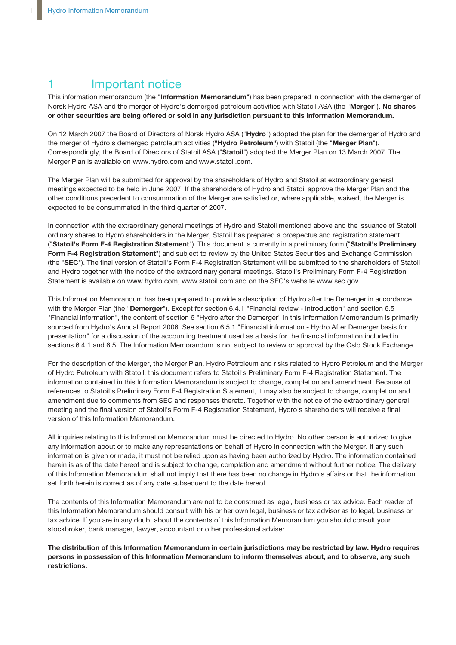## 1 **Important notice**

This information memorandum (the "**Information Memorandum**") has been prepared in connection with the demerger of Norsk Hydro ASA and the merger of Hydro's demerged petroleum activities with Statoil ASA (the "**Merger**"). **No shares or other securities are being offered or sold in any jurisdiction pursuant to this Information Memorandum.**

On 12 March 2007 the Board of Directors of Norsk Hydro ASA ("**Hydro**") adopted the plan for the demerger of Hydro and the merger of Hydro's demerged petroleum activities (**"Hydro Petroleum"**) with Statoil (the "**Merger Plan**"). Correspondingly, the Board of Directors of Statoil ASA ("**Statoil**") adopted the Merger Plan on 13 March 2007. The Merger Plan is available on www.hydro.com and www.statoil.com.

The Merger Plan will be submitted for approval by the shareholders of Hydro and Statoil at extraordinary general meetings expected to be held in June 2007. If the shareholders of Hydro and Statoil approve the Merger Plan and the other conditions precedent to consummation of the Merger are satisfied or, where applicable, waived, the Merger is expected to be consummated in the third quarter of 2007.

In connection with the extraordinary general meetings of Hydro and Statoil mentioned above and the issuance of Statoil ordinary shares to Hydro shareholders in the Merger, Statoil has prepared a prospectus and registration statement ("**Statoil's Form F-4 Registration Statement**"). This document is currently in a preliminary form ("**Statoil's Preliminary Form F-4 Registration Statement**") and subject to review by the United States Securities and Exchange Commission (the "**SEC**"). The final version of Statoil's Form F-4 Registration Statement will be submitted to the shareholders of Statoil and Hydro together with the notice of the extraordinary general meetings. Statoil's Preliminary Form F-4 Registration Statement is available on www.hydro.com, www.statoil.com and on the SEC's website www.sec.gov.

This Information Memorandum has been prepared to provide a description of Hydro after the Demerger in accordance with the Merger Plan (the "**Demerger**"). Except for section 6.4.1 "Financial review - Introduction" and section 6.5 "Financial information", the content of section 6 "Hydro after the Demerger" in this Information Memorandum is primarily sourced from Hydro's Annual Report 2006. See section 6.5.1 "Financial information - Hydro After Demerger basis for presentation" for a discussion of the accounting treatment used as a basis for the financial information included in sections 6.4.1 and 6.5. The Information Memorandum is not subject to review or approval by the Oslo Stock Exchange.

For the description of the Merger, the Merger Plan, Hydro Petroleum and risks related to Hydro Petroleum and the Merger of Hydro Petroleum with Statoil, this document refers to Statoil's Preliminary Form F-4 Registration Statement. The information contained in this Information Memorandum is subject to change, completion and amendment. Because of references to Statoil's Preliminary Form F-4 Registration Statement, it may also be subject to change, completion and amendment due to comments from SEC and responses thereto. Together with the notice of the extraordinary general meeting and the final version of Statoil's Form F-4 Registration Statement, Hydro's shareholders will receive a final version of this Information Memorandum.

All inquiries relating to this Information Memorandum must be directed to Hydro. No other person is authorized to give any information about or to make any representations on behalf of Hydro in connection with the Merger. If any such information is given or made, it must not be relied upon as having been authorized by Hydro. The information contained herein is as of the date hereof and is subject to change, completion and amendment without further notice. The delivery of this Information Memorandum shall not imply that there has been no change in Hydro's affairs or that the information set forth herein is correct as of any date subsequent to the date hereof.

The contents of this Information Memorandum are not to be construed as legal, business or tax advice. Each reader of this Information Memorandum should consult with his or her own legal, business or tax advisor as to legal, business or tax advice. If you are in any doubt about the contents of this Information Memorandum you should consult your stockbroker, bank manager, lawyer, accountant or other professional adviser.

The distribution of this Information Memorandum in certain jurisdictions may be restricted by law. Hydro requires **persons in possession of this Information Memorandum to inform themselves about, and to observe, any such restrictions.**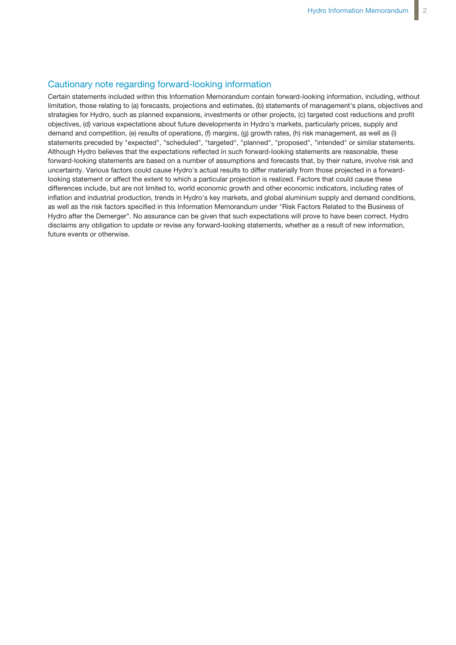### Cautionary note regarding forward-looking information

Certain statements included within this Information Memorandum contain forward-looking information, including, without limitation, those relating to (a) forecasts, projections and estimates, (b) statements of management's plans, objectives and strategies for Hydro, such as planned expansions, investments or other projects, (c) targeted cost reductions and profit objectives, (d) various expectations about future developments in Hydro's markets, particularly prices, supply and demand and competition, (e) results of operations, (f) margins, (g) growth rates, (h) risk management, as well as (i) statements preceded by "expected", "scheduled", "targeted", "planned", "proposed", "intended" or similar statements. Although Hydro believes that the expectations reflected in such forward-looking statements are reasonable, these forward-looking statements are based on a number of assumptions and forecasts that, by their nature, involve risk and uncertainty. Various factors could cause Hydro's actual results to differ materially from those projected in a forwardlooking statement or affect the extent to which a particular projection is realized. Factors that could cause these differences include, but are not limited to, world economic growth and other economic indicators, including rates of inflation and industrial production, trends in Hydro's key markets, and global aluminium supply and demand conditions, as well as the risk factors specified in this Information Memorandum under "Risk Factors Related to the Business of Hydro after the Demerger". No assurance can be given that such expectations will prove to have been correct. Hydro disclaims any obligation to update or revise any forward-looking statements, whether as a result of new information, future events or otherwise.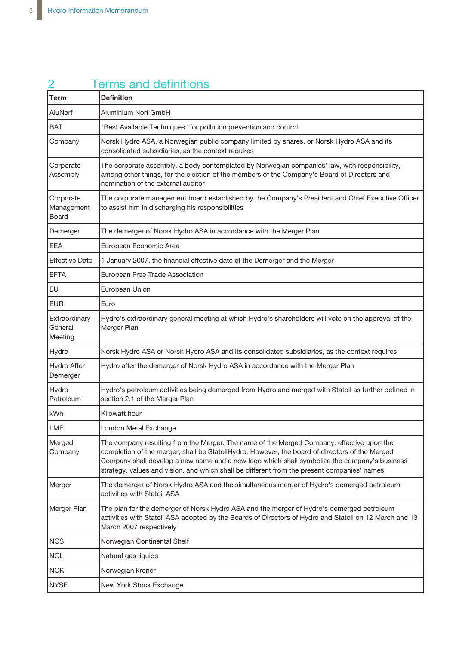|                                     | <b>Terms and definitions</b>                                                                                                                                                                                                                                                                                                                                                                |
|-------------------------------------|---------------------------------------------------------------------------------------------------------------------------------------------------------------------------------------------------------------------------------------------------------------------------------------------------------------------------------------------------------------------------------------------|
| <b>Term</b>                         | <b>Definition</b>                                                                                                                                                                                                                                                                                                                                                                           |
| AluNorf                             | Aluminium Norf GmbH                                                                                                                                                                                                                                                                                                                                                                         |
| <b>BAT</b>                          | "Best Available Techniques" for pollution prevention and control                                                                                                                                                                                                                                                                                                                            |
| Company                             | Norsk Hydro ASA, a Norwegian public company limited by shares, or Norsk Hydro ASA and its<br>consolidated subsidiaries, as the context requires                                                                                                                                                                                                                                             |
| Corporate<br>Assembly               | The corporate assembly, a body contemplated by Norwegian companies' law, with responsibility,<br>among other things, for the election of the members of the Company's Board of Directors and<br>nomination of the external auditor                                                                                                                                                          |
| Corporate<br>Management<br>Board    | The corporate management board established by the Company's President and Chief Executive Officer<br>to assist him in discharging his responsibilities                                                                                                                                                                                                                                      |
| Demerger                            | The demerger of Norsk Hydro ASA in accordance with the Merger Plan                                                                                                                                                                                                                                                                                                                          |
| <b>EEA</b>                          | European Economic Area                                                                                                                                                                                                                                                                                                                                                                      |
| <b>Effective Date</b>               | 1 January 2007, the financial effective date of the Demerger and the Merger                                                                                                                                                                                                                                                                                                                 |
| <b>EFTA</b>                         | European Free Trade Association                                                                                                                                                                                                                                                                                                                                                             |
| <b>EU</b>                           | European Union                                                                                                                                                                                                                                                                                                                                                                              |
| <b>EUR</b>                          | Euro                                                                                                                                                                                                                                                                                                                                                                                        |
| Extraordinary<br>General<br>Meeting | Hydro's extraordinary general meeting at which Hydro's shareholders will vote on the approval of the<br>Merger Plan                                                                                                                                                                                                                                                                         |
| Hydro                               | Norsk Hydro ASA or Norsk Hydro ASA and its consolidated subsidiaries, as the context requires                                                                                                                                                                                                                                                                                               |
| <b>Hydro After</b><br>Demerger      | Hydro after the demerger of Norsk Hydro ASA in accordance with the Merger Plan                                                                                                                                                                                                                                                                                                              |
| Hydro<br>Petroleum                  | Hydro's petroleum activities being demerged from Hydro and merged with Statoil as further defined in<br>section 2.1 of the Merger Plan                                                                                                                                                                                                                                                      |
| kWh                                 | Kilowatt hour                                                                                                                                                                                                                                                                                                                                                                               |
| <b>LME</b>                          | London Metal Exchange                                                                                                                                                                                                                                                                                                                                                                       |
| Merged<br>Company                   | The company resulting from the Merger. The name of the Merged Company, effective upon the<br>completion of the merger, shall be StatoilHydro. However, the board of directors of the Merged<br>Company shall develop a new name and a new logo which shall symbolize the company's business<br>strategy, values and vision, and which shall be different from the present companies' names. |
| Merger                              | The demerger of Norsk Hydro ASA and the simultaneous merger of Hydro's demerged petroleum<br>activities with Statoil ASA                                                                                                                                                                                                                                                                    |
| Merger Plan                         | The plan for the demerger of Norsk Hydro ASA and the merger of Hydro's demerged petroleum<br>activities with Statoil ASA adopted by the Boards of Directors of Hydro and Statoil on 12 March and 13<br>March 2007 respectively                                                                                                                                                              |
| NCS                                 | Norwegian Continental Shelf                                                                                                                                                                                                                                                                                                                                                                 |
| <b>NGL</b>                          | Natural gas liquids                                                                                                                                                                                                                                                                                                                                                                         |
| <b>NOK</b>                          | Norwegian kroner                                                                                                                                                                                                                                                                                                                                                                            |
| <b>NYSE</b>                         | New York Stock Exchange                                                                                                                                                                                                                                                                                                                                                                     |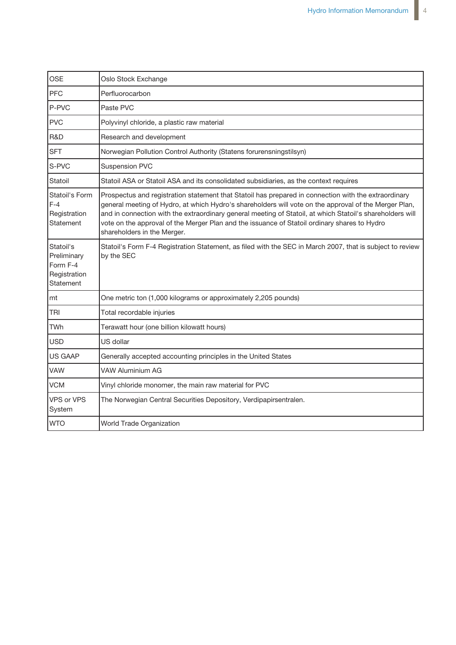| <b>OSE</b>                                                        | Oslo Stock Exchange                                                                                                                                                                                                                                                                                                                                                                                                                                       |
|-------------------------------------------------------------------|-----------------------------------------------------------------------------------------------------------------------------------------------------------------------------------------------------------------------------------------------------------------------------------------------------------------------------------------------------------------------------------------------------------------------------------------------------------|
| PFC                                                               | Perfluorocarbon                                                                                                                                                                                                                                                                                                                                                                                                                                           |
| P-PVC                                                             | Paste PVC                                                                                                                                                                                                                                                                                                                                                                                                                                                 |
| <b>PVC</b>                                                        | Polyvinyl chloride, a plastic raw material                                                                                                                                                                                                                                                                                                                                                                                                                |
| R&D                                                               | Research and development                                                                                                                                                                                                                                                                                                                                                                                                                                  |
| <b>SFT</b>                                                        | Norwegian Pollution Control Authority (Statens forurensningstilsyn)                                                                                                                                                                                                                                                                                                                                                                                       |
| S-PVC                                                             | <b>Suspension PVC</b>                                                                                                                                                                                                                                                                                                                                                                                                                                     |
| Statoil                                                           | Statoil ASA or Statoil ASA and its consolidated subsidiaries, as the context requires                                                                                                                                                                                                                                                                                                                                                                     |
| Statoil's Form<br>$F-4$<br>Registration<br>Statement              | Prospectus and registration statement that Statoil has prepared in connection with the extraordinary<br>general meeting of Hydro, at which Hydro's shareholders will vote on the approval of the Merger Plan,<br>and in connection with the extraordinary general meeting of Statoil, at which Statoil's shareholders will<br>vote on the approval of the Merger Plan and the issuance of Statoil ordinary shares to Hydro<br>shareholders in the Merger. |
| Statoil's<br>Preliminary<br>Form F-4<br>Registration<br>Statement | Statoil's Form F-4 Registration Statement, as filed with the SEC in March 2007, that is subject to review<br>by the SEC                                                                                                                                                                                                                                                                                                                                   |
| mt                                                                | One metric ton (1,000 kilograms or approximately 2,205 pounds)                                                                                                                                                                                                                                                                                                                                                                                            |
| TRI                                                               | Total recordable injuries                                                                                                                                                                                                                                                                                                                                                                                                                                 |
| <b>TWh</b>                                                        | Terawatt hour (one billion kilowatt hours)                                                                                                                                                                                                                                                                                                                                                                                                                |
| <b>USD</b>                                                        | US dollar                                                                                                                                                                                                                                                                                                                                                                                                                                                 |
| <b>US GAAP</b>                                                    | Generally accepted accounting principles in the United States                                                                                                                                                                                                                                                                                                                                                                                             |
| <b>VAW</b>                                                        | <b>VAW Aluminium AG</b>                                                                                                                                                                                                                                                                                                                                                                                                                                   |
| <b>VCM</b>                                                        | Vinyl chloride monomer, the main raw material for PVC                                                                                                                                                                                                                                                                                                                                                                                                     |
| <b>VPS or VPS</b><br>System                                       | The Norwegian Central Securities Depository, Verdipapirsentralen.                                                                                                                                                                                                                                                                                                                                                                                         |
| <b>WTO</b>                                                        | World Trade Organization                                                                                                                                                                                                                                                                                                                                                                                                                                  |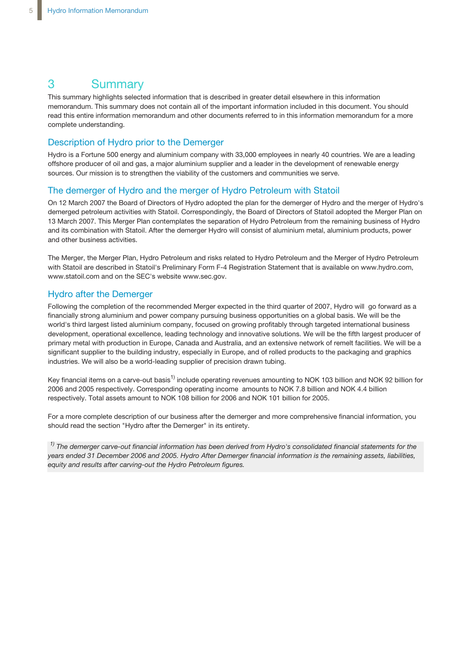## 3 Summary

This summary highlights selected information that is described in greater detail elsewhere in this information memorandum. This summary does not contain all of the important information included in this document. You should read this entire information memorandum and other documents referred to in this information memorandum for a more complete understanding.

### Description of Hydro prior to the Demerger

Hydro is a Fortune 500 energy and aluminium company with 33,000 employees in nearly 40 countries. We are a leading offshore producer of oil and gas, a major aluminium supplier and a leader in the development of renewable energy sources. Our mission is to strengthen the viability of the customers and communities we serve.

### The demerger of Hydro and the merger of Hydro Petroleum with Statoil

On 12 March 2007 the Board of Directors of Hydro adopted the plan for the demerger of Hydro and the merger of Hydro's demerged petroleum activities with Statoil. Correspondingly, the Board of Directors of Statoil adopted the Merger Plan on 13 March 2007. This Merger Plan contemplates the separation of Hydro Petroleum from the remaining business of Hydro and its combination with Statoil. After the demerger Hydro will consist of aluminium metal, aluminium products, power and other business activities.

The Merger, the Merger Plan, Hydro Petroleum and risks related to Hydro Petroleum and the Merger of Hydro Petroleum with Statoil are described in Statoil's Preliminary Form F-4 Registration Statement that is available on www.hydro.com, www.statoil.com and on the SEC's website www.sec.gov.

### Hydro after the Demerger

Following the completion of the recommended Merger expected in the third quarter of 2007, Hydro will go forward as a financially strong aluminium and power company pursuing business opportunities on a global basis. We will be the world's third largest listed aluminium company, focused on growing profitably through targeted international business development, operational excellence, leading technology and innovative solutions. We will be the fifth largest producer of primary metal with production in Europe, Canada and Australia, and an extensive network of remelt facilities. We will be a significant supplier to the building industry, especially in Europe, and of rolled products to the packaging and graphics industries. We will also be a world-leading supplier of precision drawn tubing.

Key financial items on a carve-out basis<sup>1)</sup> include operating revenues amounting to NOK 103 billion and NOK 92 billion for 2006 and 2005 respectively. Corresponding operating income amounts to NOK 7.8 billion and NOK 4.4 billion respectively. Total assets amount to NOK 108 billion for 2006 and NOK 101 billion for 2005.

For a more complete description of our business after the demerger and more comprehensive financial information, you should read the section "Hydro after the Demerger" in its entirety.

<sup>1)</sup> The demerger carve-out financial information has been derived from Hydro's consolidated financial statements for the *years ended 31 December 2006 and 2005. Hydro After Demerger financial information is the remaining assets, liabilities, equity and results after carving-out the Hydro Petroleum figures.*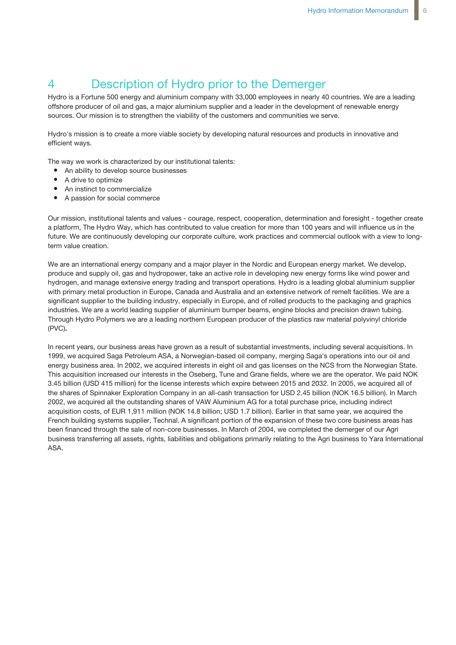## 4 Description of Hydro prior to the Demerger

Hydro is a Fortune 500 energy and aluminium company with 33,000 employees in nearly 40 countries. We are a leading offshore producer of oil and gas, a major aluminium supplier and a leader in the development of renewable energy sources. Our mission is to strengthen the viability of the customers and communities we serve.

Hydro's mission is to create a more viable society by developing natural resources and products in innovative and efficient ways.

The way we work is characterized by our institutional talents:

- An ability to develop source businesses
- A drive to optimize
- An instinct to commercialize  $\bullet$
- A passion for social commerce

Our mission, institutional talents and values - courage, respect, cooperation, determination and foresight - together create a platform, The Hydro Way, which has contributed to value creation for more than 100 years and will influence us in the future. We are continuously developing our corporate culture, work practices and commercial outlook with a view to longterm value creation.

We are an international energy company and a major player in the Nordic and European energy market. We develop, produce and supply oil, gas and hydropower, take an active role in developing new energy forms like wind power and hydrogen, and manage extensive energy trading and transport operations. Hydro is a leading global aluminium supplier with primary metal production in Europe, Canada and Australia and an extensive network of remelt facilities. We are a significant supplier to the building industry, especially in Europe, and of rolled products to the packaging and graphics industries. We are a world leading supplier of aluminium bumper beams, engine blocks and precision drawn tubing. Through Hydro Polymers we are a leading northern European producer of the plastics raw material polyvinyl chloride (PVC)**.**

In recent years, our business areas have grown as a result of substantial investments, including several acquisitions. In 1999, we acquired Saga Petroleum ASA, a Norwegian-based oil company, merging Saga's operations into our oil and energy business area. In 2002, we acquired interests in eight oil and gas licenses on the NCS from the Norwegian State. This acquisition increased our interests in the Oseberg, Tune and Grane fields, where we are the operator. We paid NOK 3.45 billion (USD 415 million) for the license interests which expire between 2015 and 2032. In 2005, we acquired all of the shares of Spinnaker Exploration Company in an all-cash transaction for USD 2.45 billion (NOK 16.5 billion). In March 2002, we acquired all the outstanding shares of VAW Aluminium AG for a total purchase price, including indirect acquisition costs, of EUR 1,911 million (NOK 14.8 billion; USD 1.7 billion). Earlier in that same year, we acquired the French building systems supplier, Technal. A significant portion of the expansion of these two core business areas has been financed through the sale of non-core businesses. In March of 2004, we completed the demerger of our Agri business transferring all assets, rights, liabilities and obligations primarily relating to the Agri business to Yara International ASA.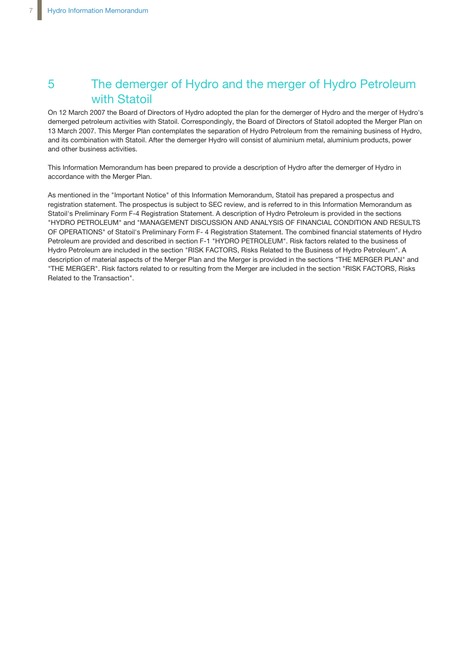## 5 The demerger of Hydro and the merger of Hydro Petroleum with Statoil

On 12 March 2007 the Board of Directors of Hydro adopted the plan for the demerger of Hydro and the merger of Hydro's demerged petroleum activities with Statoil. Correspondingly, the Board of Directors of Statoil adopted the Merger Plan on 13 March 2007. This Merger Plan contemplates the separation of Hydro Petroleum from the remaining business of Hydro, and its combination with Statoil. After the demerger Hydro will consist of aluminium metal, aluminium products, power and other business activities.

This Information Memorandum has been prepared to provide a description of Hydro after the demerger of Hydro in accordance with the Merger Plan.

As mentioned in the "Important Notice" of this Information Memorandum, Statoil has prepared a prospectus and registration statement. The prospectus is subject to SEC review, and is referred to in this Information Memorandum as Statoil's Preliminary Form F-4 Registration Statement. A description of Hydro Petroleum is provided in the sections "HYDRO PETROLEUM" and "MANAGEMENT DISCUSSION AND ANALYSIS OF FINANCIAL CONDITION AND RESULTS OF OPERATIONS" of Statoil's Preliminary Form F- 4 Registration Statement. The combined financial statements of Hydro Petroleum are provided and described in section F-1 "HYDRO PETROLEUM". Risk factors related to the business of Hydro Petroleum are included in the section "RISK FACTORS, Risks Related to the Business of Hydro Petroleum". A description of material aspects of the Merger Plan and the Merger is provided in the sections "THE MERGER PLAN" and "THE MERGER". Risk factors related to or resulting from the Merger are included in the section "RISK FACTORS, Risks Related to the Transaction".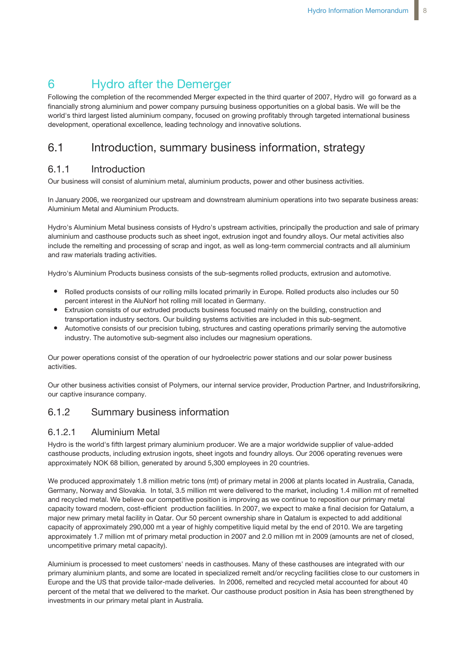## 6 Hydro after the Demerger

Following the completion of the recommended Merger expected in the third quarter of 2007, Hydro will go forward as a financially strong aluminium and power company pursuing business opportunities on a global basis. We will be the world's third largest listed aluminium company, focused on growing profitably through targeted international business development, operational excellence, leading technology and innovative solutions.

## 6.1 Introduction, summary business information, strategy

## 6.1.1 Introduction

Our business will consist of aluminium metal, aluminium products, power and other business activities.

In January 2006, we reorganized our upstream and downstream aluminium operations into two separate business areas: Aluminium Metal and Aluminium Products.

Hydro's Aluminium Metal business consists of Hydro's upstream activities, principally the production and sale of primary aluminium and casthouse products such as sheet ingot, extrusion ingot and foundry alloys. Our metal activities also include the remelting and processing of scrap and ingot, as well as long-term commercial contracts and all aluminium and raw materials trading activities.

Hydro's Aluminium Products business consists of the sub-segments rolled products, extrusion and automotive.

- Rolled products consists of our rolling mills located primarily in Europe. Rolled products also includes our 50 percent interest in the AluNorf hot rolling mill located in Germany.
- Extrusion consists of our extruded products business focused mainly on the building, construction and transportation industry sectors. Our building systems activities are included in this sub-segment.
- Automotive consists of our precision tubing, structures and casting operations primarily serving the automotive industry. The automotive sub-segment also includes our magnesium operations.

Our power operations consist of the operation of our hydroelectric power stations and our solar power business activities.

Our other business activities consist of Polymers, our internal service provider, Production Partner, and Industriforsikring, our captive insurance company.

## 6.1.2 Summary business information

### 6.1.2.1 Aluminium Metal

Hydro is the world's fifth largest primary aluminium producer. We are a major worldwide supplier of value-added casthouse products, including extrusion ingots, sheet ingots and foundry alloys. Our 2006 operating revenues were approximately NOK 68 billion, generated by around 5,300 employees in 20 countries.

We produced approximately 1.8 million metric tons (mt) of primary metal in 2006 at plants located in Australia, Canada, Germany, Norway and Slovakia. In total, 3.5 million mt were delivered to the market, including 1.4 million mt of remelted and recycled metal. We believe our competitive position is improving as we continue to reposition our primary metal capacity toward modern, cost-efficient production facilities. In 2007, we expect to make a final decision for Qatalum, a major new primary metal facility in Qatar. Our 50 percent ownership share in Qatalum is expected to add additional capacity of approximately 290,000 mt a year of highly competitive liquid metal by the end of 2010. We are targeting approximately 1.7 million mt of primary metal production in 2007 and 2.0 million mt in 2009 (amounts are net of closed, uncompetitive primary metal capacity).

Aluminium is processed to meet customers' needs in casthouses. Many of these casthouses are integrated with our primary aluminium plants, and some are located in specialized remelt and/or recycling facilities close to our customers in Europe and the US that provide tailor-made deliveries. In 2006, remelted and recycled metal accounted for about 40 percent of the metal that we delivered to the market. Our casthouse product position in Asia has been strengthened by investments in our primary metal plant in Australia.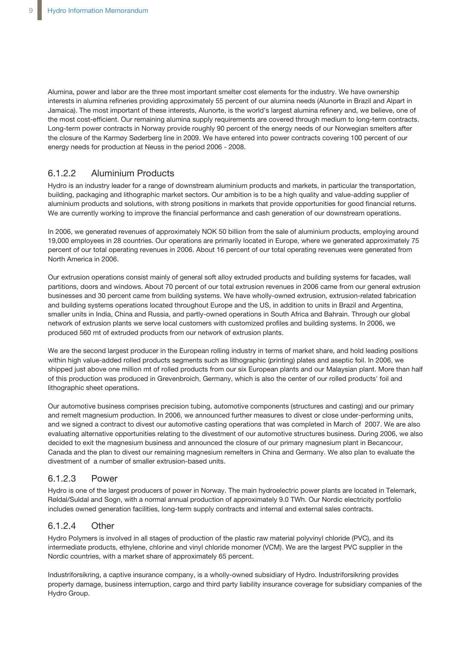Alumina, power and labor are the three most important smelter cost elements for the industry. We have ownership interests in alumina refineries providing approximately 55 percent of our alumina needs (Alunorte in Brazil and Alpart in Jamaica). The most important of these interests, Alunorte, is the world's largest alumina refinery and, we believe, one of the most cost-efficient. Our remaining alumina supply requirements are covered through medium to long-term contracts. Long-term power contracts in Norway provide roughly 90 percent of the energy needs of our Norwegian smelters after the closure of the Karmøy Søderberg line in 2009. We have entered into power contracts covering 100 percent of our energy needs for production at Neuss in the period 2006 - 2008.

### 6.1.2.2 Aluminium Products

Hydro is an industry leader for a range of downstream aluminium products and markets, in particular the transportation, building, packaging and lithographic market sectors. Our ambition is to be a high quality and value-adding supplier of aluminium products and solutions, with strong positions in markets that provide opportunities for good financial returns. We are currently working to improve the financial performance and cash generation of our downstream operations.

In 2006, we generated revenues of approximately NOK 50 billion from the sale of aluminium products, employing around 19,000 employees in 28 countries. Our operations are primarily located in Europe, where we generated approximately 75 percent of our total operating revenues in 2006. About 16 percent of our total operating revenues were generated from North America in 2006.

Our extrusion operations consist mainly of general soft alloy extruded products and building systems for facades, wall partitions, doors and windows. About 70 percent of our total extrusion revenues in 2006 came from our general extrusion businesses and 30 percent came from building systems. We have wholly-owned extrusion, extrusion-related fabrication and building systems operations located throughout Europe and the US, in addition to units in Brazil and Argentina, smaller units in India, China and Russia, and partly-owned operations in South Africa and Bahrain. Through our global network of extrusion plants we serve local customers with customized profiles and building systems. In 2006, we produced 560 mt of extruded products from our network of extrusion plants.

We are the second largest producer in the European rolling industry in terms of market share, and hold leading positions within high value-added rolled products segments such as lithographic (printing) plates and aseptic foil. In 2006, we shipped just above one million mt of rolled products from our six European plants and our Malaysian plant. More than half of this production was produced in Grevenbroich, Germany, which is also the center of our rolled products' foil and lithographic sheet operations.

Our automotive business comprises precision tubing, automotive components (structures and casting) and our primary and remelt magnesium production. In 2006, we announced further measures to divest or close under-performing units, and we signed a contract to divest our automotive casting operations that was completed in March of 2007. We are also evaluating alternative opportunities relating to the divestment of our automotive structures business. During 2006, we also decided to exit the magnesium business and announced the closure of our primary magnesium plant in Becancour, Canada and the plan to divest our remaining magnesium remelters in China and Germany. We also plan to evaluate the divestment of a number of smaller extrusion-based units.

### 6.1.2.3 Power

Hydro is one of the largest producers of power in Norway. The main hydroelectric power plants are located in Telemark, Røldal/Suldal and Sogn, with a normal annual production of approximately 9.0 TWh. Our Nordic electricity portfolio includes owned generation facilities, long-term supply contracts and internal and external sales contracts.

### 6.1.2.4 Other

Hydro Polymers is involved in all stages of production of the plastic raw material polyvinyl chloride (PVC), and its intermediate products, ethylene, chlorine and vinyl chloride monomer (VCM). We are the largest PVC supplier in the Nordic countries, with a market share of approximately 65 percent.

Industriforsikring, a captive insurance company, is a wholly-owned subsidiary of Hydro. Industriforsikring provides property damage, business interruption, cargo and third party liability insurance coverage for subsidiary companies of the Hydro Group.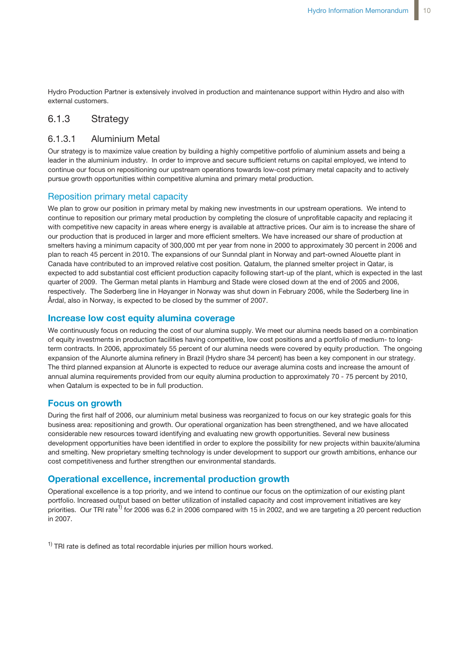Hydro Production Partner is extensively involved in production and maintenance support within Hydro and also with external customers.

### 6.1.3 Strategy

### 6.1.3.1 Aluminium Metal

Our strategy is to maximize value creation by building a highly competitive portfolio of aluminium assets and being a leader in the aluminium industry. In order to improve and secure sufficient returns on capital employed, we intend to continue our focus on repositioning our upstream operations towards low-cost primary metal capacity and to actively pursue growth opportunities within competitive alumina and primary metal production.

### Reposition primary metal capacity

We plan to grow our position in primary metal by making new investments in our upstream operations. We intend to continue to reposition our primary metal production by completing the closure of unprofitable capacity and replacing it with competitive new capacity in areas where energy is available at attractive prices. Our aim is to increase the share of our production that is produced in larger and more efficient smelters. We have increased our share of production at smelters having a minimum capacity of 300,000 mt per year from none in 2000 to approximately 30 percent in 2006 and plan to reach 45 percent in 2010. The expansions of our Sunndal plant in Norway and part-owned Alouette plant in Canada have contributed to an improved relative cost position. Qatalum, the planned smelter project in Qatar, is expected to add substantial cost efficient production capacity following start-up of the plant, which is expected in the last quarter of 2009. The German metal plants in Hamburg and Stade were closed down at the end of 2005 and 2006, respectively. The Søderberg line in Høyanger in Norway was shut down in February 2006, while the Søderberg line in Årdal, also in Norway, is expected to be closed by the summer of 2007.

### **Increase low cost equity alumina coverage**

We continuously focus on reducing the cost of our alumina supply. We meet our alumina needs based on a combination of equity investments in production facilities having competitive, low cost positions and a portfolio of medium- to longterm contracts. In 2006, approximately 55 percent of our alumina needs were covered by equity production. The ongoing expansion of the Alunorte alumina refinery in Brazil (Hydro share 34 percent) has been a key component in our strategy. The third planned expansion at Alunorte is expected to reduce our average alumina costs and increase the amount of annual alumina requirements provided from our equity alumina production to approximately 70 - 75 percent by 2010, when Qatalum is expected to be in full production.

### **Focus on growth**

During the first half of 2006, our aluminium metal business was reorganized to focus on our key strategic goals for this business area: repositioning and growth. Our operational organization has been strengthened, and we have allocated considerable new resources toward identifying and evaluating new growth opportunities. Several new business development opportunities have been identified in order to explore the possibility for new projects within bauxite/alumina and smelting. New proprietary smelting technology is under development to support our growth ambitions, enhance our cost competitiveness and further strengthen our environmental standards.

### **Operational excellence, incremental production growth**

Operational excellence is a top priority, and we intend to continue our focus on the optimization of our existing plant portfolio. Increased output based on better utilization of installed capacity and cost improvement initiatives are key priorities. Our TRI rate<sup>1)</sup> for 2006 was 6.2 in 2006 compared with 15 in 2002, and we are targeting a 20 percent reduction in 2007.

 $1)$  TRI rate is defined as total recordable injuries per million hours worked.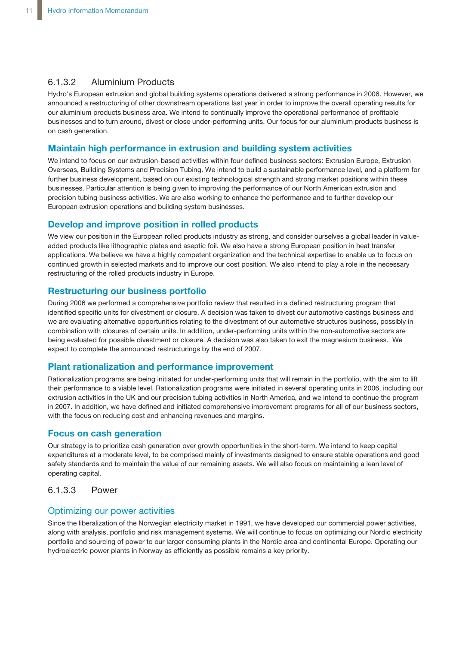### 6.1.3.2 Aluminium Products

Hydro's European extrusion and global building systems operations delivered a strong performance in 2006. However, we announced a restructuring of other downstream operations last year in order to improve the overall operating results for our aluminium products business area. We intend to continually improve the operational performance of profitable businesses and to turn around, divest or close under-performing units. Our focus for our aluminium products business is on cash generation.

### **Maintain high performance in extrusion and building system activities**

We intend to focus on our extrusion-based activities within four defined business sectors: Extrusion Europe, Extrusion Overseas, Building Systems and Precision Tubing. We intend to build a sustainable performance level, and a platform for further business development, based on our existing technological strength and strong market positions within these businesses. Particular attention is being given to improving the performance of our North American extrusion and precision tubing business activities. We are also working to enhance the performance and to further develop our European extrusion operations and building system businesses.

### **Develop and improve position in rolled products**

We view our position in the European rolled products industry as strong, and consider ourselves a global leader in valueadded products like lithographic plates and aseptic foil. We also have a strong European position in heat transfer applications. We believe we have a highly competent organization and the technical expertise to enable us to focus on continued growth in selected markets and to improve our cost position. We also intend to play a role in the necessary restructuring of the rolled products industry in Europe.

### **Restructuring our business portfolio**

During 2006 we performed a comprehensive portfolio review that resulted in a defined restructuring program that identified specific units for divestment or closure. A decision was taken to divest our automotive castings business and we are evaluating alternative opportunities relating to the divestment of our automotive structures business, possibly in combination with closures of certain units. In addition, under-performing units within the non-automotive sectors are being evaluated for possible divestment or closure. A decision was also taken to exit the magnesium business. We expect to complete the announced restructurings by the end of 2007.

### **Plant rationalization and performance improvement**

Rationalization programs are being initiated for under-performing units that will remain in the portfolio, with the aim to lift their performance to a viable level. Rationalization programs were initiated in several operating units in 2006, including our extrusion activities in the UK and our precision tubing activities in North America, and we intend to continue the program in 2007. In addition, we have defined and initiated comprehensive improvement programs for all of our business sectors, with the focus on reducing cost and enhancing revenues and margins.

### **Focus on cash generation**

Our strategy is to prioritize cash generation over growth opportunities in the short-term. We intend to keep capital expenditures at a moderate level, to be comprised mainly of investments designed to ensure stable operations and good safety standards and to maintain the value of our remaining assets. We will also focus on maintaining a lean level of operating capital.

### 6.1.3.3 Power

### Optimizing our power activities

Since the liberalization of the Norwegian electricity market in 1991, we have developed our commercial power activities, along with analysis, portfolio and risk management systems. We will continue to focus on optimizing our Nordic electricity portfolio and sourcing of power to our larger consuming plants in the Nordic area and continental Europe. Operating our hydroelectric power plants in Norway as efficiently as possible remains a key priority.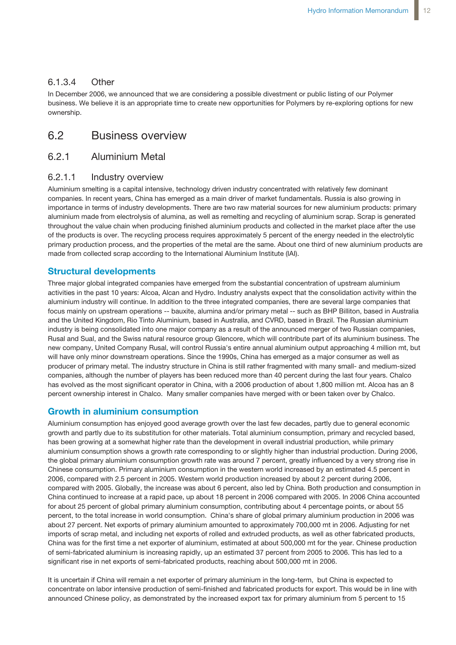### 6.1.3.4 Other

In December 2006, we announced that we are considering a possible divestment or public listing of our Polymer business. We believe it is an appropriate time to create new opportunities for Polymers by re-exploring options for new ownership.

### 6.2 Business overview

### 6.2.1 Aluminium Metal

### 6.2.1.1 Industry overview

Aluminium smelting is a capital intensive, technology driven industry concentrated with relatively few dominant companies. In recent years, China has emerged as a main driver of market fundamentals. Russia is also growing in importance in terms of industry developments. There are two raw material sources for new aluminium products: primary aluminium made from electrolysis of alumina, as well as remelting and recycling of aluminium scrap. Scrap is generated throughout the value chain when producing finished aluminium products and collected in the market place after the use of the products is over. The recycling process requires approximately 5 percent of the energy needed in the electrolytic primary production process, and the properties of the metal are the same. About one third of new aluminium products are made from collected scrap according to the International Aluminium Institute (IAI).

### **Structural developments**

Three major global integrated companies have emerged from the substantial concentration of upstream aluminium activities in the past 10 years: Alcoa, Alcan and Hydro. Industry analysts expect that the consolidation activity within the aluminium industry will continue. In addition to the three integrated companies, there are several large companies that focus mainly on upstream operations -- bauxite, alumina and/or primary metal -- such as BHP Billiton, based in Australia and the United Kingdom, Rio Tinto Aluminium, based in Australia, and CVRD, based in Brazil. The Russian aluminium industry is being consolidated into one major company as a result of the announced merger of two Russian companies, Rusal and Sual, and the Swiss natural resource group Glencore, which will contribute part of its aluminium business. The new company, United Company Rusal, will control Russia's entire annual aluminium output approaching 4 million mt, but will have only minor downstream operations. Since the 1990s, China has emerged as a major consumer as well as producer of primary metal. The industry structure in China is still rather fragmented with many small- and medium-sized companies, although the number of players has been reduced more than 40 percent during the last four years. Chalco has evolved as the most significant operator in China, with a 2006 production of about 1,800 million mt. Alcoa has an 8 percent ownership interest in Chalco. Many smaller companies have merged with or been taken over by Chalco.

### **Growth in aluminium consumption**

Aluminium consumption has enjoyed good average growth over the last few decades, partly due to general economic growth and partly due to its substitution for other materials. Total aluminium consumption, primary and recycled based, has been growing at a somewhat higher rate than the development in overall industrial production, while primary aluminium consumption shows a growth rate corresponding to or slightly higher than industrial production. During 2006, the global primary aluminium consumption growth rate was around 7 percent, greatly influenced by a very strong rise in Chinese consumption. Primary aluminium consumption in the western world increased by an estimated 4.5 percent in 2006, compared with 2.5 percent in 2005. Western world production increased by about 2 percent during 2006, compared with 2005. Globally, the increase was about 6 percent, also led by China. Both production and consumption in China continued to increase at a rapid pace, up about 18 percent in 2006 compared with 2005. In 2006 China accounted for about 25 percent of global primary aluminium consumption, contributing about 4 percentage points, or about 55 percent, to the total increase in world consumption. China's share of global primary aluminium production in 2006 was about 27 percent. Net exports of primary aluminium amounted to approximately 700,000 mt in 2006. Adjusting for net imports of scrap metal, and including net exports of rolled and extruded products, as well as other fabricated products, China was for the first time a net exporter of aluminium, estimated at about 500,000 mt for the year. Chinese production of semi-fabricated aluminium is increasing rapidly, up an estimated 37 percent from 2005 to 2006. This has led to a significant rise in net exports of semi-fabricated products, reaching about 500,000 mt in 2006.

It is uncertain if China will remain a net exporter of primary aluminium in the long-term, but China is expected to concentrate on labor intensive production of semi-finished and fabricated products for export. This would be in line with announced Chinese policy, as demonstrated by the increased export tax for primary aluminium from 5 percent to 15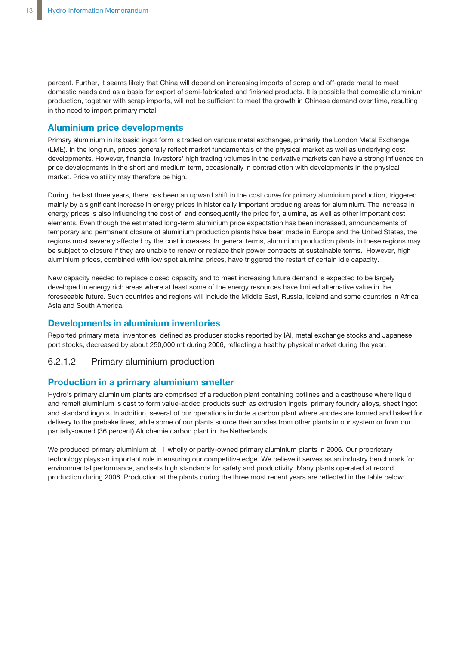percent. Further, it seems likely that China will depend on increasing imports of scrap and off-grade metal to meet domestic needs and as a basis for export of semi-fabricated and finished products. It is possible that domestic aluminium production, together with scrap imports, will not be sufficient to meet the growth in Chinese demand over time, resulting in the need to import primary metal.

### **Aluminium price developments**

Primary aluminium in its basic ingot form is traded on various metal exchanges, primarily the London Metal Exchange (LME). In the long run, prices generally reflect market fundamentals of the physical market as well as underlying cost developments. However, financial investors' high trading volumes in the derivative markets can have a strong influence on price developments in the short and medium term, occasionally in contradiction with developments in the physical market. Price volatility may therefore be high.

During the last three years, there has been an upward shift in the cost curve for primary aluminium production, triggered mainly by a significant increase in energy prices in historically important producing areas for aluminium. The increase in energy prices is also influencing the cost of, and consequently the price for, alumina, as well as other important cost elements. Even though the estimated long-term aluminium price expectation has been increased, announcements of temporary and permanent closure of aluminium production plants have been made in Europe and the United States, the regions most severely affected by the cost increases. In general terms, aluminium production plants in these regions may be subject to closure if they are unable to renew or replace their power contracts at sustainable terms. However, high aluminium prices, combined with low spot alumina prices, have triggered the restart of certain idle capacity.

New capacity needed to replace closed capacity and to meet increasing future demand is expected to be largely developed in energy rich areas where at least some of the energy resources have limited alternative value in the foreseeable future. Such countries and regions will include the Middle East, Russia, Iceland and some countries in Africa, Asia and South America.

### **Developments in aluminium inventories**

Reported primary metal inventories, defined as producer stocks reported by IAI, metal exchange stocks and Japanese port stocks, decreased by about 250,000 mt during 2006, reflecting a healthy physical market during the year.

### 6.2.1.2 Primary aluminium production

### **Production in a primary aluminium smelter**

Hydro's primary aluminium plants are comprised of a reduction plant containing potlines and a casthouse where liquid and remelt aluminium is cast to form value-added products such as extrusion ingots, primary foundry alloys, sheet ingot and standard ingots. In addition, several of our operations include a carbon plant where anodes are formed and baked for delivery to the prebake lines, while some of our plants source their anodes from other plants in our system or from our partially-owned (36 percent) Aluchemie carbon plant in the Netherlands.

We produced primary aluminium at 11 wholly or partly-owned primary aluminium plants in 2006. Our proprietary technology plays an important role in ensuring our competitive edge. We believe it serves as an industry benchmark for environmental performance, and sets high standards for safety and productivity. Many plants operated at record production during 2006. Production at the plants during the three most recent years are reflected in the table below: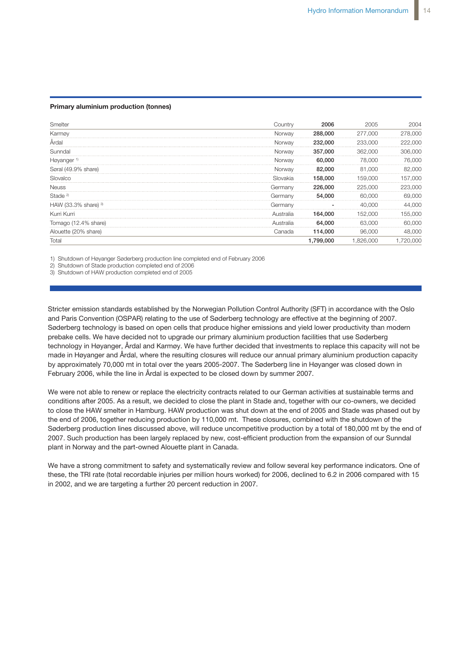#### **Primary aluminium production (tonnes)**

| Smelter                | Country   | 2006      | 2005            | 2004    |
|------------------------|-----------|-----------|-----------------|---------|
| Karmøy                 | Norway    | 288,000   | 277.000         | 278,000 |
| Ardal                  | Norway    | 232,000   | 233.000         | 222,000 |
| Sunndal                | Norwav    | 357,000   | 362,000         | 306,000 |
| Høyanger <sup>1)</sup> | Norway    | 60,000    | 78,000          | 76,000  |
| Søral (49.9% share)    | Norway    | 82,000    | 81.000          | 82,000  |
| Slovalco               | Slovakia  | 158.000   | 000<br>'nЧ      | 157.000 |
| <b>Neuss</b>           | Germany   | 226,000   | റററ<br>225<br>. | 223.000 |
| Stade <sup>2)</sup>    | Germany   | 54,000    | 60,000          | 69,000  |
| HAW (33.3% share) $3$  | Germany   |           | ገበበ             | 44.000  |
| Kurri Kurri            | Australia | 164.000   | 000<br>52<br>.  | 155.000 |
| Iomago (12.4% share)   | Australia | 64.000    | 63.000          | 60.000  |
| Alouette (20% share)   | Canada    | 114,000   | 96,000          | 48,000  |
| Total                  |           | 1,799,000 | 200             | 20.000  |

Power 1,185 1,123 741

Corporate and elimination (885) 1,064 (854)

1) Shutdown of Høyanger Søderberg production line completed end of February 2006

2) Shutdown of Stade production completed end of 2006

3) Shutdown of HAW production completed end of 2005

**Average market quoted prices in Northwest Europe** February 2006, while the line in Årdal is expected to be closed down by summer 2007. prebake cells. We have decided not to upgrade our primary aluminium production facilities that use Søderberg Stricter emission standards established by the Norwegian Pollution Control Authority (SFT) in accordance with the Oslo and Paris Convention (OSPAR) relating to the use of Søderberg technology are effective at the beginning of 2007. Søderberg technology is based on open cells that produce higher emissions and yield lower productivity than modern technology in Høyanger, Årdal and Karmøy. We have further decided that investments to replace this capacity will not be made in Høyanger and Årdal, where the resulting closures will reduce our annual primary aluminium production capacity by approximately 70,000 mt in total over the years 2005-2007. The Søderberg line in Høyanger was closed down in

We were not able to renew or replace the electricity contracts related to our German activities at sustainable terms and conditions after 2005. As a result, we decided to close the plant in Stade and, together with our co-owners, we decided to close the HAW smelter in Hamburg. HAW production was shut down at the end of 2005 and Stade was phased out by the end of 2006, together reducing production by 110,000 mt. These closures, combined with the shutdown of the Søderberg production lines discussed above, will reduce uncompetitive production by a total of 180,000 mt by the end of 2007. Such production has been largely replaced by new, cost-efficient production from the expansion of our Sunndal plant in Norway and the part-owned Alouette plant in Canada.

We have a strong commitment to safety and systematically review and follow several key performance indicators. One of these, the TRI rate (total recordable injuries per million hours worked) for 2006, declined to 6.2 in 2006 compared with 15 in 2002, and we are targeting a further 20 percent reduction in 2007.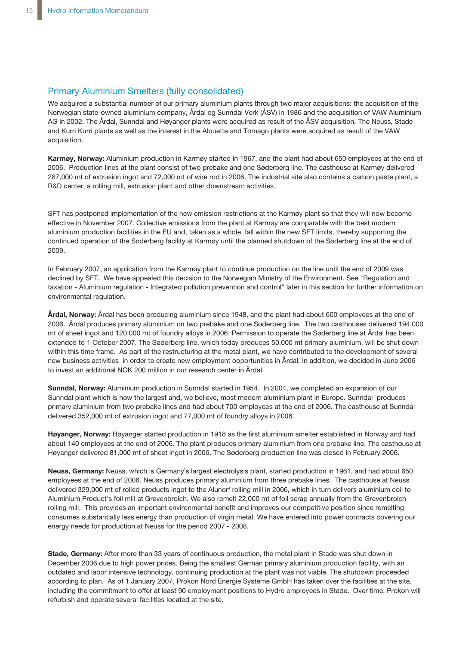### Primary Aluminium Smelters (fully consolidated)

We acquired a substantial number of our primary aluminium plants through two major acquisitions: the acquisition of the Norwegian state-owned aluminium company, Årdal og Sunndal Verk (ÅSV) in 1986 and the acquisition of VAW Aluminium AG in 2002. The Årdal, Sunndal and Høyanger plants were acquired as result of the ÅSV acquisition. The Neuss, Stade and Kurri Kurri plants as well as the interest in the Alouette and Tomago plants were acquired as result of the VAW acquisition.

**Karmøy, Norway:** Aluminium production in Karmøy started in 1967, and the plant had about 650 employees at the end of 2006. Production lines at the plant consist of two prebake and one Søderberg line. The casthouse at Karmøy delivered 287,000 mt of extrusion ingot and 72,000 mt of wire rod in 2006. The industrial site also contains a carbon paste plant, a R&D center, a rolling mill, extrusion plant and other downstream activities.

SFT has postponed implementation of the new emission restrictions at the Karmøy plant so that they will now become effective in November 2007. Collective emissions from the plant at Karmøy are comparable with the best modern aluminium production facilities in the EU and, taken as a whole, fall within the new SFT limits, thereby supporting the continued operation of the Søderberg facility at Karmøy until the planned shutdown of the Søderberg line at the end of 2009.

In February 2007, an application from the Karmøy plant to continue production on the line until the end of 2009 was declined by SFT. We have appealed this decision to the Norwegian Ministry of the Environment. See "Regulation and taxation - Aluminium regulation - Integrated pollution prevention and control" later in this section for further information on environmental regulation.

**Årdal, Norway:** Årdal has been producing aluminium since 1948, and the plant had about 600 employees at the end of 2006. Årdal produces primary aluminium on two prebake and one Søderberg line. The two casthouses delivered 194,000 mt of sheet ingot and 120,000 mt of foundry alloys in 2006. Permission to operate the Søderberg line at Årdal has been extended to 1 October 2007. The Søderberg line, which today produces 50,000 mt primary aluminium, will be shut down within this time frame. As part of the restructuring at the metal plant, we have contributed to the development of several new business activities in order to create new employment opportunities in Årdal. In addition, we decided in June 2006 to invest an additional NOK 200 million in our research center in Årdal.

**Sunndal, Norway:** Aluminium production in Sunndal started in 1954. In 2004, we completed an expansion of our Sunndal plant which is now the largest and, we believe, most modern aluminium plant in Europe. Sunndal produces primary aluminium from two prebake lines and had about 700 employees at the end of 2006. The casthouse at Sunndal delivered 352,000 mt of extrusion ingot and 77,000 mt of foundry alloys in 2006.

**Høyanger, Norway:** Høyanger started production in 1918 as the first aluminium smelter established in Norway and had about 140 employees at the end of 2006. The plant produces primary aluminium from one prebake line. The casthouse at Høyanger delivered 81,000 mt of sheet ingot in 2006. The Søderberg production line was closed in February 2006.

**Neuss, Germany:** Neuss, which is Germany`s largest electrolysis plant, started production in 1961, and had about 650 employees at the end of 2006. Neuss produces primary aluminium from three prebake lines. The casthouse at Neuss delivered 329,000 mt of rolled products ingot to the Alunorf rolling mill in 2006, which in turn delivers aluminium coil to Aluminium Product's foil mill at Grevenbroich. We also remelt 22,000 mt of foil scrap annually from the Grevenbroich rolling mill. This provides an important environmental benefit and improves our competitive position since remelting consumes substantially less energy than production of virgin metal. We have entered into power contracts covering our energy needs for production at Neuss for the period 2007 - 2008.

**Stade, Germany:** After more than 33 years of continuous production, the metal plant in Stade was shut down in December 2006 due to high power prices. Being the smallest German primary aluminium production facility, with an outdated and labor intensive technology, continuing production at the plant was not viable. The shutdown proceeded according to plan. As of 1 January 2007, Prokon Nord Energie Systeme GmbH has taken over the facilities at the site, including the commitment to offer at least 90 employment positions to Hydro employees in Stade. Over time, Prokon will refurbish and operate several facilities located at the site.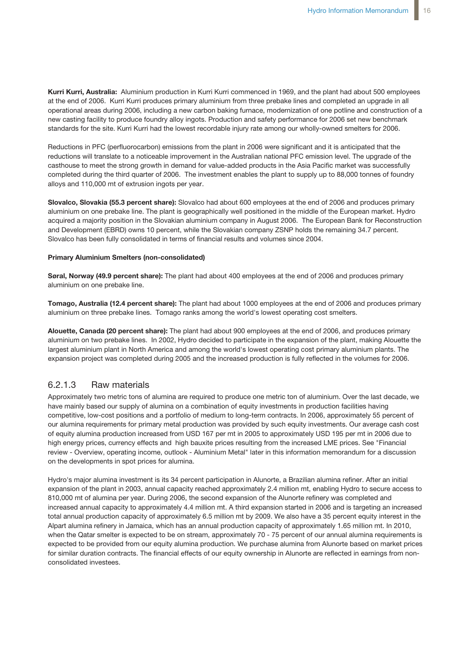**Kurri Kurri, Australia:** Aluminium production in Kurri Kurri commenced in 1969, and the plant had about 500 employees at the end of 2006. Kurri Kurri produces primary aluminium from three prebake lines and completed an upgrade in all operational areas during 2006, including a new carbon baking furnace, modernization of one potline and construction of a new casting facility to produce foundry alloy ingots. Production and safety performance for 2006 set new benchmark standards for the site. Kurri Kurri had the lowest recordable injury rate among our wholly-owned smelters for 2006.

Reductions in PFC (perfluorocarbon) emissions from the plant in 2006 were significant and it is anticipated that the reductions will translate to a noticeable improvement in the Australian national PFC emission level. The upgrade of the casthouse to meet the strong growth in demand for value-added products in the Asia Pacific market was successfully completed during the third quarter of 2006. The investment enables the plant to supply up to 88,000 tonnes of foundry alloys and 110,000 mt of extrusion ingots per year.

**Slovalco, Slovakia (55.3 percent share):** Slovalco had about 600 employees at the end of 2006 and produces primary aluminium on one prebake line. The plant is geographically well positioned in the middle of the European market. Hydro acquired a majority position in the Slovakian aluminium company in August 2006. The European Bank for Reconstruction and Development (EBRD) owns 10 percent, while the Slovakian company ZSNP holds the remaining 34.7 percent. Slovalco has been fully consolidated in terms of financial results and volumes since 2004.

#### **Primary Aluminium Smelters (non-consolidated)**

**Søral, Norway (49.9 percent share):** The plant had about 400 employees at the end of 2006 and produces primary aluminium on one prebake line.

**Tomago, Australia (12.4 percent share):** The plant had about 1000 employees at the end of 2006 and produces primary aluminium on three prebake lines. Tomago ranks among the world's lowest operating cost smelters.

**Alouette, Canada (20 percent share):** The plant had about 900 employees at the end of 2006, and produces primary aluminium on two prebake lines. In 2002, Hydro decided to participate in the expansion of the plant, making Alouette the largest aluminium plant in North America and among the world's lowest operating cost primary aluminium plants. The expansion project was completed during 2005 and the increased production is fully reflected in the volumes for 2006.

### 6.2.1.3 Raw materials

Approximately two metric tons of alumina are required to produce one metric ton of aluminium. Over the last decade, we have mainly based our supply of alumina on a combination of equity investments in production facilities having competitive, low-cost positions and a portfolio of medium to long-term contracts. In 2006, approximately 55 percent of our alumina requirements for primary metal production was provided by such equity investments. Our average cash cost of equity alumina production increased from USD 167 per mt in 2005 to approximately USD 195 per mt in 2006 due to high energy prices, currency effects and high bauxite prices resulting from the increased LME prices. See "Financial review - Overview, operating income, outlook - Aluminium Metal" later in this information memorandum for a discussion on the developments in spot prices for alumina.

Hydro's major alumina investment is its 34 percent participation in Alunorte, a Brazilian alumina refiner. After an initial expansion of the plant in 2003, annual capacity reached approximately 2.4 million mt, enabling Hydro to secure access to 810,000 mt of alumina per year. During 2006, the second expansion of the Alunorte refinery was completed and increased annual capacity to approximately 4.4 million mt. A third expansion started in 2006 and is targeting an increased total annual production capacity of approximately 6.5 million mt by 2009. We also have a 35 percent equity interest in the Alpart alumina refinery in Jamaica, which has an annual production capacity of approximately 1.65 million mt. In 2010, when the Qatar smelter is expected to be on stream, approximately 70 - 75 percent of our annual alumina requirements is expected to be provided from our equity alumina production. We purchase alumina from Alunorte based on market prices for similar duration contracts. The financial effects of our equity ownership in Alunorte are reflected in earnings from nonconsolidated investees.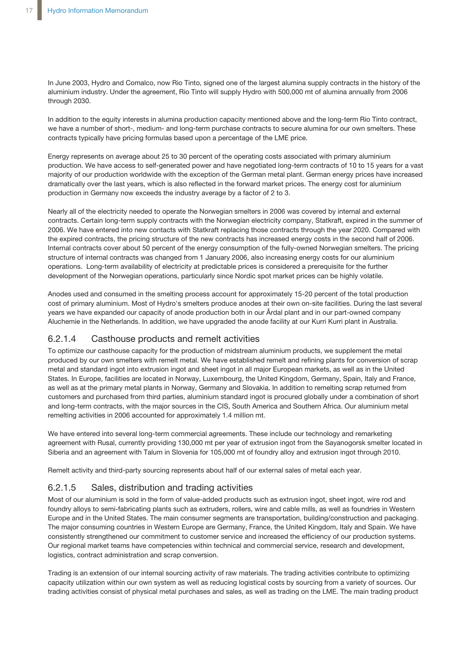In June 2003, Hydro and Comalco, now Rio Tinto, signed one of the largest alumina supply contracts in the history of the aluminium industry. Under the agreement, Rio Tinto will supply Hydro with 500,000 mt of alumina annually from 2006 through 2030.

In addition to the equity interests in alumina production capacity mentioned above and the long-term Rio Tinto contract, we have a number of short-, medium- and long-term purchase contracts to secure alumina for our own smelters. These contracts typically have pricing formulas based upon a percentage of the LME price.

Energy represents on average about 25 to 30 percent of the operating costs associated with primary aluminium production. We have access to self-generated power and have negotiated long-term contracts of 10 to 15 years for a vast majority of our production worldwide with the exception of the German metal plant. German energy prices have increased dramatically over the last years, which is also reflected in the forward market prices. The energy cost for aluminium production in Germany now exceeds the industry average by a factor of 2 to 3.

Nearly all of the electricity needed to operate the Norwegian smelters in 2006 was covered by internal and external contracts. Certain long-term supply contracts with the Norwegian electricity company, Statkraft, expired in the summer of 2006. We have entered into new contacts with Statkraft replacing those contracts through the year 2020. Compared with the expired contracts, the pricing structure of the new contracts has increased energy costs in the second half of 2006. Internal contracts cover about 50 percent of the energy consumption of the fully-owned Norwegian smelters. The pricing structure of internal contracts was changed from 1 January 2006, also increasing energy costs for our aluminium operations. Long-term availability of electricity at predictable prices is considered a prerequisite for the further development of the Norwegian operations, particularly since Nordic spot market prices can be highly volatile.

Anodes used and consumed in the smelting process account for approximately 15-20 percent of the total production cost of primary aluminium. Most of Hydro's smelters produce anodes at their own on-site facilities. During the last several years we have expanded our capacity of anode production both in our Årdal plant and in our part-owned company Aluchemie in the Netherlands. In addition, we have upgraded the anode facility at our Kurri Kurri plant in Australia.

### 6.2.1.4 Casthouse products and remelt activities

To optimize our casthouse capacity for the production of midstream aluminium products, we supplement the metal produced by our own smelters with remelt metal. We have established remelt and refining plants for conversion of scrap metal and standard ingot into extrusion ingot and sheet ingot in all major European markets, as well as in the United States. In Europe, facilities are located in Norway, Luxembourg, the United Kingdom, Germany, Spain, Italy and France, as well as at the primary metal plants in Norway, Germany and Slovakia. In addition to remelting scrap returned from customers and purchased from third parties, aluminium standard ingot is procured globally under a combination of short and long-term contracts, with the major sources in the CIS, South America and Southern Africa. Our aluminium metal remelting activities in 2006 accounted for approximately 1.4 million mt.

We have entered into several long-term commercial agreements. These include our technology and remarketing agreement with Rusal, currently providing 130,000 mt per year of extrusion ingot from the Sayanogorsk smelter located in Siberia and an agreement with Talum in Slovenia for 105,000 mt of foundry alloy and extrusion ingot through 2010.

Remelt activity and third-party sourcing represents about half of our external sales of metal each year.

## 6.2.1.5 Sales, distribution and trading activities

Most of our aluminium is sold in the form of value-added products such as extrusion ingot, sheet ingot, wire rod and foundry alloys to semi-fabricating plants such as extruders, rollers, wire and cable mills, as well as foundries in Western Europe and in the United States. The main consumer segments are transportation, building/construction and packaging. The major consuming countries in Western Europe are Germany, France, the United Kingdom, Italy and Spain. We have consistently strengthened our commitment to customer service and increased the efficiency of our production systems. Our regional market teams have competencies within technical and commercial service, research and development, logistics, contract administration and scrap conversion.

Trading is an extension of our internal sourcing activity of raw materials. The trading activities contribute to optimizing capacity utilization within our own system as well as reducing logistical costs by sourcing from a variety of sources. Our trading activities consist of physical metal purchases and sales, as well as trading on the LME. The main trading product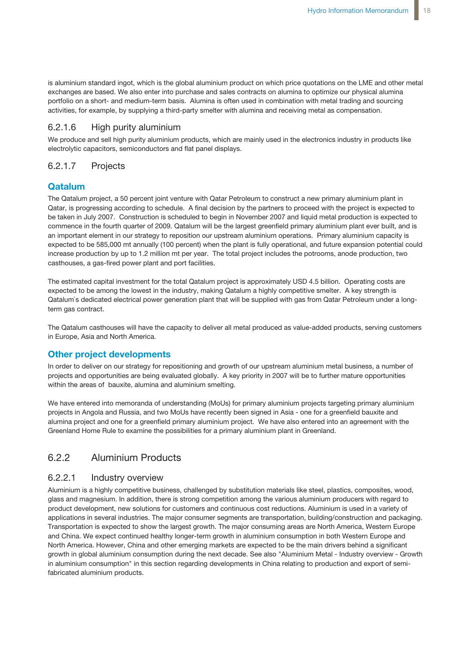is aluminium standard ingot, which is the global aluminium product on which price quotations on the LME and other metal exchanges are based. We also enter into purchase and sales contracts on alumina to optimize our physical alumina portfolio on a short- and medium-term basis. Alumina is often used in combination with metal trading and sourcing activities, for example, by supplying a third-party smelter with alumina and receiving metal as compensation.

### 6.2.1.6 High purity aluminium

We produce and sell high purity aluminium products, which are mainly used in the electronics industry in products like electrolytic capacitors, semiconductors and flat panel displays.

### 6.2.1.7 Projects

### **Qatalum**

The Qatalum project, a 50 percent joint venture with Qatar Petroleum to construct a new primary aluminium plant in Qatar, is progressing according to schedule. A final decision by the partners to proceed with the project is expected to be taken in July 2007. Construction is scheduled to begin in November 2007 and liquid metal production is expected to commence in the fourth quarter of 2009. Qatalum will be the largest greenfield primary aluminium plant ever built, and is an important element in our strategy to reposition our upstream aluminium operations. Primary aluminium capacity is expected to be 585,000 mt annually (100 percent) when the plant is fully operational, and future expansion potential could increase production by up to 1.2 million mt per year. The total project includes the potrooms, anode production, two casthouses, a gas-fired power plant and port facilities.

The estimated capital investment for the total Qatalum project is approximately USD 4.5 billion. Operating costs are expected to be among the lowest in the industry, making Qatalum a highly competitive smelter. A key strength is Qatalum`s dedicated electrical power generation plant that will be supplied with gas from Qatar Petroleum under a longterm gas contract.

The Qatalum casthouses will have the capacity to deliver all metal produced as value-added products, serving customers in Europe, Asia and North America.

### **Other project developments**

In order to deliver on our strategy for repositioning and growth of our upstream aluminium metal business, a number of projects and opportunities are being evaluated globally. A key priority in 2007 will be to further mature opportunities within the areas of bauxite, alumina and aluminium smelting.

We have entered into memoranda of understanding (MoUs) for primary aluminium projects targeting primary aluminium projects in Angola and Russia, and two MoUs have recently been signed in Asia - one for a greenfield bauxite and alumina project and one for a greenfield primary aluminium project. We have also entered into an agreement with the Greenland Home Rule to examine the possibilities for a primary aluminium plant in Greenland.

### 6.2.2 Aluminium Products

### 6.2.2.1 Industry overview

Aluminium is a highly competitive business, challenged by substitution materials like steel, plastics, composites, wood, glass and magnesium. In addition, there is strong competition among the various aluminium producers with regard to product development, new solutions for customers and continuous cost reductions. Aluminium is used in a variety of applications in several industries. The major consumer segments are transportation, building/construction and packaging. Transportation is expected to show the largest growth. The major consuming areas are North America, Western Europe and China. We expect continued healthy longer-term growth in aluminium consumption in both Western Europe and North America. However, China and other emerging markets are expected to be the main drivers behind a significant growth in global aluminium consumption during the next decade. See also "Aluminium Metal - Industry overview - Growth in aluminium consumption" in this section regarding developments in China relating to production and export of semifabricated aluminium products.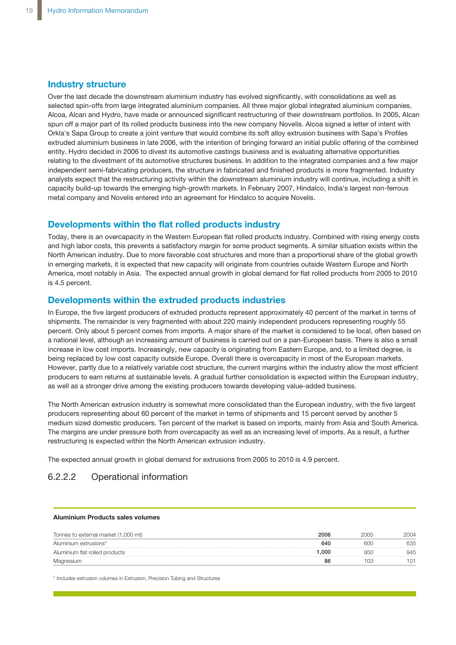### **Industry structure**

Over the last decade the downstream aluminium industry has evolved significantly, with consolidations as well as selected spin-offs from large integrated aluminium companies. All three major global integrated aluminium companies, Alcoa, Alcan and Hydro, have made or announced significant restructuring of their downstream portfolios. In 2005, Alcan spun off a major part of its rolled products business into the new company Novelis. Alcoa signed a letter of intent with Orkla's Sapa Group to create a joint venture that would combine its soft alloy extrusion business with Sapa's Profiles extruded aluminium business in late 2006, with the intention of bringing forward an initial public offering of the combined entity. Hydro decided in 2006 to divest its automotive castings business and is evaluating alternative opportunities relating to the divestment of its automotive structures business. In addition to the integrated companies and a few major independent semi-fabricating producers, the structure in fabricated and finished products is more fragmented. Industry analysts expect that the restructuring activity within the downstream aluminium industry will continue, including a shift in capacity build-up towards the emerging high-growth markets. In February 2007, Hindalco, India's largest non-ferrous metal company and Novelis entered into an agreement for Hindalco to acquire Novelis.

#### **Developments within the flat rolled products industry** the global growth in expected that new capacity markets in the new capacity will original that new capacity will originate

Today, there is an overcapacity in the Western European flat rolled products industry. Combined with rising energy costs and high labor costs, this prevents a satisfactory margin for some product segments. A similar situation exists within the North American industry. Due to more favorable cost structures and more than a proportional share of the global growth in emerging markets, it is expected that new capacity will originate from countries outside Western Europe and North America, most notably in Asia. The expected annual growth in global demand for flat rolled products from 2005 to 2010 **Developments within the extruded products industries**  $is 4.5$  percent.

### **Developments within the extruded products industries**

In Europe, the five largest producers of extruded products represent approximately 40 percent of the market in terms of shipments. The remainder is very fragmented with about 220 mainly independent producers representing roughly 55 percent. Only about 5 percent comes from imports. A major share of the market is considered to be local, often based on .<br>a national level, although an increasing amount of business is carried out on a pan-European basis. There is also a small increase in low cost imports. Increasingly, new capacity is originating from Eastern Europe, and, to a limited degree, is being replaced by low cost capacity outside Europe. Overall there is overcapacity in most of the European markets. However, partly due to a relatively variable cost structure, the current margins within the industry allow the most efficient returned, party and to an elaminary canadict successions, are can entroming the main the measury and the measurement<br>producers to earn returns at sustainable levels. A gradual further consolidation is expected within the E producers to cannotating at educations are reserving added remains concendation to expected main and as a stronger drive among the existing producers towards developing value-added business. value added business.

The North American extrusion industry is somewhat more consolidated than the European industry, with the five largest producers representing about 60 percent of the market in terms of shipments and 15 percent served by another 5 The North American extrusion industry is somewhat more consolidated than the producers representing about so persont or the market in terms or empirionts and to persont served by another o<br>medium sized domestic producers. Ten percent of the market is based on imports, mainly from Asia and South Ame medium sized domestic produccis. The percent of the market is based on imports, manny nonfited and county then<br>The margins are under pressure both from overcapacity as well as an increasing level of imports. As a result, a restructuring is expected within the North American extrusion industry. do margins are analy prosent bournom overequely as well as an increasing

The expected annual growth in global demand for extrusions from 2005 to 2010 is 4.9 percent. In American annual diominium of

## 6.2.2.2 Operational information

#### **Aluminium Products sales volumes**

| Tonnes to external market (1,000 mt) | 2006 |     |
|--------------------------------------|------|-----|
| Aluminium extrusions*                | 640  | 635 |
| Aluminium flat rolled products       | .000 |     |
|                                      | 86   |     |

\* Includes extrusion volumes in Extrusion, Precision Tubing and Structures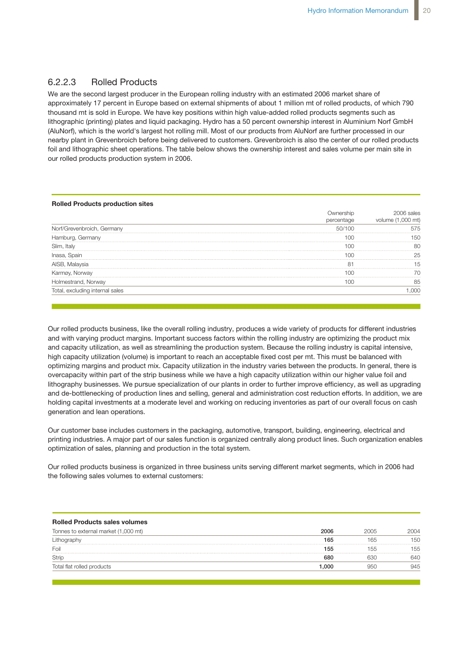### 6.2.2.3 Rolled Products

We are the second largest producer in the European rolling industry with an estimated 2006 market share of approximately 17 percent in Europe based on external shipments of about 1 million mt of rolled products, of which 790 thousand mt is sold in Europe. We have key positions within high value-added rolled products segments such as lithographic (printing) plates and liquid packaging. Hydro has a 50 percent ownership interest in Aluminium Norf GmbH (AluNorf), which is the world's largest hot rolling mill. Most of our products from AluNorf are further processed in our nearby plant in Grevenbroich before being delivered to customers. Grevenbroich is also the center of our rolled products foil and lithographic sheet operations. The table below shows the ownership interest and sales volume per main site in our rolled products production system in 2006.

#### **Rolled Products production sites**

|                                 |            | sales |  |
|---------------------------------|------------|-------|--|
|                                 | bercentage |       |  |
| Norf/Grevenbroich, Germany      | '1 N       |       |  |
| Germanv                         |            |       |  |
| Slim, Italy                     | n          |       |  |
|                                 |            |       |  |
| AISB, Malaysia                  | о.         |       |  |
|                                 |            |       |  |
| Holmestrand, Norway             |            |       |  |
| Total, excluding internal sales |            | ነበር   |  |
|                                 |            |       |  |

and with varying product margins. Important success factors within the rolling industry are optimizing the product mix and capacity utilization, as well as streamlining the production system. Because the rolling industry is capital intensive, high capacity utilization (volume) is important to reach an acceptable fixed cost per mt. This must be balanced with optimizing margins and product mix. Capacity utilization in the industry varies between the products. In general, there is overcapacity within part of the strip business while we have a high capacity utilization within our higher value foil and lithography businesses. We pursue specialization of our plants in order to further improve efficiency, as well as upgrading Our rolled products business, like the overall rolling industry, produces a wide variety of products for different industries and de-bottlenecking of production lines and selling, general and administration cost reduction efforts. In addition, we are holding capital investments at a moderate level and working on reducing inventories as part of our overall focus on cash generation and lean operations. The state of the state of the state of the state of the state of the state of the state of the state of the state of the state of the state of the state of the state of the state of the stat

Our customer base includes customers in the packaging, automotive, transport, building, engineering, electrical and printing industries. A major part of our sales function is organized centrally along product lines. Such organization enables optimization of sales, planning and production in the total system. Karmøy, Norway 100 70

Our rolled products business is organized in three business units serving different market segments, which in 2006 had  $u_{\text{S}}$  is the industry variety variety variety  $u_{\text{S}}$  is one capacity of products. In general, the products of  $u_{\text{S}}$ **consumption 2006** the following sales volumes to external customers: To the products business to organized in three business unto corring uniorship internet segments, when in 2000 had

| <b>Rolled Products sales volumes</b> |      |      |      |
|--------------------------------------|------|------|------|
| Tonnes to external market (1,000 mt) | 2006 | 2005 | 2004 |
|                                      | 165  | 65   | 150  |
| Foil                                 | 155  | .hh  | 155  |
|                                      | 680  |      | 640  |
| Total flat rolled products           | .000 |      | 945  |

North America

cist.

planning and production in entire total system.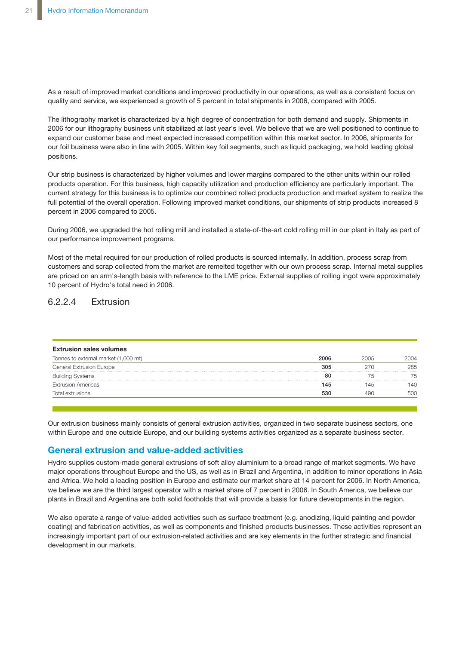As a result of improved market conditions and improved productivity in our operations, as well as a consistent focus on quality and service, we experienced a growth of 5 percent in total shipments in 2006, compared with 2005.

The lithography market is characterized by a high degree of concentration for both demand and supply. Shipments in 2006 for our lithography business unit stabilized at last year's level. We believe that we are well positioned to continue to expand our customer base and meet expected increased competition within this market sector. In 2006, shipments for our foil business were also in line with 2005. Within key foil segments, such as liquid packaging, we hold leading global positions.

Our strip business is characterized by higher volumes and lower margins compared to the other units within our rolled products operation. For this business, high capacity utilization and production efficiency are particularly important. The current strategy for this business is to optimize our combined rolled products production and market system to realize the full potential of the overall operation. Following improved market conditions, our shipments of strip products increased 8 percent in 2006 compared to 2005.

During 2006, we upgraded the hot rolling mill and installed a state-of-the-art cold rolling mill in our plant in Italy as part of our performance improvement programs.

Most of the metal required for our production of rolled products is sourced internally. In addition, process scrap from customers and scrap collected from the market are remelted together with our own process scrap. Internal metal supplies are priced on an arm's-length basis with reference to the LME price. External supplies of rolling ingot were approximately 10 percent of Hydro's total need in 2006.

### 6.2.2.4 Extrusion

| 2006 | 2005 | 2004 |
|------|------|------|
| 305  | 27C  | 285  |
| 80   |      | 75   |
| 145  | 145  | 140  |
| 530  |      |      |
|      |      |      |

within Europe and one outside Europe, and our building systems activities organized as a separate business sector. **Europe and North America** Our extrusion business mainly consists of general extrusion activities, organized in two separate business sectors, one

### **General extrusion and value-added activities**

Hydro supplies custom-made general extrusions of soft alloy aluminium to a broad range of market segments. We have In allegence capping captom makes general extracteries of correlated grammating of areas range of mainer eggmenter from the collected from the market areas in Asia major operations in Asia ridget operations allocagins at Europe and and SS, as well as in Brazil and Algoriana, in dadness to millet operations in read<br>and Africa. We hold a leading position in Europe and estimate our market share at 14 percent fo and armode to the Larming position in Edeby and colling is on market sharp at the potent for Eccentrical memori<br>we believe we are the third largest operator with a market share of 7 percent in 2006. In South America, we be we believe we are the third largeet operator with a market enare of F percent in 2006. In Seath Finenca, we believe<br>plants in Brazil and Argentina are both solid footholds that will provide a basis for future developments

we also operate a range of value-added activities such as surface treatment (e.g. anodizing, liquid painting and powder<br>We also operate a range of value-added activities such as surface treatment (e.g. anodizing, liquid pa coating) and fabrication activities, as well as components and finished products businesses. These activities represent an busing, and raphoditori activities, as well as components and implied producte sistems activities organized as a separate business sector. The sector sector sectors sector.  $the$ f oic a increasingly important part of our extrusion-related activities and are key elements in the further strategic and financial<br>development in eur merkete development in our markets.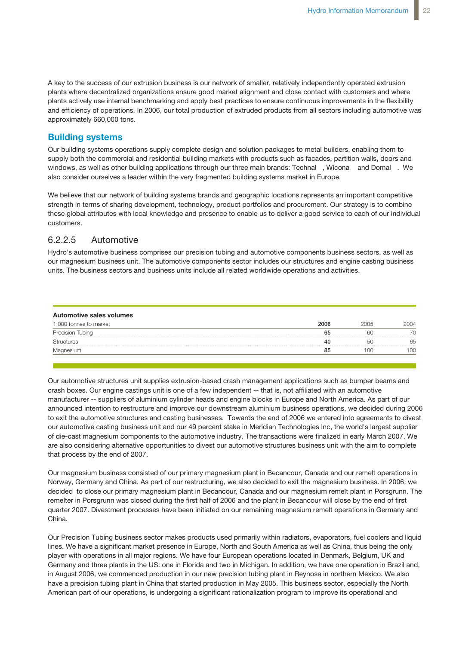A key to the success of our extrusion business is our network of smaller, relatively independently operated extrusion plants where decentralized organizations ensure good market alignment and close contact with customers and where plants actively use internal benchmarking and apply best practices to ensure continuous improvements in the flexibility .<br>and efficiency of operations. In 2006, our total production of extruded products from all sectors including automotive was approximately 660,000 tons.  $t_{\rm s}$  such as bumper beams and crash boxes. Our engine castings unit is one of a crash boxes. Our engine castings unit is one of a crash boxes. Our engine castings unit is one of a crash boxes. Our engine casting  $\alpha$ 

### **Building systems**

our building systems operations supply complete design and solution packages to metal builders, enabling them to supply both the commercial and residential building markets with products such as facades, partition walls, doors and windows, as well as other building applications through our three main brands: Technal™, Wicona™ and Domal™. We also consider ourselves a leader within the very fragmented building systems market in Europe. n'npiele design and solution packages to metal builders, enabling them to

We believe that our network of building systems brands and geographic locations represents an important competitive strength in terms of sharing development, technology, product portfolios and procurement. Our strategy is to combine these global attributes with local knowledge and presence to enable us to deliver a good service to each of our individual customers.

### 6.2.2.5 Automotive

Hydro's automotive business comprises our precision tubing and automotive components business sectors, as well as our magnesium business unit. The automotive components sector includes our structures and engine casting business units. The business sectors and business units include all related worldwide operations and activities.

| Automotive sales volumes |      |      |      |
|--------------------------|------|------|------|
| 1,000 tonnes to market   | 2006 | 2005 | ንበበ4 |
| Precision Tubing         | 65   |      |      |
| itructures               |      |      |      |
|                          |      |      |      |

crash boxes. Our engine castings unit is one of a few independent -- that is, not affiliated with an automotive manufacturer -- suppliers of aluminium cylinder heads and engine blocks in Europe and North America. As part of our announced intention to restructure and improve our downstream aluminium business operations, we decided during 2006 to exit the automotive structures and casting businesses. Towards the end of 2006 we entered into agreements to divest our automotive casting business unit and our 49 percent stake in Meridian Technologies Inc, the world's largest supplier of die-cast magnesium components to the automotive industry. The transactions were finalized in early March 2007. We menced production in our new production in the production of the plant in the plant in the complete We also have a precision tubing plant in China that started production in May 2005. This are also considering alternative opportunities to divest our automotive structures business unit with the aim to complete Our automotive structures unit supplies extrusion-based crash management applications such as bumper beams and that process by the end of 2007.

Our magnesium business consisted of our primary magnesium plant in Becancour, Canada and our remelt operations in through cost-reduction programs at the plant level. Moreover, a plan for ramp-up Norway, Germany and China. As part of our restructuring, we also decided to exit the magnesium business. In 2006, we recrusy, domain, and oninary is part of our restractuming, we also decided to our the magnesium such section in Ecce, we<br>decided to close our primary magnesium plant in Becancour, Canada and our magnesium remelt plant in P remelter in Porsgrunn was closed during the first half of 2006 and the plant in Becancour will close by the end of first quarter 2007. Divestment processes have been initiated on our remaining magnesium remelt operations in Germany and China.

Our Precision Tubing business sector makes products used primarily within radiators, evaporators, fuel coolers and liquid lines. We have a significant market presence in Europe, North and South America as well as China, thus being the only player with operations in all major regions. We have four European operations located in Denmark, Belgium, UK and **Polymers** in August 2006, we commenced production in our new precision tubing plant in Reynosa in northern Mexico. We also have a precision tubing plant in China that started production in May 2005. This business sector, especially the North American part of our operations, is undergoing a significant rationalization program to improve its operational and Germany and three plants in the US: one in Florida and two in Michigan. In addition, we have one operation in Brazil and,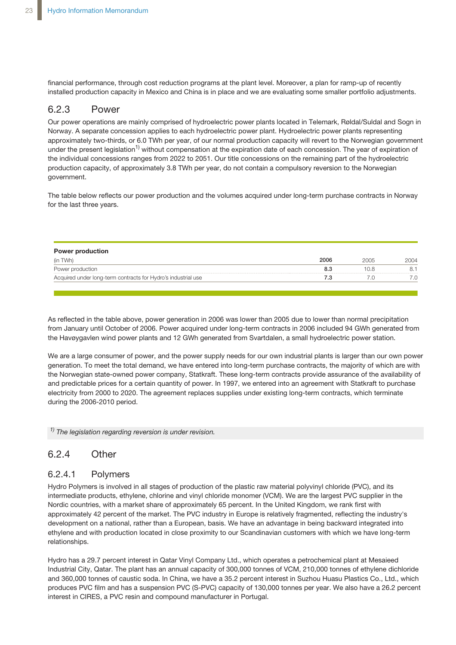financial performance, through cost reduction programs at the plant level. Moreover, a plan for ramp-up of recently installed production capacity in Mexico and China is in place and we are evaluating some smaller portfolio adjustments.

#### 6.2.3 Power  $2^2$  Dower power plant. Hydroelectric power plant. Hydroelectric power plant. Hydroelectric power plant. Hydroelectric power power power plant. Hydroelectric power power power power power power power power power power po

onsersenting<br>Our power operations are mainly comprised of hydroelectric power plants located in Telemark, Røldal/Suldal and Sogn in Norway. A separate concession applies to each hydroelectric power plant. Hydroelectric power plants representing approximately two-thirds, or 6.0 TWh per year, of our normal production capacity will revert to the Norwegian government under the present legislation<sup>1)</sup> without compensation at the expiration date of each concession. The year of expiration of the individual concessions ranges from 2022 to 2051. Our title concessions on the remaining part of the hydroelectric production capacity, of approximately 3.8 TWh per year, do not contain a compulsory reversion to the Norwegian dition to our hydroelectric power station to our hydroelectric power stations, we are a partial owner (44 percent) of the stations, we are a partial owner (44 percent) of the stations, we are a partial owner (44 percent) o ar power operations are mainly comprised of hydroelectric power plants locate

The table below reflects our power production and the volumes acquired under long-term purchase contracts in Norway for the last three years.

| <b>Power production</b>                                       |      |  |
|---------------------------------------------------------------|------|--|
|                                                               | 2006 |  |
| Power production                                              | 8.3  |  |
| Acquired under long-term contracts for Hydro's industrial use |      |  |

As reflected in the table above, power generation in 2006 was lower than 2005 due to As reflected in the table above, power generation in 2006 was lower than 2005 due to lower than normal precipitation<br>As reflected in the table above, power generation in 2006 was lower than 2005 due to lower than normal pr under long-term contracts in 2006 included 94 Gwh generated from the Havøygavlen from the Havøygavlen from the Havøygavlen from the Havøygavlen from the Havøygavlen from the Havøygavlen from the Havøygavlen from the Havøyg the Havøygavlen wind power plants and 12 GWh generated from Svartdalen, a small hydroelectric power station.<br> from January until October of 2006. Power acquired under long-term contracts in 2006 included 94 GWh generated from

we are a large consumer of power, and the power supply needs for our own industrial plants is larger than our own power generation. To meet the total demand, we have entered into long-term purchase contracts, the majority of which are with the Norwegian state-owned power company, Statkraft. These long-term contracts provide assurance of the availability of and predictable prices for a certain quantity of power. In 1997, we entered into an agreement with Statkraft to purchase electricity from 2000 to 2020. The agreement replaces supplies under existing long-term contracts, which terminate during the 2006-2010 period.

<sup>1)</sup> The *legislation regarding reversion is under revision.* 

#### $24$  comparison of the company  $\Omega$ new gas-fired power power plant at Kårstø in Norway was taken in Norway was taken in the summer of 2005. The summer of 2005. The summer of 2005. The summer of 2005. The summer of 2005. The summer of 2005. The summer of 200 6.2.4 Other

#### power plant is planned to be in operation during the second half of 2007. Our share of 6.2.4.1 Polymers

intermediate products, ethylene, chlorine and vinyl chloride monomer (VCM). We are the largest PVC supplier in the Nordic countries, with a market share of approximately 65 percent. In the United Kingdom, we rank first with approximately 42 percent of the market. The PVC industry in Europe is relatively fragmented, reflecting the industry's development on a national, rather than a European, basis. We have an advantage in being backward integrated into ethylene and with production located in close proximity to our Scandinavian customers with which we have long-term the Baltic countries of the Reitan Group effective 1 October 2006. We may be made the Reitan Group effective 1 October 2006. We may be made the Reitan Group effective 1 October 2006. We may be made the Reitan Group effecti Hydro Polymers is involved in all stages of production of the plastic raw material polyvinyl chloride (PVC), and its

Hydro has a 29.7 percent interest in Qatar Vinyl Company Ltd., which operates a petrochemical plant at Mesaieed Industrial City, Qatar. The plant has an annual capacity of 300,000 tonnes of VCM, 210,000 tonnes of ethylene dichloride produces PVC film and has a suspension PVC (S-PVC) capacity of 130,000 tonnes per year. We also have a 26.2 percent interest in CIRES, a PVC resin and compound manufacturer in Portugal. and 360,000 tonnes of caustic soda. In China, we have a 35.2 percent interest in Suzhou Huasu Plastics Co., Ltd., which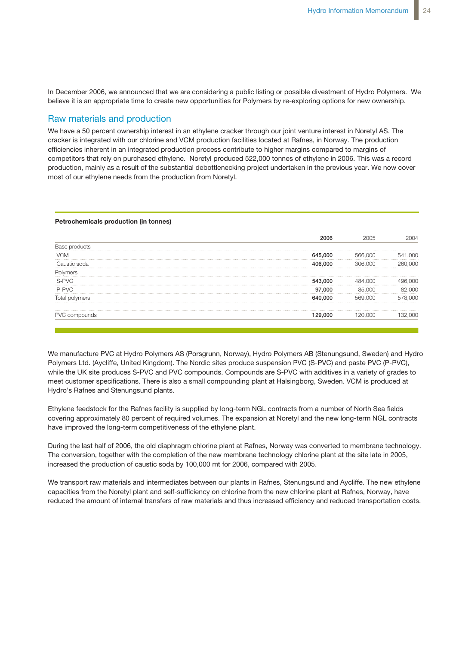In December 2006, we announced that we are considering a public listing or possible divestment of Hydro Polymers. We In December 2006, we announced that we are considering a public listing or possible believe it is an appropriate time to create new opportunities for Polymers by re-exploring options for new ownership. December 2006, we announced that we are considering a public listing or pos

### Raw materials and production **Raw materials and production**

We have a 50 percent ownership interest in an ethylene cracker through our joint venture interest in Noretyl AS. The We have a 50 percent ownership interest in an ethylene cracker through our joint venture **900** cracker is integrated with our chlorine and VCM production facilities located at Rafnes, in Norway. The production efficiencies inherent in an integrated production process contribute to higher margins compared to margins of competitors that rely on purchased ethylene. Noretyl produced 522,000 tonnes of ethylene in 2006. This was a record production, mainly as a result of the substantial debottlenecking project undertaken in the previous year. We now cover most of our ethylene needs from the production from Noretyl.

#### **Petrochemicals production (in tonnes)**

|      | 06.000 |  |
|------|--------|--|
|      |        |  |
|      |        |  |
| .000 |        |  |
|      |        |  |
|      |        |  |
|      |        |  |

 $W^{\prime}$  manufacture  $P$  (Polymers AS (Porsgrunn), Hydro Polymers AS (Porsgrunn), Hydro Polymers AB (Polymers AB (Polymers AB (Polymers AB (Polymers), Hydro Polymers AB (Polymers), Hydro Polymers AB (Polymers), Hydro Polym We manufacture PVC at Hydro Polymers AS (Porsgrunn, Norway), Hydro Polymers AB (Stenungsund, Sweden) and Hydro Polymers Ltd. (Aycliffe, United Kingdom). The Nordic sites produce suspension PVC (S-PVC) and paste PVC (P-PVC), while the UK site produces S-PVC and PVC compounds. Compounds are S-PVC with additives in a variety of grades to meet customer specifications. There is also a small compounding plant at Halsingborg, Sweden. VCM is produced at Hydro's Rafnes and Stenungsund plants.

Ethylene feedstock for the Rafnes facility is supplied by long-term NGL contracts from a number of North Sea fields covering approximately 80 percent of required volumes. The expansion at Noretyl and the new long-term NGL contracts have improved the long-term competitiveness of the ethylene plant.

During the last half of 2006, the old diaphragm chlorine plant at Rafnes, Norway was converted to membrane technology. increased the production of caustic soda by 100,000 mt for 2006, compared with 2005. The conversion, together with the completion of the new membrane technology chlorine plant at the site late in 2005,

We transport raw materials and intermediates between our plants in Rafnes, Stenungsund and Aycliffe. The new ethylene capacities from the Noretyl plant and self-sufficiency on chlorine from the new chlorine plant at Rafnes, Norway, have reduced the amount of internal transfers of raw materials and thus increased efficiency and reduced transportation costs.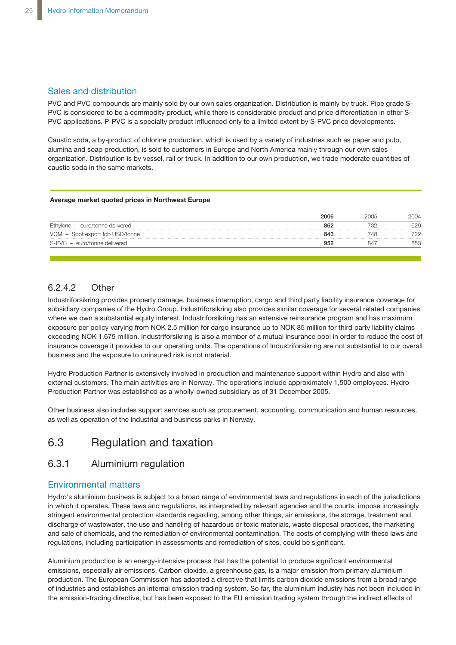### Sales and distribution

PVC and PVC compounds are mainly sold by our own sales organization. Distribution is mainly by truck. Pipe grade S-PVC is considered to be a commodity product, while there is considerable product and price differentiation in other S-PVC applications. P-PVC is a specialty product influenced only to a limited extent by S-PVC price developments.

Caustic soda, a by-product of chlorine production, which is used by a variety of industries such as paper and pulp, alumina and soap production, is sold to customers in Europe and North America mainly through our own sales organization. Distribution is by vessel, rail or truck. In addition to our own production, we trade moderate quantities of<br>
Houstic activity the same markets caustic soda in the same markets.

#### **Average market quoted prices in Northwest Europe**

|                                 | 2006 |    | 2004 |
|---------------------------------|------|----|------|
| Ethylene - euro/tonne delivered | 862  |    | 629  |
| VCM - Spot export fob USD/tonne | 843  |    |      |
| S-PVC - euro/tonne delivered    |      | 84 | 353  |
|                                 |      |    |      |

### 6.2.4.2 Other

Industriforsikring provides property damage, business interruption, cargo and third party liability insurance coverage for subsidiary companies of the Hydro Group. Industriforsikring also provides similar coverage for several related companies where we own a substantial equity interest. Industriforsikring has an extensive reinsurance program and has maximum exposure per policy varying from NOK 2.5 million for cargo insurance up to NOK 85 million for third party liability claims exceeding NOK 1,675 million. Industriforsikring is also a member of a mutual insurance pool in order to reduce the cost of insurance coverage it provides to our operating units. The operations of Industriforsikring are not substantial to our overall business and the exposure to uninsured risk is not material.

Hydro Production Partner is extensively involved in production and maintenance support within Hydro and also with external customers. The main activities are in Norway. The operations include approximately 1,500 employees. Hydro Production Partner was established as a wholly-owned subsidiary as of 31 December 2005.

Other business also includes support services such as procurement, accounting, communication and human resources, as well as operation of the industrial and business parks in Norway.

## 6.3 Regulation and taxation

### 6.3.1 Aluminium regulation

### Environmental matters

Hydro's aluminium business is subject to a broad range of environmental laws and regulations in each of the jurisdictions in which it operates. These laws and regulations, as interpreted by relevant agencies and the courts, impose increasingly stringent environmental protection standards regarding, among other things, air emissions, the storage, treatment and discharge of wastewater, the use and handling of hazardous or toxic materials, waste disposal practices, the marketing and sale of chemicals, and the remediation of environmental contamination. The costs of complying with these laws and regulations, including participation in assessments and remediation of sites, could be significant.

Aluminium production is an energy-intensive process that has the potential to produce significant environmental emissions, especially air emissions. Carbon dioxide, a greenhouse gas, is a major emission from primary aluminium production. The European Commission has adopted a directive that limits carbon dioxide emissions from a broad range of industries and establishes an internal emission trading system. So far, the aluminium industry has not been included in the emission-trading directive, but has been exposed to the EU emission trading system through the indirect effects of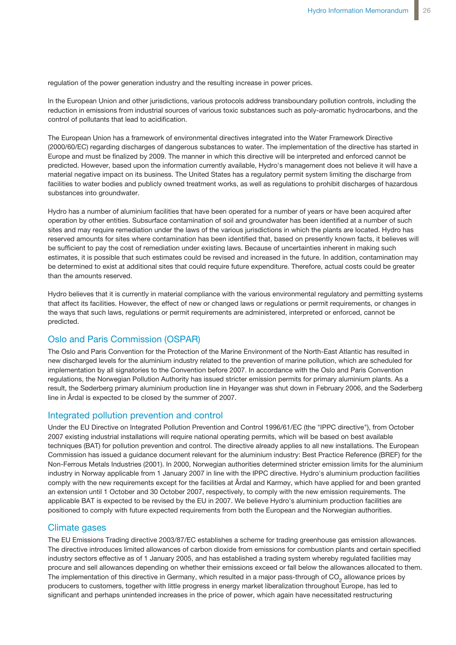regulation of the power generation industry and the resulting increase in power prices.

In the European Union and other jurisdictions, various protocols address transboundary pollution controls, including the reduction in emissions from industrial sources of various toxic substances such as poly-aromatic hydrocarbons, and the control of pollutants that lead to acidification.

The European Union has a framework of environmental directives integrated into the Water Framework Directive (2000/60/EC) regarding discharges of dangerous substances to water. The implementation of the directive has started in Europe and must be finalized by 2009. The manner in which this directive will be interpreted and enforced cannot be predicted. However, based upon the information currently available, Hydro's management does not believe it will have a material negative impact on its business. The United States has a regulatory permit system limiting the discharge from facilities to water bodies and publicly owned treatment works, as well as regulations to prohibit discharges of hazardous substances into groundwater.

Hydro has a number of aluminium facilities that have been operated for a number of years or have been acquired after operation by other entities. Subsurface contamination of soil and groundwater has been identified at a number of such sites and may require remediation under the laws of the various jurisdictions in which the plants are located. Hydro has reserved amounts for sites where contamination has been identified that, based on presently known facts, it believes will be sufficient to pay the cost of remediation under existing laws. Because of uncertainties inherent in making such estimates, it is possible that such estimates could be revised and increased in the future. In addition, contamination may be determined to exist at additional sites that could require future expenditure. Therefore, actual costs could be greater than the amounts reserved.

Hydro believes that it is currently in material compliance with the various environmental regulatory and permitting systems that affect its facilities. However, the effect of new or changed laws or regulations or permit requirements, or changes in the ways that such laws, regulations or permit requirements are administered, interpreted or enforced, cannot be predicted.

### Oslo and Paris Commission (OSPAR)

The Oslo and Paris Convention for the Protection of the Marine Environment of the North-East Atlantic has resulted in new discharged levels for the aluminium industry related to the prevention of marine pollution, which are scheduled for implementation by all signatories to the Convention before 2007. In accordance with the Oslo and Paris Convention regulations, the Norwegian Pollution Authority has issued stricter emission permits for primary aluminium plants. As a result, the Søderberg primary aluminium production line in Høyanger was shut down in February 2006, and the Søderberg line in Årdal is expected to be closed by the summer of 2007.

### Integrated pollution prevention and control

Under the EU Directive on Integrated Pollution Prevention and Control 1996/61/EC (the "IPPC directive"), from October 2007 existing industrial installations will require national operating permits, which will be based on best available techniques (BAT) for pollution prevention and control. The directive already applies to all new installations. The European Commission has issued a guidance document relevant for the aluminium industry: Best Practice Reference (BREF) for the Non-Ferrous Metals Industries (2001). In 2000, Norwegian authorities determined stricter emission limits for the aluminium industry in Norway applicable from 1 January 2007 in line with the IPPC directive. Hydro's aluminium production facilities comply with the new requirements except for the facilities at Årdal and Karmøy, which have applied for and been granted an extension until 1 October and 30 October 2007, respectively, to comply with the new emission requirements. The applicable BAT is expected to be revised by the EU in 2007. We believe Hydro's aluminium production facilities are positioned to comply with future expected requirements from both the European and the Norwegian authorities.

### Climate gases

The EU Emissions Trading directive 2003/87/EC establishes a scheme for trading greenhouse gas emission allowances. The directive introduces limited allowances of carbon dioxide from emissions for combustion plants and certain specified industry sectors effective as of 1 January 2005, and has established a trading system whereby regulated facilities may procure and sell allowances depending on whether their emissions exceed or fall below the allowances allocated to them. The implementation of this directive in Germany, which resulted in a major pass-through of CO<sub>2</sub> allowance prices by producers to customers, together with little progress in energy market liberalization throughout Europe, has led to significant and perhaps unintended increases in the price of power, which again have necessitated restructuring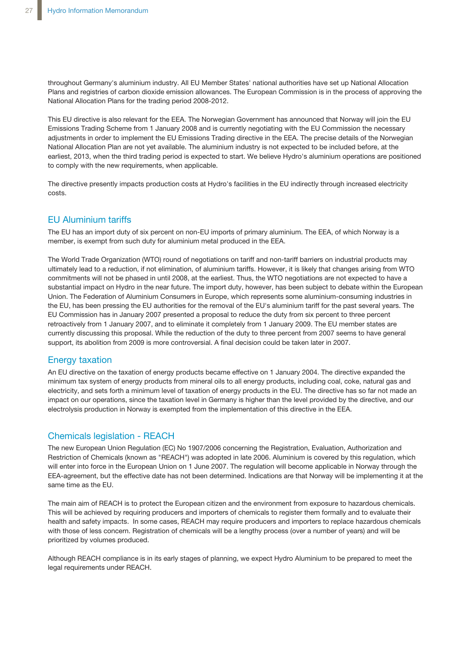throughout Germany's aluminium industry. All EU Member States' national authorities have set up National Allocation Plans and registries of carbon dioxide emission allowances. The European Commission is in the process of approving the National Allocation Plans for the trading period 2008-2012.

This EU directive is also relevant for the EEA. The Norwegian Government has announced that Norway will join the EU Emissions Trading Scheme from 1 January 2008 and is currently negotiating with the EU Commission the necessary adjustments in order to implement the EU Emissions Trading directive in the EEA. The precise details of the Norwegian National Allocation Plan are not yet available. The aluminium industry is not expected to be included before, at the earliest, 2013, when the third trading period is expected to start. We believe Hydro's aluminium operations are positioned to comply with the new requirements, when applicable.

The directive presently impacts production costs at Hydro's facilities in the EU indirectly through increased electricity costs.

### EU Aluminium tariffs

The EU has an import duty of six percent on non-EU imports of primary aluminium. The EEA, of which Norway is a member, is exempt from such duty for aluminium metal produced in the EEA.

The World Trade Organization (WTO) round of negotiations on tariff and non-tariff barriers on industrial products may ultimately lead to a reduction, if not elimination, of aluminium tariffs. However, it is likely that changes arising from WTO commitments will not be phased in until 2008, at the earliest. Thus, the WTO negotiations are not expected to have a substantial impact on Hydro in the near future. The import duty, however, has been subject to debate within the European Union. The Federation of Aluminium Consumers in Europe, which represents some aluminium-consuming industries in the EU, has been pressing the EU authorities for the removal of the EU's aluminium tariff for the past several years. The EU Commission has in January 2007 presented a proposal to reduce the duty from six percent to three percent retroactively from 1 January 2007, and to eliminate it completely from 1 January 2009. The EU member states are currently discussing this proposal. While the reduction of the duty to three percent from 2007 seems to have general support, its abolition from 2009 is more controversial. A final decision could be taken later in 2007.

### Energy taxation

An EU directive on the taxation of energy products became effective on 1 January 2004. The directive expanded the minimum tax system of energy products from mineral oils to all energy products, including coal, coke, natural gas and electricity, and sets forth a minimum level of taxation of energy products in the EU. The directive has so far not made an impact on our operations, since the taxation level in Germany is higher than the level provided by the directive, and our electrolysis production in Norway is exempted from the implementation of this directive in the EEA.

### Chemicals legislation - REACH

The new European Union Regulation (EC) No 1907/2006 concerning the Registration, Evaluation, Authorization and Restriction of Chemicals (known as "REACH") was adopted in late 2006. Aluminium is covered by this regulation, which will enter into force in the European Union on 1 June 2007. The regulation will become applicable in Norway through the EEA-agreement, but the effective date has not been determined. Indications are that Norway will be implementing it at the same time as the EU.

The main aim of REACH is to protect the European citizen and the environment from exposure to hazardous chemicals. This will be achieved by requiring producers and importers of chemicals to register them formally and to evaluate their health and safety impacts. In some cases, REACH may require producers and importers to replace hazardous chemicals with those of less concern. Registration of chemicals will be a lengthy process (over a number of years) and will be prioritized by volumes produced.

Although REACH compliance is in its early stages of planning, we expect Hydro Aluminium to be prepared to meet the legal requirements under REACH.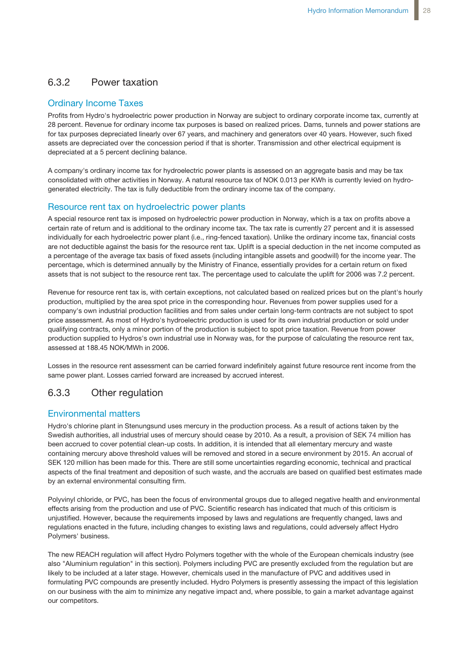## 6.3.2 Power taxation

### Ordinary Income Taxes

Profits from Hydro's hydroelectric power production in Norway are subject to ordinary corporate income tax, currently at 28 percent. Revenue for ordinary income tax purposes is based on realized prices. Dams, tunnels and power stations are for tax purposes depreciated linearly over 67 years, and machinery and generators over 40 years. However, such fixed assets are depreciated over the concession period if that is shorter. Transmission and other electrical equipment is depreciated at a 5 percent declining balance.

A company's ordinary income tax for hydroelectric power plants is assessed on an aggregate basis and may be tax consolidated with other activities in Norway. A natural resource tax of NOK 0.013 per KWh is currently levied on hydrogenerated electricity. The tax is fully deductible from the ordinary income tax of the company.

### Resource rent tax on hydroelectric power plants

A special resource rent tax is imposed on hydroelectric power production in Norway, which is a tax on profits above a certain rate of return and is additional to the ordinary income tax. The tax rate is currently 27 percent and it is assessed individually for each hydroelectric power plant (i.e., ring-fenced taxation). Unlike the ordinary income tax, financial costs are not deductible against the basis for the resource rent tax. Uplift is a special deduction in the net income computed as a percentage of the average tax basis of fixed assets (including intangible assets and goodwill) for the income year. The percentage, which is determined annually by the Ministry of Finance, essentially provides for a certain return on fixed assets that is not subject to the resource rent tax. The percentage used to calculate the uplift for 2006 was 7.2 percent.

Revenue for resource rent tax is, with certain exceptions, not calculated based on realized prices but on the plant's hourly production, multiplied by the area spot price in the corresponding hour. Revenues from power supplies used for a company's own industrial production facilities and from sales under certain long-term contracts are not subject to spot price assessment. As most of Hydro's hydroelectric production is used for its own industrial production or sold under qualifying contracts, only a minor portion of the production is subject to spot price taxation. Revenue from power production supplied to Hydros's own industrial use in Norway was, for the purpose of calculating the resource rent tax, assessed at 188.45 NOK/MWh in 2006.

Losses in the resource rent assessment can be carried forward indefinitely against future resource rent income from the same power plant. Losses carried forward are increased by accrued interest.

## 6.3.3 Other regulation

### Environmental matters

Hydro's chlorine plant in Stenungsund uses mercury in the production process. As a result of actions taken by the Swedish authorities, all industrial uses of mercury should cease by 2010. As a result, a provision of SEK 74 million has been accrued to cover potential clean-up costs. In addition, it is intended that all elementary mercury and waste containing mercury above threshold values will be removed and stored in a secure environment by 2015. An accrual of SEK 120 million has been made for this. There are still some uncertainties regarding economic, technical and practical aspects of the final treatment and deposition of such waste, and the accruals are based on qualified best estimates made by an external environmental consulting firm.

Polyvinyl chloride, or PVC, has been the focus of environmental groups due to alleged negative health and environmental effects arising from the production and use of PVC. Scientific research has indicated that much of this criticism is unjustified. However, because the requirements imposed by laws and regulations are frequently changed, laws and regulations enacted in the future, including changes to existing laws and regulations, could adversely affect Hydro Polymers' business.

The new REACH regulation will affect Hydro Polymers together with the whole of the European chemicals industry (see also "Aluminium regulation" in this section). Polymers including PVC are presently excluded from the regulation but are likely to be included at a later stage. However, chemicals used in the manufacture of PVC and additives used in formulating PVC compounds are presently included. Hydro Polymers is presently assessing the impact of this legislation on our business with the aim to minimize any negative impact and, where possible, to gain a market advantage against our competitors.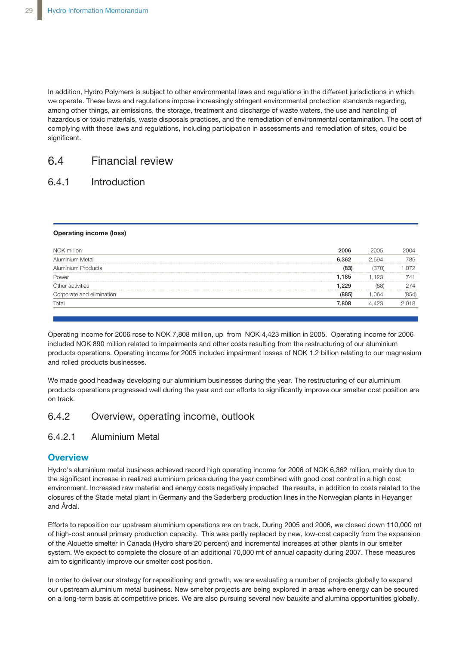In addition, Hydro Polymers is subject to other environmental laws and regulations in the different jurisdictions in which we operate. These laws and regulations impose increasingly stringent environmental protection standards regarding, among other things, air emissions, the storage, treatment and discharge of waste waters, the use and handling of hazardous or toxic materials, waste disposals practices, and the remediation of environmental contamination. The cost of complying with these laws and regulations, including participation in assessments and remediation of sites, could be significant.

## 6.4 Financial review

### 6.4.1 Introduction

#### Operating income (loss)

| .362  |       |  |
|-------|-------|--|
|       |       |  |
| (83)  |       |  |
| 1.185 | 1.123 |  |
| 229   |       |  |
|       |       |  |
| 808   |       |  |
|       |       |  |

Operating income for 2006 rose to NOK 7,808 million, up from NOK 4,423 million in 2005. Operating income for 2006 included NOK 890 million related to impairments and other costs resulting from the restructuring of our aluminium products operations. Operating income for 2005 included impairment losses of NOK 1.2 billion relating to our magnesium and rolled products businesses.

We made good headway developing our aluminium businesses during the year. The restructuring of our aluminium products operations progressed well during the year and our efforts to significantly improve our smelter cost position are on track.

### 6.4.2 Overview, operating income, outlook

### 6.4.2.1 Aluminium Metal

### **Overview**

Hydro's aluminium metal business achieved record high operating income for 2006 of NOK 6,362 million, mainly due to the significant increase in realized aluminium prices during the year combined with good cost control in a high cost environment. Increased raw material and energy costs negatively impacted the results, in addition to costs related to the closures of the Stade metal plant in Germany and the Søderberg production lines in the Norwegian plants in Høyanger and Årdal.

Efforts to reposition our upstream aluminium operations are on track. During 2005 and 2006, we closed down 110,000 mt of high-cost annual primary production capacity. This was partly replaced by new, low-cost capacity from the expansion of the Alouette smelter in Canada (Hydro share 20 percent) and incremental increases at other plants in our smelter system. We expect to complete the closure of an additional 70,000 mt of annual capacity during 2007. These measures aim to significantly improve our smelter cost position.

In order to deliver our strategy for repositioning and growth, we are evaluating a number of projects globally to expand our upstream aluminium metal business. New smelter projects are being explored in areas where energy can be secured on a long-term basis at competitive prices. We are also pursuing several new bauxite and alumina opportunities globally.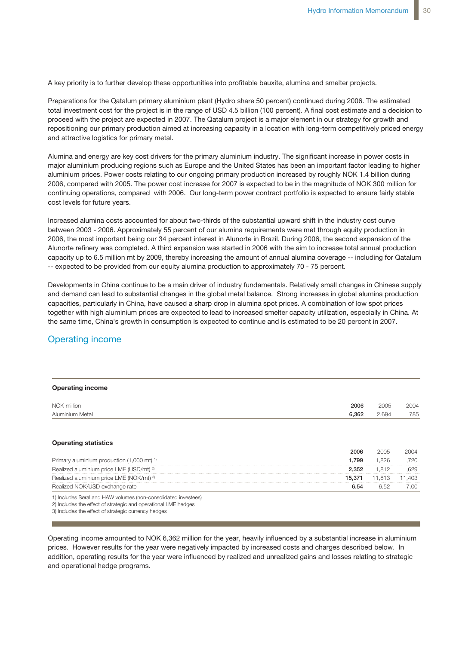A key priority is to further develop these opportunities into profitable bauxite, alumina and smelter projects.

Preparations for the Qatalum primary aluminium plant (Hydro share 50 percent) continued during 2006. The estimated total investment cost for the project is in the range of USD 4.5 billion (100 percent). A final cost estimate and a decision to proceed with the project are expected in 2007. The Qatalum project is a major element in our strategy for growth and repositioning our primary production aimed at increasing capacity in a location with long-term competitively priced energy and attractive logistics for primary metal.

Alumina and energy are key cost drivers for the primary aluminium industry. The significant increase in power costs in major aluminium producing regions such as Europe and the United States has been an important factor leading to higher aluminium prices. Power costs relating to our ongoing primary production increased by roughly NOK 1.4 billion during 2006, compared with 2005. The power cost increase for 2007 is expected to be in the magnitude of NOK 300 million for continuing operations, compared with 2006. Our long-term power contract portfolio is expected to ensure fairly stable cost levels for future years.

Increased alumina costs accounted for about two-thirds of the substantial upward shift in the industry cost curve between 2003 - 2006. Approximately 55 percent of our alumina requirements were met through equity production in 2006, the most important being our 34 percent interest in Alunorte in Brazil. During 2006, the second expansion of the Alunorte refinery was completed. A third expansion was started in 2006 with the aim to increase total annual production capacity up to 6.5 million mt by 2009, thereby increasing the amount of annual alumina coverage -- including for Qatalum -- expected to be provided from our equity alumina production to approximately 70 - 75 percent.

Developments in China continue to be a main driver of industry fundamentals. Relatively small changes in Chinese supply and demand can lead to substantial changes in the global metal balance. Strong increases in global alumina production capacities, particularly in China, have caused a sharp drop in alumina spot prices. A combination of low spot prices together with high aluminium prices are expected to lead to increased smelter capacity utilization, especially in China. At the same time, China's growth in consumption is expected to continue and is estimated to be 20 percent in 2007.

### Operating income

| <b>Operating income</b>                                        |        |        |        |
|----------------------------------------------------------------|--------|--------|--------|
| NOK million                                                    | 2006   | 2005   | 2004   |
| Aluminium Metal                                                | 6,362  | 2.694  | 785    |
| <b>Operating statistics</b>                                    | 2006   | 2005   | 2004   |
| Primary aluminium production (1,000 mt) <sup>1)</sup>          | 1.799  | 1.826  | .720   |
| Realized aluminium price LME (USD/mt) <sup>2)</sup>            | 2.352  | 1.812  | .629   |
| Realized aluminium price LME (NOK/mt) 3)                       | 15.371 | 11,813 | 11.403 |
| Realized NOK/USD exchange rate                                 | 6.54   | 6.52   | 7.00   |
| 1) Includes Søral and HAW volumes (non-consolidated investees) |        |        |        |

2) Includes the effect of strategic and operational LME hedges

3) Includes the effect of strategic currency hedges

prices. However results for the year were negatively impacted by increased costs and charges described below. In  $\frac{1}{200}$  influenced by realized and unrealized as no and lessoes relating to otrategie. addition, operating results for the year were influenced by realized and unrealized gains and losses relating to strategic<br>and energtional hades programs Operating income amounted to NOK 6,362 million for the year, heavily influenced by a substantial increase in aluminium and operational hedge programs.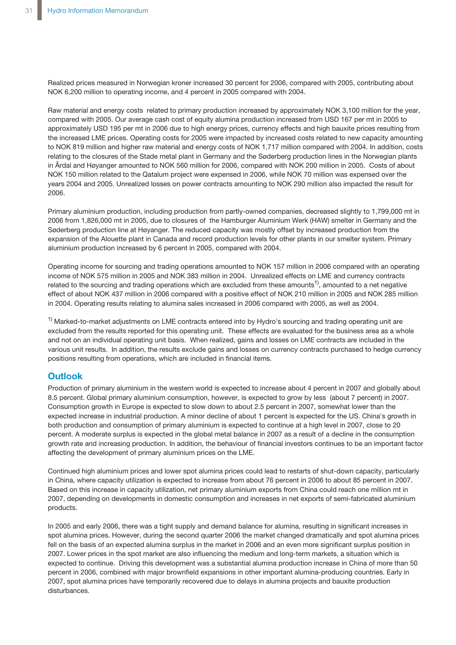Realized prices measured in Norwegian kroner increased 30 percent for 2006, compared with 2005, contributing about NOK 6,200 million to operating income, and 4 percent in 2005 compared with 2004.

Raw material and energy costs related to primary production increased by approximately NOK 3,100 million for the year, compared with 2005. Our average cash cost of equity alumina production increased from USD 167 per mt in 2005 to approximately USD 195 per mt in 2006 due to high energy prices, currency effects and high bauxite prices resulting from the increased LME prices. Operating costs for 2005 were impacted by increased costs related to new capacity amounting to NOK 819 million and higher raw material and energy costs of NOK 1,717 million compared with 2004. In addition, costs relating to the closures of the Stade metal plant in Germany and the Søderberg production lines in the Norwegian plants in Årdal and Høyanger amounted to NOK 560 million for 2006, compared with NOK 200 million in 2005. Costs of about NOK 150 million related to the Qatalum project were expensed in 2006, while NOK 70 million was expensed over the years 2004 and 2005. Unrealized losses on power contracts amounting to NOK 290 million also impacted the result for 2006.

Primary aluminium production, including production from partly-owned companies, decreased slightly to 1,799,000 mt in 2006 from 1,826,000 mt in 2005, due to closures of the Hamburger Aluminium Werk (HAW) smelter in Germany and the Søderberg production line at Høyanger. The reduced capacity was mostly offset by increased production from the expansion of the Alouette plant in Canada and record production levels for other plants in our smelter system. Primary aluminium production increased by 6 percent in 2005, compared with 2004.

Operating income for sourcing and trading operations amounted to NOK 157 million in 2006 compared with an operating income of NOK 575 million in 2005 and NOK 383 million in 2004. Unrealized effects on LME and currency contracts related to the sourcing and trading operations which are excluded from these amounts<sup>1)</sup>, amounted to a net negative effect of about NOK 437 million in 2006 compared with a positive effect of NOK 210 million in 2005 and NOK 285 million in 2004. Operating results relating to alumina sales increased in 2006 compared with 2005, as well as 2004.

<sup>1)</sup> Marked-to-market adjustments on LME contracts entered into by Hydro's sourcing and trading operating unit are excluded from the results reported for this operating unit. These effects are evaluated for the business area as a whole and not on an individual operating unit basis. When realized, gains and losses on LME contracts are included in the various unit results. In addition, the results exclude gains and losses on currency contracts purchased to hedge currency positions resulting from operations, which are included in financial items.

### **Outlook**

Production of primary aluminium in the western world is expected to increase about 4 percent in 2007 and globally about 8.5 percent. Global primary aluminium consumption, however, is expected to grow by less (about 7 percent) in 2007. Consumption growth in Europe is expected to slow down to about 2.5 percent in 2007, somewhat lower than the expected increase in industrial production. A minor decline of about 1 percent is expected for the US. China's growth in both production and consumption of primary aluminium is expected to continue at a high level in 2007, close to 20 percent. A moderate surplus is expected in the global metal balance in 2007 as a result of a decline in the consumption growth rate and increasing production. In addition, the behaviour of financial investors continues to be an important factor affecting the development of primary aluminium prices on the LME.

Continued high aluminium prices and lower spot alumina prices could lead to restarts of shut-down capacity, particularly in China, where capacity utilization is expected to increase from about 76 percent in 2006 to about 85 percent in 2007. Based on this increase in capacity utilization, net primary aluminium exports from China could reach one million mt in 2007, depending on developments in domestic consumption and increases in net exports of semi-fabricated aluminium products.

In 2005 and early 2006, there was a tight supply and demand balance for alumina, resulting in significant increases in spot alumina prices. However, during the second quarter 2006 the market changed dramatically and spot alumina prices fell on the basis of an expected alumina surplus in the market in 2006 and an even more significant surplus position in 2007. Lower prices in the spot market are also influencing the medium and long-term markets, a situation which is expected to continue. Driving this development was a substantial alumina production increase in China of more than 50 percent in 2006, combined with major brownfield expansions in other important alumina-producing countries. Early in 2007, spot alumina prices have temporarily recovered due to delays in alumina projects and bauxite production disturbances.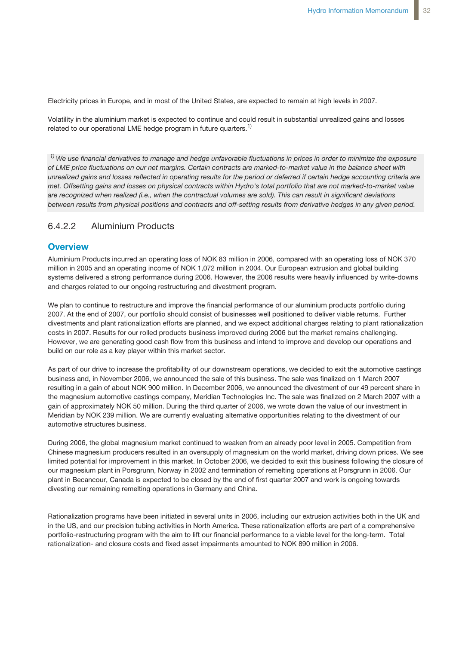Electricity prices in Europe, and in most of the United States, are expected to remain at high levels in 2007.

Volatility in the aluminium market is expected to continue and could result in substantial unrealized gains and losses related to our operational LME hedge program in future quarters.<sup>1)</sup>

<sup>1)</sup> We use financial derivatives to manage and hedge unfavorable fluctuations in prices in order to minimize the exposure *of LME price fluctuations on our net margins. Certain contracts are marked-to-market value in the balance sheet with* unrealized gains and losses reflected in operating results for the period or deferred if certain hedge accounting criteria are *met. Offsetting gains and losses on physical contracts within Hydro's total portfolio that are not marked-to-market value are recognized when realized (i.e., when the contractual volumes are sold). This can result in significant deviations between results from physical positions and contracts and off-setting results from derivative hedges in any given period.*

### 6.4.2.2 Aluminium Products

### **Overview**

Aluminium Products incurred an operating loss of NOK 83 million in 2006, compared with an operating loss of NOK 370 million in 2005 and an operating income of NOK 1,072 million in 2004. Our European extrusion and global building systems delivered a strong performance during 2006. However, the 2006 results were heavily influenced by write-downs and charges related to our ongoing restructuring and divestment program.

We plan to continue to restructure and improve the financial performance of our aluminium products portfolio during 2007. At the end of 2007, our portfolio should consist of businesses well positioned to deliver viable returns. Further divestments and plant rationalization efforts are planned, and we expect additional charges relating to plant rationalization costs in 2007. Results for our rolled products business improved during 2006 but the market remains challenging. However, we are generating good cash flow from this business and intend to improve and develop our operations and build on our role as a key player within this market sector.

As part of our drive to increase the profitability of our downstream operations, we decided to exit the automotive castings business and, in November 2006, we announced the sale of this business. The sale was finalized on 1 March 2007 resulting in a gain of about NOK 900 million. In December 2006, we announced the divestment of our 49 percent share in the magnesium automotive castings company, Meridian Technologies Inc. The sale was finalized on 2 March 2007 with a gain of approximately NOK 50 million. During the third quarter of 2006, we wrote down the value of our investment in Meridian by NOK 239 million. We are currently evaluating alternative opportunities relating to the divestment of our automotive structures business.

During 2006, the global magnesium market continued to weaken from an already poor level in 2005. Competition from Chinese magnesium producers resulted in an oversupply of magnesium on the world market, driving down prices. We see limited potential for improvement in this market. In October 2006, we decided to exit this business following the closure of our magnesium plant in Porsgrunn, Norway in 2002 and termination of remelting operations at Porsgrunn in 2006. Our plant in Becancour, Canada is expected to be closed by the end of first quarter 2007 and work is ongoing towards divesting our remaining remelting operations in Germany and China.

Rationalization programs have been initiated in several units in 2006, including our extrusion activities both in the UK and in the US, and our precision tubing activities in North America. These rationalization efforts are part of a comprehensive portfolio-restructuring program with the aim to lift our financial performance to a viable level for the long-term. Total rationalization- and closure costs and fixed asset impairments amounted to NOK 890 million in 2006.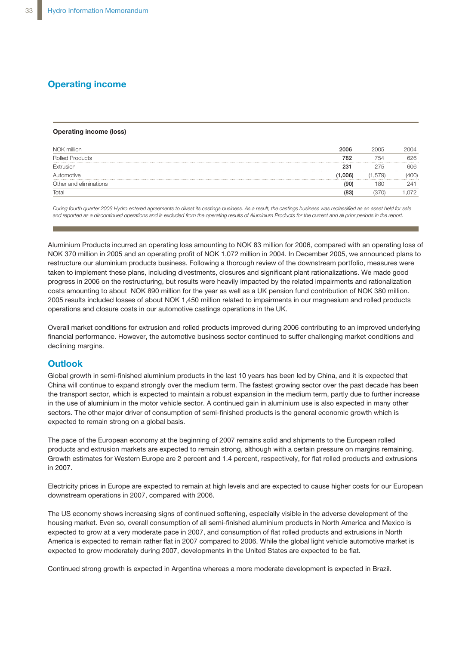### **Operating income**

#### **Operating income (loss)**

| NOK million            | 2006    | 2005  | 2004 |
|------------------------|---------|-------|------|
| <b>Rolled Products</b> | 782     | 754   |      |
| Extrusion              | 231     | 275   | 306  |
| Automotive             | (1.006) | 1.579 |      |
| Other and eliminations | 90      | 80    |      |
| Total                  |         |       |      |

During fourth quarter 2006 Hydro entered agreements to divest its castings business. As a result, the castings business was reclassified as an asset held for sale and reported as a discontinued operations and is excluded from the operating results of Aluminium Products for the current and all prior periods in the report.

**Outlook** NOK 370 million in 2005 and an operating profit of NOK 1,072 million in 2004. In December 2005, we announced plans to restructure our aluminium products business. Following a thorough review of the downstream portfolio, measures were<br>restructure our aluminium products business. Following a thorough review of the downstream portfolio, meas Continue to implement these plans, including divestments, closures and significant plant rationalizations. We made good term. The fastest growing sector over the past decade has been the transport sector, progress in 2006 on the restructuring, but results were heavily impacted by the related impairments and rationalization progress in 2000 on the received tring, such ceality that medium term, partles as year of the medium term in the medium.<br>Costs amounting to about NOK 890 million for the year as well as a UK pension fund contribution of NO further increase increase increase increase increase in the use of aluminium in the motor vehicle sector. A co 2005 results included losses of about NOK 1,450 million related to impairments in our magnesium and rolled products<br>considers and also we asstalis surrent was the sections assetting in the UK. operations and closure costs in our automotive castings operations in the UK. Aluminium Products incurred an operating loss amounting to NOK 83 million for 2006, compared with an operating loss of

Overall market conditions for extrusion and rolled products improved during 2006 contributing to an improved underlying The pace of the European economy at the beginning of 2007 remains solid and ship-financial performance. However, the automotive business sector continued to suffer challenging market conditions and declining margins.

### **Outlook**

Global growth in semi-finished aluminium products in the last 10 years has been led by China, and it is expected that the transport sector, which is expected to maintain a robust expansion in the medium term, partly due to further increase in the use of aluminium in the motor vehicle sector. A continued gain in aluminium use is also expected in many other sectors. The other major driver of consumption of semi-finished products is the general economic growth which is China will continue to expand strongly over the medium term. The fastest growing sector over the past decade has been expected to remain strong on a global basis.

The pace of the European economy at the beginning of 2007 remains solid and shipments to the European rolled products and extrusion markets are expected to remain strong, although with a certain pressure on margins remaining. Growth estimates for Western Europe are 2 percent and 1.4 percent, respectively, for flat rolled products and extrusions in 2007.

Electricity prices in Europe are expected to remain at high levels and are expected to cause higher costs for our European downstream operations in 2007, compared with 2006.

The US economy shows increasing signs of continued softening, especially visible in the adverse development of the housing market. Even so, overall consumption of all semi-finished aluminium products in North America and Mexico is expected to grow at a very moderate pace in 2007, and consumption of flat rolled products and extrusions in North America is expected to remain rather flat in 2007 compared to 2006. While the global light vehicle automotive market is expected to grow moderately during 2007, developments in the United States are expected to be flat.

Continued strong growth is expected in Argentina whereas a more moderate development is expected in Brazil.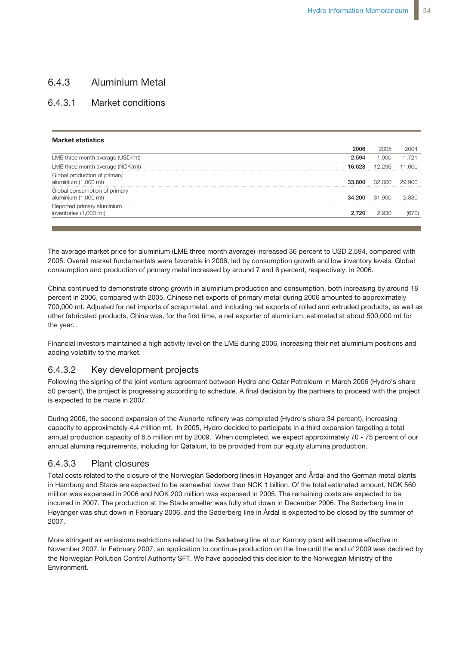## 6.4.3 Aluminium Metal

### 6.4.3.1 Market conditions

| <b>Market statistics</b>                              |        |        |  |
|-------------------------------------------------------|--------|--------|--|
|                                                       | 2006   | 2005   |  |
| LME three month average (USD/mt)                      | 2.594  |        |  |
| LME three month average (NOK/mt)                      |        |        |  |
| Global production of primary<br>aluminium (1,000 mt)  |        |        |  |
| Global consumption of primary<br>aluminium (1,000 mt) | 34.200 | 31.900 |  |
| orted primary aluminium<br>inventories (1,000 mt)     |        |        |  |
|                                                       |        |        |  |

2005. Overall market fundamentals were favorable in 2006, led by consumption growth and low inventory levels. Global consumption and production of primary metal increased by around 7 and 6 percent, respectively, in 2006. The average market price for aluminium (LME three month average) increased 36 percent to USD 2,594, compared with

percent in 2006, compared with 2005. Chinese net exports of primary metal during 2006 amounted to approximately 700,000 mt. Adjusted for net imports of scrap metal, and including net exports of rolled and extruded products, as well as other fabricated products, China was, for the first time, a net exporter of aluminium, estimated at about 500,000 mt for the year. China continued to demonstrate strong growth in aluminium production and consumption, both increasing by around 18

Financial investors maintained a high activity level on the LME during 2006, increasing their net aluminium positions and adding volatility to the market.

#### million in 2004. The increase in 2004 mainly reflected higher transportation volumes. For a contraction volume 6.4.3.2 Key development projects

Following the signing of the joint venture agreement between Hydro and Qatar Petroleum in March 2006 (Hydro's share 50 percent), the project is progressing according to schedule. A final decision by the partners to proceed with the project was impacted by marked-to-marked-to-marked-to-marked-to-market values on certain gas contracts in the  $\alpha$ is expected to be made in 2007.

During 2006, the second expansion of the Alunorte refinery was completed (Hydro's share 34 percent), increasing capacity to approximately 4.4 million mt. In 2005, Hydro decided to participate in a third expansion targeting a total annual alumina requirements, including for Qatalum, to be provided from our equity alumina production. ing income from oil trading activities decreased 28 percent to NOK 215 million in 2006 annual production capacity of 6.5 million mt by 2009. When completed, we expect approximately 70 - 75 percent of our

### 6.4.3.3 Plant closures

Total costs related to the closure of the Norwegian Søderberg lines in Høyanger and Årdal and the German metal plants million was expensed in 2006 and NOK 200 million was expensed in 2005. The remaining costs are expected to be In the decline resulted mainly from the decline results of the decline results may be also supposed to be the<br>incurred in 2007. The production at the Stade smelter was fully shut down in December 2006. The Søderberg line i losses due to falling oil prices and demanding competitive conditions. An accrual for Høyanger was shut down in February 2006, and the Søderberg line in Årdal is expected to be closed by the summer of<br>2007 in Hamburg and Stade are expected to be somewhat lower than NOK 1 billion. Of the total estimated amount, NOK 560 2007.

More stringent air emissions restrictions related to the Søderberg line at our Karmøy plant will become effective in **Adjusted EBITDA** the Norwegian Pollution Control Authority SFT. We have appealed this decision to the Norwegian Ministry of the<br>Environment November 2007. In February 2007, an application to continue production on the line until the end of 2009 was declined by Environment.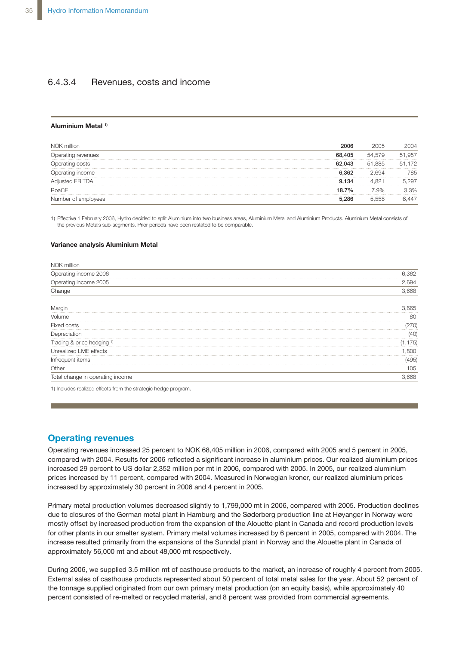### 6.4.3.4 Revenues, costs and income

#### **Aluminium Metal 1)**

| NOK million        | 2006            | 2005   | 2004       |
|--------------------|-----------------|--------|------------|
| Jperating revenues | 68,405          | 54.579 | .957<br>Ы, |
| )perating costs    | <b></b><br>.043 | 51.885 | .172<br>51 |
| Jperating income   | 6.362           | -694   | 785        |
| Adjusted EBITDA    | 9.134           |        | .297       |
| RoaCE              | 18.7%           | .9%    | 3.3%       |
|                    |                 |        |            |

1) Effective 1 February 2006, Hydro decided to split Aluminium into two business areas, Aluminium Metal and Aluminium Products. Aluminium Metal consists of the previous Metals sub-segments. Prior periods have been restated to be comparable.

#### **Variance analysis Aluminium Metal**

| NOK million                      |       |
|----------------------------------|-------|
| Operating income 2006            | 6,362 |
| Operating income 2005            | 2.694 |
| Change                           | 3,668 |
| Margin                           | .665  |
| Volume                           | 80    |
| Fixed costs                      |       |
| Depreciation                     | (40)  |
| Trading & price hedging 1)       | 75)   |
| Unrealized LME effects           | 800   |
| Infrequent items                 | 495)  |
| Other                            | 105   |
| Total change in operating income | .668  |

1) Includes realized effects from the strategic hedge program.

### **Operating revenues**

Operating revenues increased 25 percent to NOK 68,405 million in 2006, compared with 2005 and 5 percent in 2005, compared with 2004. Results for 2006 reflected a significant increase in aluminium prices. Our realized aluminium prices increased 29 percent to US dollar 2,352 million per mt in 2006, compared with 2005. In 2005, our realized aluminium prices increased by 11 percent, compared with 2004. Measured in Norwegian kroner, our realized aluminium prices increased by approximately 30 percent in 2006 and 4 percent in 2005.

Primary metal production volumes decreased slightly to 1,799,000 mt in 2006, compared with 2005. Production declines due to closures of the German metal plant in Hamburg and the Søderberg production line at Høyanger in Norway were mostly offset by increased production from the expansion of the Alouette plant in Canada and record production levels for other plants in our smelter system. Primary metal volumes increased by 6 percent in 2005, compared with 2004. The increase resulted primarily from the expansions of the Sunndal plant in Norway and the Alouette plant in Canada of approximately 56,000 mt and about 48,000 mt respectively.

During 2006, we supplied 3.5 million mt of casthouse products to the market, an increase of roughly 4 percent from 2005. External sales of casthouse products represented about 50 percent of total metal sales for the year. About 52 percent of the tonnage supplied originated from our own primary metal production (on an equity basis), while approximately 40 percent consisted of re-melted or recycled material, and 8 percent was provided from commercial agreements.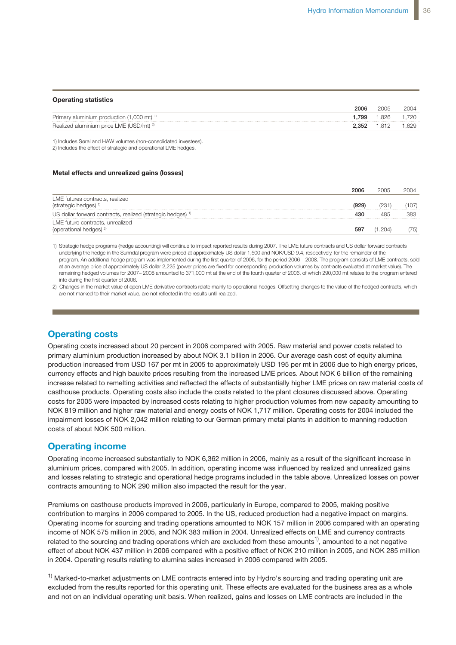| <b>Operating statistics</b>                                     |       |       |       |
|-----------------------------------------------------------------|-------|-------|-------|
|                                                                 | 2006  | 2005  | 2004  |
| Primary aluminium production $(1,000 \text{ mt})$ <sup>1)</sup> | .799  | 1.826 | 1.720 |
| Realized aluminium price LME (USD/mt) <sup>2)</sup>             | 2.352 | .812  | .629  |

1) Includes Søral and HAW volumes (non-consolidated investees). 2) Includes the effect of strategic and operational LME hedges.

#### **Metal effects and unrealized gains (losses)**

|                                                                        | 2006 | 2005  | 2004 |
|------------------------------------------------------------------------|------|-------|------|
| LME futures contracts, realized                                        |      |       |      |
| (strategic hedges) <sup>1)</sup>                                       |      |       | 107  |
| US dollar forward contracts, realized (strategic hedges) <sup>1)</sup> |      |       | 383  |
| LME future contracts, unrealized                                       |      |       |      |
| (operational hedges) <sup>2)</sup>                                     | 59   | -204, | '75) |

1) Strategic hedge programs (hedge accounting) will continue to impact reported results during 2007. The LME future contracts and US dollar forward contracts underlying the hedge in the Sunndal program were priced at approximately US dollar 1,500 and NOK/USD 9.4, respectively, for the remainder of the program. An additional hedge program was implemented during the first quarter of 2006, for the period 2006 – 2008. The program consists of LME contracts, sold at an average price of approximately US dollar 2,225 (power prices are fixed for corresponding production volumes by contracts evaluated at market value). The remaining hedged volumes for 2007– 2008 amounted to 371,000 mt at the end of the fourth quarter of 2006, of which 290,000 mt relates to the program entered into during the first quarter of 2006.

2) Changes in the market value of open LME derivative contracts relate mainly to operational hedges. Offsetting changes to the value of the hedged contracts, which are not marked to their market value, are not reflected in the results until realized.

## **Operating costs**

production increased from USD 167 per mt in 2005 to approximately USD 195 per mt in 2006 due to high energy prices, .<br>currency effects and high bauxite prices resulting from the increased LME prices. About NOK 6 billion of the remaining increase related to remelting activities and reflected the effects of substantially higher LME prices on raw material costs of casthouse products. Operating costs also include the costs related to the plant closures discussed above. Operating costs for 2005 were impacted by increased costs relating to higher production volumes from new capacity amounting to NOK 819 million and higher raw material and energy costs of NOK 1,717 million. Operating costs for 2004 included the costs of about NOK 500 million. The strong growth in aluminium production and consump-Operating costs increased about 20 percent in 2006 compared with 2005. Raw material and power costs related to primary aluminium production increased by about NOK 3.1 billion in 2006. Our average cash cost of equity alumina **0** impairment losses of NOK 2,042 million relating to our German primary metal plants in addition to manning reduction  $\overline{0}$ 

### **Operating income and 2006 amounted to approximately 700,000 mt. Adjusted to approximately 700,000 mt. Adjusted to approximately 700,000 mt. Adjusted to approximately 700,000 mt. Adjusted to approximately 700,000 mt. Adj**

Operating income increased substantially to NOK 6,362 million in 2006, mainly as a result of the significant increase in aluminium prices, compared with 2005. In addition, operating income was influenced by realized and unrealized gains and losses relating to strategic and operational hedge programs included in the table above. Unrealized losses on power Financial investors maintained a high activity level on the LME during 2006, increasing contracts amounting to NOK 290 million also impacted the result for the year.

Premiums on casthouse products improved in 2006, particularly in Europe, compared to 2005, making positive Operating income for sourcing and trading operations amounted to NOK 157 million in 2006 compared with an operating Following the signing of the joint venture agreement between Hydro and Qatar Petro-**1,500** income of NOK 575 million in 2005, and NOK 383 million in 2004. Unrealized effects on LME and currency contracts related to the sourcing and trading operations which are excluded from these amounts<sup>1)</sup>, amounted to a net negative effect of about NOK 437 million in 2006 compared with a positive effect of NOK 210 million in 2005, and NOK 285 million in 2004. Operating results relating to alumina sales increased in 2006 compared with 2005. **2,000** contribution to margins in 2006 compared to 2005. In the US, reduced production had a negative impact on margins.

Marked to market adjustments on LME contracts entered into by Hydro's equ  $s_{\rm el}$  and  $s_{\rm em}$  the security to approximately  $s_{\rm el}$  million matrix  $s_{\rm el}$  million  $s_{\rm el}$  and  $s_{\rm el}$  and  $s_{\rm el}$  multiplient matrix  $s_{\rm el}$  and  $s_{\rm el}$  and  $s_{\rm el}$  and  $s_{\rm el}$  and  $s_{\rm el}$  and  $s_{\rm el}$   $\alpha$  participate in a third expansion targeting unit book. When reglized gains and looses a and not on an individual operating unit basis. When realized, gains and losses on LME contracts are included in the<br>  $1)$  Marked-to-market adjustments on LME contracts entered into by Hydro's sourcing and trading operating unit are excluded from the results reported for this operating unit. These effects are evaluated for the business area as a whole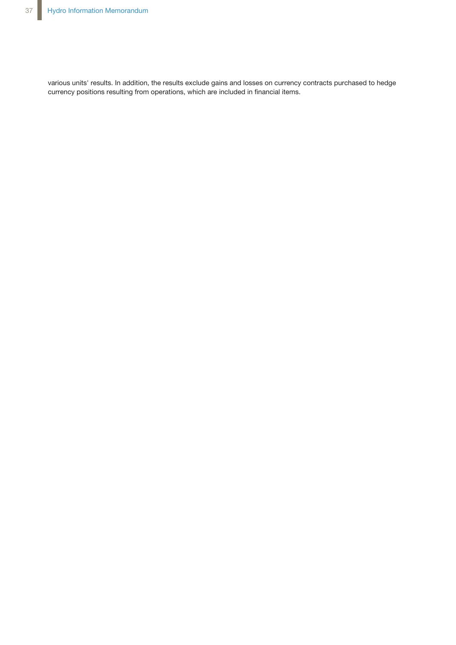various units' results. In addition, the results exclude gains and losses on currency contracts purchased to hedge currency positions resulting from operations, which are included in financial items.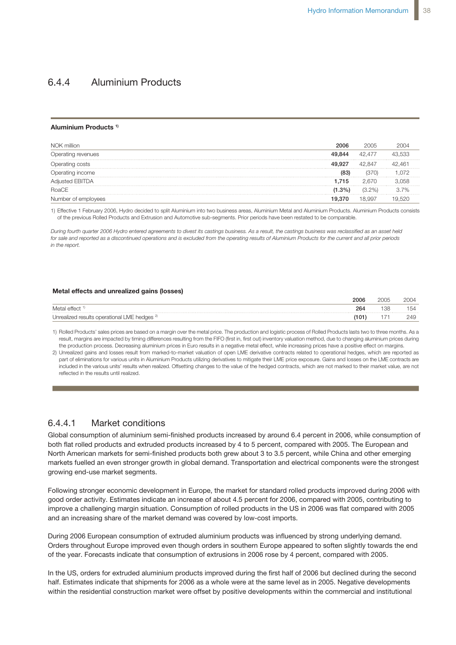**Operating income**

## 6.4.4 Aluminium Products

#### **Aluminium Products 1)**

| NOK million        | 2006 | 2005   |    |
|--------------------|------|--------|----|
| Operating revenues |      | 42.477 |    |
|                    |      |        |    |
| income             |      |        |    |
| usted EBITDA       | .715 |        |    |
| RoaCE              | .3%) |        | 7% |
| vees               |      | 18.997 |    |

1) Effective 1 February 2006, Hydro decided to split Aluminium into two business areas, Aluminium Metal and Aluminium Products. Aluminium Products consists of the previous Rolled Products and Extrusion and Automotive sub-segments. Prior periods have been restated to be comparable.

During fourth quarter 2006 Hydro entered agreements to divest its castings business. As a result, the castings business was reclassified as an asset held for sale and reported as a discontinued operations and is excluded from the operating results of Aluminium Products for the current and all prior periods *in the report.* of the previous Rolled Products and Extrusion and Automotive sub-segments. Prior periods have been restated to be comparable.

#### Unrealized results operational LME hedges 2) (101) 171 249 **Metal effectsand unrealized gains (losses)**

|                                                         | 2006 | 2005 |     |
|---------------------------------------------------------|------|------|-----|
| Metal effect                                            | 264  | 138  | 154 |
| Unrealized results operational LME hedges <sup>2)</sup> |      |      |     |

1) Rolled Products' sales prices are based on a margin over the metal price. The production and logistic process of Rolled Products lasts two to three months. As a result, margins are impacted by timing differences resulting from the FIFO (first in, first out) inventory valuation method, due to changing aluminium prices during the production process. Decreasing aluminium prices in Euro results in a negative metal effect, while increasing prices have a positive effect on margins.

2) Unrealized gains and losses result from marked-to-market valuation of open LME derivative contracts related to operational hedges, which are reported as part of eliminations for various units in Aluminium Products utilizing derivatives to mitigate their LME price exposure. Gains and losses on the LME contracts are included in the various units' results when realized. Offsetting changes to the value of the hedged contracts, which are not marked to their market value, are not reflected in the results until realized.

to 2005, making positive contribution to margins in 2006 compared to 2005. In the US,

#### 6.4.4.1 Market conditions reduced production had a negative impact on margins. Operation income for sourcing income for sourcing income for sourcing income for sourcing income for sourcing income for sourcing income for sourcing in the sourcing inc

Global consumption of aluminium semi-finished products increased by around 6.4 percent in 2006, while consumption of are exclude from the amount of a net negative effect of about  $\alpha$  of about  $\alpha$ our matriched products and oxidated products increased by The S porcent, so markets fuelled an even stronger growth in global demand. Transportation and electrical components were the strongest rantolo raolioa anio **400** ing income of NOK 575 million in 2005, and NOK 383 million in 2004. Unrealized effects **1,200** both flat rolled products and extruded products increased by 4 to 5 percent, compared with 2005. The European and North American markets for semi-finished products both grew about 3 to 3.5 percent, while China and other emerging growing end-use market segments.

**Following stronger economic development in Europe, the market for standard rolled products improved during 2006 with** good order activity. Estimates indicate an increase of about 4.5 percent for 2006, compared with 2005, contributing to a process than the strates indicate an increase of about 4.5 percent for 2006, compared with 2005, cont improve a challenging margin situation. Consumption of rolled products in the US in 2006 was flat compared with 2005 percent changing margin chaanom. Concernption of follow products in the c and an increasing share of the market demand was covered by low-cost imports.

NOK 272 million in 2005 and NOK 281 million in 2004, which included a charge of NOK During 2006 European consumption of extruded aluminium products was influenced by strong underlying demand. of the year. Forecasts indicate that consumption of extrusions in 2006 rose by 4 percent, compared with 2005. Orders throughout Europe improved even though orders in southern Europe appeared to soften slightly towards the end

In the US, orders for extruded aluminium products improved during the first half of 2006 but declined during the second half. Estimates indicate that shipments for 2006 as a whole were at the same level as in 2005. Negative developments expansion of the plant of the plant. Results for  $2000 \text{ as a window level at the same term.}$ within the residential construction market were offset by positive developments within the commercial and institutional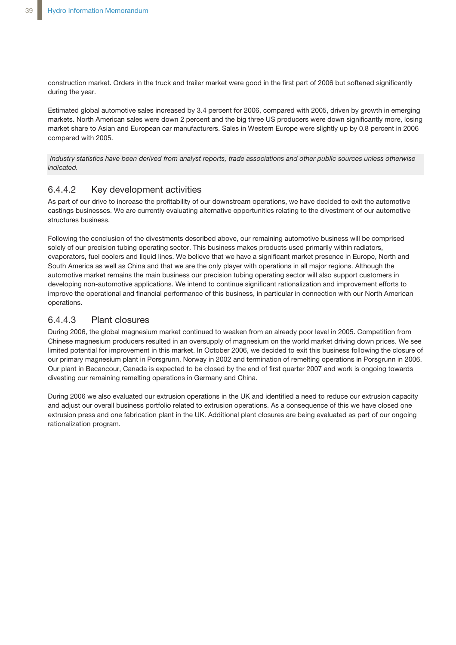construction market. Orders in the truck and trailer market were good in the first part of 2006 but softened significantly during the year.

Estimated global automotive sales increased by 3.4 percent for 2006, compared with 2005, driven by growth in emerging markets. North American sales were down 2 percent and the big three US producers were down significantly more, losing market share to Asian and European car manufacturers. Sales in Western Europe were slightly up by 0.8 percent in 2006 compared with 2005.

Industry statistics have been derived from analyst reports, trade associations and other public sources unless otherwise *indicated.*

## 6.4.4.2 Key development activities

As part of our drive to increase the profitability of our downstream operations, we have decided to exit the automotive castings businesses. We are currently evaluating alternative opportunities relating to the divestment of our automotive structures business.

Following the conclusion of the divestments described above, our remaining automotive business will be comprised solely of our precision tubing operating sector. This business makes products used primarily within radiators, evaporators, fuel coolers and liquid lines. We believe that we have a significant market presence in Europe, North and South America as well as China and that we are the only player with operations in all major regions. Although the automotive market remains the main business our precision tubing operating sector will also support customers in developing non-automotive applications. We intend to continue significant rationalization and improvement efforts to improve the operational and financial performance of this business, in particular in connection with our North American operations.

### 6.4.4.3 Plant closures

During 2006, the global magnesium market continued to weaken from an already poor level in 2005. Competition from Chinese magnesium producers resulted in an oversupply of magnesium on the world market driving down prices. We see limited potential for improvement in this market. In October 2006, we decided to exit this business following the closure of our primary magnesium plant in Porsgrunn, Norway in 2002 and termination of remelting operations in Porsgrunn in 2006. Our plant in Becancour, Canada is expected to be closed by the end of first quarter 2007 and work is ongoing towards divesting our remaining remelting operations in Germany and China.

During 2006 we also evaluated our extrusion operations in the UK and identified a need to reduce our extrusion capacity and adjust our overall business portfolio related to extrusion operations. As a consequence of this we have closed one extrusion press and one fabrication plant in the UK. Additional plant closures are being evaluated as part of our ongoing rationalization program.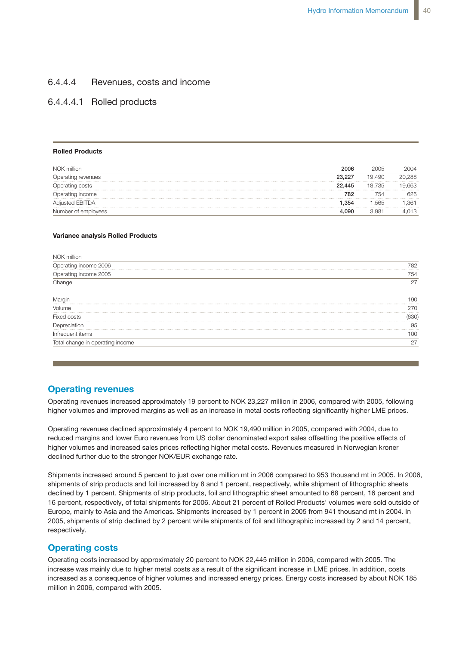#### 6.4.4.4 Revenues, costs and income **Key development activities**

## 6.4.4.4.1 Rolled products

#### **Rolled Products**

| NOK million            | 2006   | 2005              | 2004   |
|------------------------|--------|-------------------|--------|
| Operating revenues     | 23,227 | 19.490            | 20.288 |
| Operating costs        | 22,445 | 18.735            | .663   |
| Operating income       | 782    | 54                | 626    |
| <b>Adjusted EBITDA</b> | .354   | .565              | . .361 |
| Number of employees    | 4.090  | 3.98 <sup>2</sup> | .013   |

#### **Variance analysis Rolled Products**

| NOK million                      |      |
|----------------------------------|------|
| Operating income 2006            | 782  |
|                                  | 754  |
| Operating income 2005<br>Change  | 27   |
|                                  | 190  |
| Volume                           | 270. |
| Fixed costs                      | 630) |
| Depreciation                     | 95   |
| Infrequent items                 | 100  |
| Total change in operating income | 27   |

### **Operating revenues**

Operating revenues increased approximately 19 percent to NOK 23,227 million in 2006, compared with 2005, following higher volumes and improved margins as well as an increase in metal costs reflecting significantly higher LME prices.

Operating revenues declined approximately 4 percent to NOK 19,490 million in 2005, compared with 2004, due to reduced margins and lower Euro revenues from US dollar denominated export sales offsetting the positive effects of higher volumes and increased sales prices reflecting higher metal costs. Revenues measured in Norwegian kroner declined further due to the stronger NOK/EUR exchange rate.

Shipments increased around 5 percent to just over one million mt in 2006 compared to 953 thousand mt in 2005. In 2006, shipments of strip products and foil increased by 8 and 1 percent, respectively, while shipment of lithographic sheets declined by 1 percent. Shipments of strip products, foil and lithographic sheet amounted to 68 percent, 16 percent and 16 percent, respectively, of total shipments for 2006. About 21 percent of Rolled Products' volumes were sold outside of Europe, mainly to Asia and the Americas. Shipments increased by 1 percent in 2005 from 941 thousand mt in 2004. In 2005, shipments of strip declined by 2 percent while shipments of foil and lithographic increased by 2 and 14 percent, respectively.

### **Operating costs**

Operating costs increased by approximately 20 percent to NOK 22,445 million in 2006, compared with 2005. The increase was mainly due to higher metal costs as a result of the significant increase in LME prices. In addition, costs increased as a consequence of higher volumes and increased energy prices. Energy costs increased by about NOK 185 million in 2006, compared with 2005.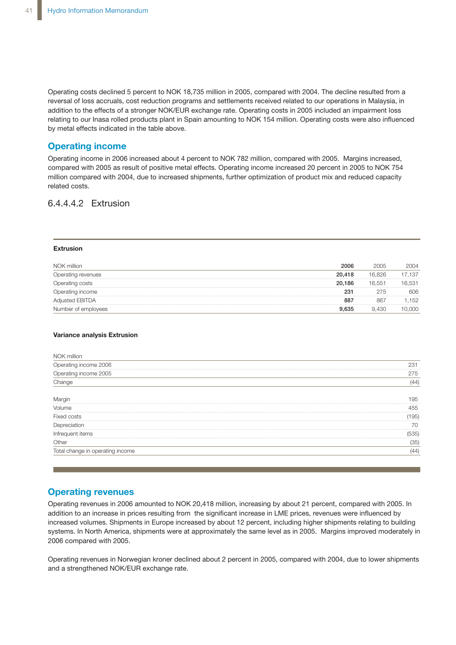Operating costs declined 5 percent to NOK 18,735 million in 2005, compared with 2004. The decline resulted from a reversal of loss accruals, cost reduction programs and settlements received related to our operations in Malaysia, in addition to the effects of a stronger NOK/EUR exchange rate. Operating costs in 2005 included an impairment loss relating to our Inasa rolled products plant in Spain amounting to NOK 154 million. Operating costs were also influenced by metal effects indicated in the table above.

## **Operating income**

Operating income in 2006 increased about 4 percent to NOK 782 million, compared with 2005. Margins increased, compared with 2005 as result of positive metal effects. Operating income increased 20 percent in 2005 to NOK 754 million compared with 2004, due to increased shipments, further optimization of product mix and reduced capacity related costs.

## 6.4.4.4.2 Extrusion and improved margins and improved margins and improved margins as well as well as well as w

#### **Extrusion**

| NOK million              | 2006   | 2005   | 2004     |
|--------------------------|--------|--------|----------|
| <i>perating revenues</i> | 20,418 | 16.826 | 137      |
| Operating costs          | 20.186 | 16.551 |          |
| )perating income         | 231    | 275    | 606      |
| sted EBITDA              |        | 86     | 152<br>. |
| per ot emplovees         | 635    |        |          |

#### **Variance analysis Extrusion**

| NOK million                      |      |
|----------------------------------|------|
| Operating income 2006            | 231  |
| Operating income 2005            | 275  |
| Change                           | (44) |
| Margır                           | '95  |
| Volume                           | 455  |
| Fixed costs                      | 195) |
| Depreciation                     |      |
| Intreauent items                 | 535) |
| Other                            | (35) |
| Total change in operating income |      |

### **Operating revenues**

Operating revenues in 2006 amounted to NOK 20,418 million, increasing by about 21 percent, compared with 2005. In addition to an increase in prices resulting from the significant increase in LME prices, revenues were influenced by increased volumes. Shipments in Europe increased by about 12 percent, including higher shipments relating to building systems. In North America, shipments were at approximately the same level as in 2005. Margins improved moderately in 2006 compared with 2005.

Operating revenues in Norwegian kroner declined about 2 percent in 2005, compared with 2004, due to lower shipments and a strengthened NOK/EUR exchange rate.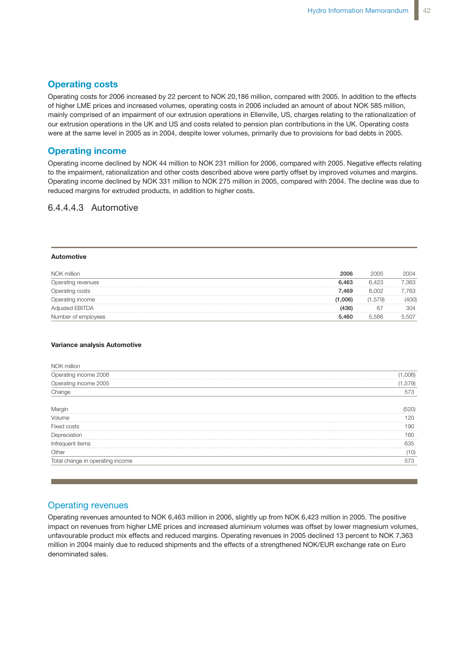cent, 16 percent and 16 percent, respectively, of total shipments for 2006. About 21

the Americas. Shipments increased by 1 percent in 2005 from 941,000 mt in 2004. In

### **Operating costs**

Operating costs for 2006 increased by 22 percent to NOK 20,186 million, compared with 2005. In addition to the effects of higher LME prices and increased volumes, operating costs in 2006 included an amount of about NOK 585 million, mainly comprised of an impairment of our extrusion operations in Ellenville, US, charges relating to the rationalization of numby comprised of an impairment of our extractor operations in Elientine, So, charged relating to the rationalization of<br>Our extrusion operations in the UK and US and costs related to pension plan contributions in the UK. For ontident operations in the errand of and seed related to perfect plan commissions in the orthopological verse<br>Were at the same level in 2005 as in 2004, despite lower volumes, primarily due to provisions for bad debts applies for telations primarily due to provide for bad dobte in Eboo.

### **Operating income**

Operating income declined by NOK 44 million to NOK 231 million for 2006, compared with 2005. Negative effects relating to the impairment, rationalization and other costs described above were partly offset by improved volumes and margins. Operating income declined by NOK 331 million to NOK 275 million in 2005, compared with 2004. The decline was due to **Operating income** reduced margins for extruded products, in addition to higher costs.  $\overline{\phantom{a}}$  ion to influence also influenced by  $\overline{\phantom{a}}$  compared with 2005. Negative effects re

## 6.4.4.4.3 Automotive

#### **Automotive**

| NOK million            | 2006    | 2005   | 2004 |
|------------------------|---------|--------|------|
| Operating revenues     | 6.463   | 6.423  | .363 |
| Operating costs        | 7.469   | 8.002  | 763  |
| Operating income       | (1.006) | 1.579) |      |
| <b>Adjusted EBITDA</b> |         | -67    | 304  |
| Number of employees    | 5.460   | 5.586  | .507 |

#### **Variance analysis Automotive**

| NOK million                                                                                                                                |       |
|--------------------------------------------------------------------------------------------------------------------------------------------|-------|
| Operating income 2006                                                                                                                      | 006)  |
| Operating income 2005                                                                                                                      | ,579) |
| Change                                                                                                                                     | 573   |
|                                                                                                                                            |       |
| — Margin<br>120 هـ - سين المستقى المستقى المستقى المستقى المستقى المستقى المستقى المستقى المستقى المستقى المستقى المستقى المستقى<br>Volume |       |
| <b>Fixed</b><br>costs                                                                                                                      | 90    |
|                                                                                                                                            | 61    |
|                                                                                                                                            | 635   |
|                                                                                                                                            |       |
| Total change in operating income                                                                                                           | 573   |

### Operating revenues

Operating revenues amounted to NOK 6,463 million in 2006, slightly up from NOK 6,423 million in 2005. The positive impact on revenues from higher LME prices and increased aluminium volumes was offset by lower magnesium volumes, unfavourable product mix effects and reduced margins. Operating revenues in 2005 declined 13 percent to NOK 7,363 million in 2004 mainly due to reduced shipments and the effects of a strengthened NOK/EUR exchange rate on Euro denominated sales.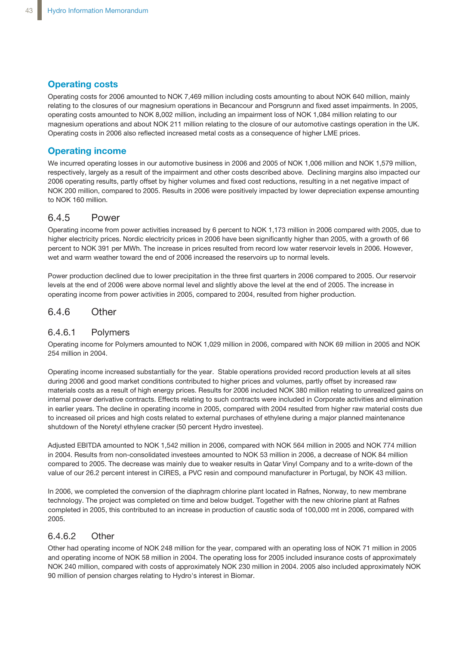## **Operating costs**

Operating costs for 2006 amounted to NOK 7,469 million including costs amounting to about NOK 640 million, mainly relating to the closures of our magnesium operations in Becancour and Porsgrunn and fixed asset impairments. In 2005, operating costs amounted to NOK 8,002 million, including an impairment loss of NOK 1,084 million relating to our magnesium operations and about NOK 211 million relating to the closure of our automotive castings operation in the UK. Operating costs in 2006 also reflected increased metal costs as a consequence of higher LME prices.

## **Operating income**

We incurred operating losses in our automotive business in 2006 and 2005 of NOK 1,006 million and NOK 1,579 million, respectively, largely as a result of the impairment and other costs described above. Declining margins also impacted our 2006 operating results, partly offset by higher volumes and fixed cost reductions, resulting in a net negative impact of NOK 200 million, compared to 2005. Results in 2006 were positively impacted by lower depreciation expense amounting to NOK 160 million.

## 6.4.5 Power

Operating income from power activities increased by 6 percent to NOK 1,173 million in 2006 compared with 2005, due to higher electricity prices. Nordic electricity prices in 2006 have been significantly higher than 2005, with a growth of 66 percent to NOK 391 per MWh. The increase in prices resulted from record low water reservoir levels in 2006. However, wet and warm weather toward the end of 2006 increased the reservoirs up to normal levels.

Power production declined due to lower precipitation in the three first quarters in 2006 compared to 2005. Our reservoir levels at the end of 2006 were above normal level and slightly above the level at the end of 2005. The increase in operating income from power activities in 2005, compared to 2004, resulted from higher production.

## 6.4.6 Other

## 6.4.6.1 Polymers

Operating income for Polymers amounted to NOK 1,029 million in 2006, compared with NOK 69 million in 2005 and NOK 254 million in 2004.

Operating income increased substantially for the year. Stable operations provided record production levels at all sites during 2006 and good market conditions contributed to higher prices and volumes, partly offset by increased raw materials costs as a result of high energy prices. Results for 2006 included NOK 380 million relating to unrealized gains on internal power derivative contracts. Effects relating to such contracts were included in Corporate activities and elimination in earlier years. The decline in operating income in 2005, compared with 2004 resulted from higher raw material costs due to increased oil prices and high costs related to external purchases of ethylene during a major planned maintenance shutdown of the Noretyl ethylene cracker (50 percent Hydro investee).

Adjusted EBITDA amounted to NOK 1,542 million in 2006, compared with NOK 564 million in 2005 and NOK 774 million in 2004. Results from non-consolidated investees amounted to NOK 53 million in 2006, a decrease of NOK 84 million compared to 2005. The decrease was mainly due to weaker results in Qatar Vinyl Company and to a write-down of the value of our 26.2 percent interest in CIRES, a PVC resin and compound manufacturer in Portugal, by NOK 43 million.

In 2006, we completed the conversion of the diaphragm chlorine plant located in Rafnes, Norway, to new membrane technology. The project was completed on time and below budget. Together with the new chlorine plant at Rafnes completed in 2005, this contributed to an increase in production of caustic soda of 100,000 mt in 2006, compared with 2005.

### 6.4.6.2 Other

Other had operating income of NOK 248 million for the year, compared with an operating loss of NOK 71 million in 2005 and operating income of NOK 58 million in 2004. The operating loss for 2005 included insurance costs of approximately NOK 240 million, compared with costs of approximately NOK 230 million in 2004. 2005 also included approximately NOK 90 million of pension charges relating to Hydro's interest in Biomar.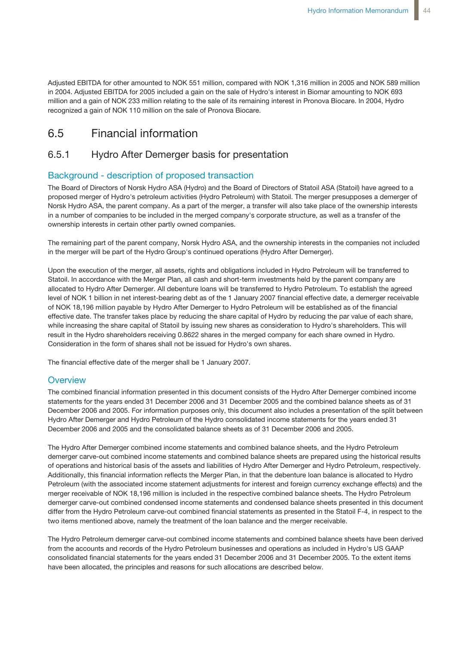Adjusted EBITDA for other amounted to NOK 551 million, compared with NOK 1,316 million in 2005 and NOK 589 million in 2004. Adjusted EBITDA for 2005 included a gain on the sale of Hydro's interest in Biomar amounting to NOK 693 million and a gain of NOK 233 million relating to the sale of its remaining interest in Pronova Biocare. In 2004, Hydro recognized a gain of NOK 110 million on the sale of Pronova Biocare.

## 6.5 Financial information

## 6.5.1 Hydro After Demerger basis for presentation

### Background - description of proposed transaction

The Board of Directors of Norsk Hydro ASA (Hydro) and the Board of Directors of Statoil ASA (Statoil) have agreed to a proposed merger of Hydro's petroleum activities (Hydro Petroleum) with Statoil. The merger presupposes a demerger of Norsk Hydro ASA, the parent company. As a part of the merger, a transfer will also take place of the ownership interests in a number of companies to be included in the merged company's corporate structure, as well as a transfer of the ownership interests in certain other partly owned companies.

The remaining part of the parent company, Norsk Hydro ASA, and the ownership interests in the companies not included in the merger will be part of the Hydro Group's continued operations (Hydro After Demerger).

Upon the execution of the merger, all assets, rights and obligations included in Hydro Petroleum will be transferred to Statoil. In accordance with the Merger Plan, all cash and short-term investments held by the parent company are allocated to Hydro After Demerger. All debenture loans will be transferred to Hydro Petroleum. To establish the agreed level of NOK 1 billion in net interest-bearing debt as of the 1 January 2007 financial effective date, a demerger receivable of NOK 18,196 million payable by Hydro After Demerger to Hydro Petroleum will be established as of the financial effective date. The transfer takes place by reducing the share capital of Hydro by reducing the par value of each share, while increasing the share capital of Statoil by issuing new shares as consideration to Hydro's shareholders. This will result in the Hydro shareholders receiving 0.8622 shares in the merged company for each share owned in Hydro. Consideration in the form of shares shall not be issued for Hydro's own shares.

The financial effective date of the merger shall be 1 January 2007.

### **Overview**

The combined financial information presented in this document consists of the Hydro After Demerger combined income statements for the years ended 31 December 2006 and 31 December 2005 and the combined balance sheets as of 31 December 2006 and 2005. For information purposes only, this document also includes a presentation of the split between Hydro After Demerger and Hydro Petroleum of the Hydro consolidated income statements for the years ended 31 December 2006 and 2005 and the consolidated balance sheets as of 31 December 2006 and 2005.

The Hydro After Demerger combined income statements and combined balance sheets, and the Hydro Petroleum demerger carve-out combined income statements and combined balance sheets are prepared using the historical results of operations and historical basis of the assets and liabilities of Hydro After Demerger and Hydro Petroleum, respectively. Additionally, this financial information reflects the Merger Plan, in that the debenture loan balance is allocated to Hydro Petroleum (with the associated income statement adjustments for interest and foreign currency exchange effects) and the merger receivable of NOK 18,196 million is included in the respective combined balance sheets. The Hydro Petroleum demerger carve-out combined condensed income statements and condensed balance sheets presented in this document differ from the Hydro Petroleum carve-out combined financial statements as presented in the Statoil F-4, in respect to the two items mentioned above, namely the treatment of the loan balance and the merger receivable.

The Hydro Petroleum demerger carve-out combined income statements and combined balance sheets have been derived from the accounts and records of the Hydro Petroleum businesses and operations as included in Hydro's US GAAP consolidated financial statements for the years ended 31 December 2006 and 31 December 2005. To the extent items have been allocated, the principles and reasons for such allocations are described below.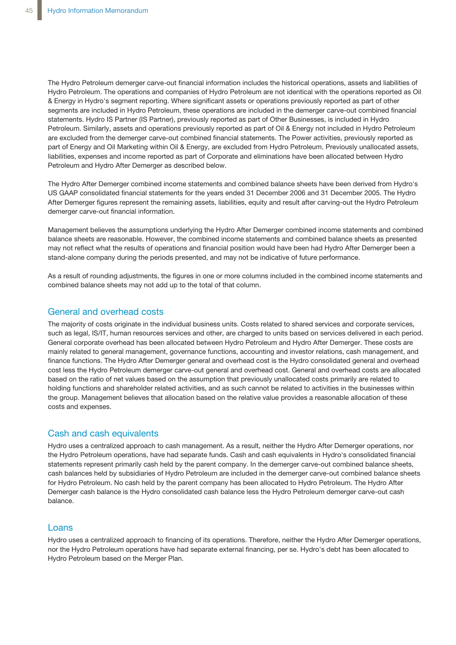The Hydro Petroleum demerger carve-out financial information includes the historical operations, assets and liabilities of Hydro Petroleum. The operations and companies of Hydro Petroleum are not identical with the operations reported as Oil & Energy in Hydro's segment reporting. Where significant assets or operations previously reported as part of other segments are included in Hydro Petroleum, these operations are included in the demerger carve-out combined financial statements. Hydro IS Partner (IS Partner), previously reported as part of Other Businesses, is included in Hydro Petroleum. Similarly, assets and operations previously reported as part of Oil & Energy not included in Hydro Petroleum are excluded from the demerger carve-out combined financial statements. The Power activities, previously reported as part of Energy and Oil Marketing within Oil & Energy, are excluded from Hydro Petroleum. Previously unallocated assets, liabilities, expenses and income reported as part of Corporate and eliminations have been allocated between Hydro Petroleum and Hydro After Demerger as described below.

The Hydro After Demerger combined income statements and combined balance sheets have been derived from Hydro's US GAAP consolidated financial statements for the years ended 31 December 2006 and 31 December 2005. The Hydro After Demerger figures represent the remaining assets, liabilities, equity and result after carving-out the Hydro Petroleum demerger carve-out financial information.

Management believes the assumptions underlying the Hydro After Demerger combined income statements and combined balance sheets are reasonable. However, the combined income statements and combined balance sheets as presented may not reflect what the results of operations and financial position would have been had Hydro After Demerger been a stand-alone company during the periods presented, and may not be indicative of future performance.

As a result of rounding adjustments, the figures in one or more columns included in the combined income statements and combined balance sheets may not add up to the total of that column.

### General and overhead costs

The majority of costs originate in the individual business units. Costs related to shared services and corporate services, such as legal, IS/IT, human resources services and other, are charged to units based on services delivered in each period. General corporate overhead has been allocated between Hydro Petroleum and Hydro After Demerger. These costs are mainly related to general management, governance functions, accounting and investor relations, cash management, and finance functions. The Hydro After Demerger general and overhead cost is the Hydro consolidated general and overhead cost less the Hydro Petroleum demerger carve-out general and overhead cost. General and overhead costs are allocated based on the ratio of net values based on the assumption that previously unallocated costs primarily are related to holding functions and shareholder related activities, and as such cannot be related to activities in the businesses within the group. Management believes that allocation based on the relative value provides a reasonable allocation of these costs and expenses.

### Cash and cash equivalents

Hydro uses a centralized approach to cash management. As a result, neither the Hydro After Demerger operations, nor the Hydro Petroleum operations, have had separate funds. Cash and cash equivalents in Hydro's consolidated financial statements represent primarily cash held by the parent company. In the demerger carve-out combined balance sheets, cash balances held by subsidiaries of Hydro Petroleum are included in the demerger carve-out combined balance sheets for Hydro Petroleum. No cash held by the parent company has been allocated to Hydro Petroleum. The Hydro After Demerger cash balance is the Hydro consolidated cash balance less the Hydro Petroleum demerger carve-out cash balance.

### Loans

Hydro uses a centralized approach to financing of its operations. Therefore, neither the Hydro After Demerger operations, nor the Hydro Petroleum operations have had separate external financing, per se. Hydro's debt has been allocated to Hydro Petroleum based on the Merger Plan.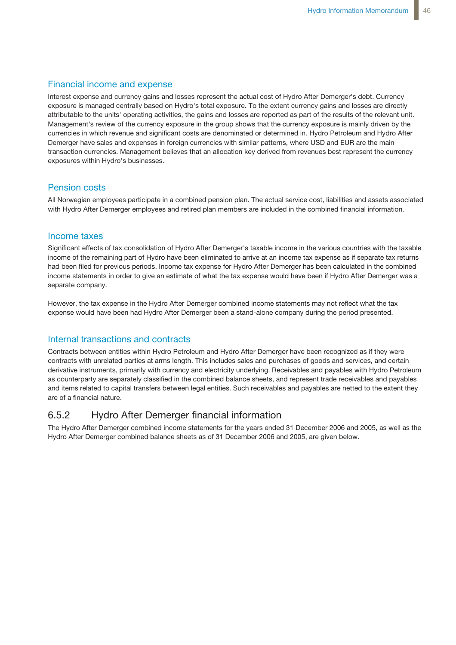### Financial income and expense

Interest expense and currency gains and losses represent the actual cost of Hydro After Demerger's debt. Currency exposure is managed centrally based on Hydro's total exposure. To the extent currency gains and losses are directly attributable to the units' operating activities, the gains and losses are reported as part of the results of the relevant unit. Management's review of the currency exposure in the group shows that the currency exposure is mainly driven by the currencies in which revenue and significant costs are denominated or determined in. Hydro Petroleum and Hydro After Demerger have sales and expenses in foreign currencies with similar patterns, where USD and EUR are the main transaction currencies. Management believes that an allocation key derived from revenues best represent the currency exposures within Hydro's businesses.

### Pension costs

All Norwegian employees participate in a combined pension plan. The actual service cost, liabilities and assets associated with Hydro After Demerger employees and retired plan members are included in the combined financial information.

### Income taxes

Significant effects of tax consolidation of Hydro After Demerger's taxable income in the various countries with the taxable income of the remaining part of Hydro have been eliminated to arrive at an income tax expense as if separate tax returns had been filed for previous periods. Income tax expense for Hydro After Demerger has been calculated in the combined income statements in order to give an estimate of what the tax expense would have been if Hydro After Demerger was a separate company.

However, the tax expense in the Hydro After Demerger combined income statements may not reflect what the tax expense would have been had Hydro After Demerger been a stand-alone company during the period presented.

### Internal transactions and contracts

Contracts between entities within Hydro Petroleum and Hydro After Demerger have been recognized as if they were contracts with unrelated parties at arms length. This includes sales and purchases of goods and services, and certain derivative instruments, primarily with currency and electricity underlying. Receivables and payables with Hydro Petroleum as counterparty are separately classified in the combined balance sheets, and represent trade receivables and payables and items related to capital transfers between legal entities. Such receivables and payables are netted to the extent they are of a financial nature.

## 6.5.2 Hydro After Demerger financial information

The Hydro After Demerger combined income statements for the years ended 31 December 2006 and 2005, as well as the Hydro After Demerger combined balance sheets as of 31 December 2006 and 2005, are given below.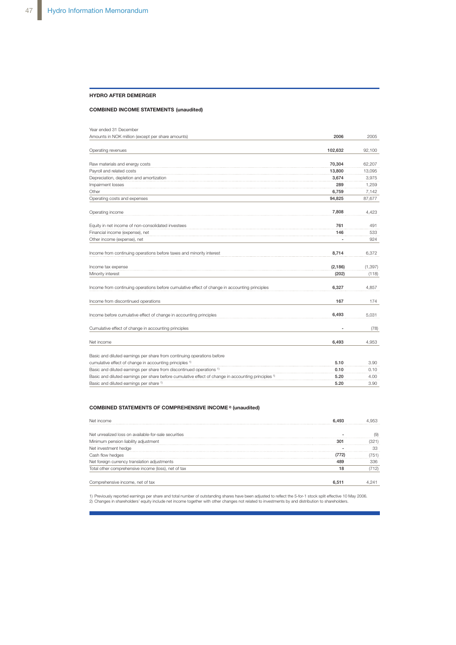#### **HYDRO AFTER DEMERGER**

#### **COMBINED INCOME STATEMENTS (unaudited)**

| Year ended 31 December                                                                                         |          |          |
|----------------------------------------------------------------------------------------------------------------|----------|----------|
| Amounts in NOK million (except per share amounts)                                                              | 2006     | 2005     |
|                                                                                                                |          |          |
| Operating revenues                                                                                             | 102,632  | 92,100   |
| Raw materials and energy costs                                                                                 | 70,304   | 62.207   |
| Payroll and related costs                                                                                      | 13,800   | 13,095   |
| Depreciation, depletion and amortization                                                                       | 3,674    | 3,975    |
| Impairment losses                                                                                              | 289      | 1,259    |
| Other                                                                                                          | 6,759    | 7,142    |
| Operating costs and expenses                                                                                   | 94,825   | 87,677   |
| Operating income                                                                                               | 7,808    | 4,423    |
| Equity in net income of non-consolidated investees                                                             | 761      | 491      |
| Financial income (expense), net                                                                                | 146      | 533      |
| Other income (expense), net                                                                                    |          | 924      |
| Income from continuing operations before taxes and minority interest                                           | 8,714    | 6,372    |
| Income tax expense                                                                                             | (2, 186) | (1, 397) |
| Minority interest                                                                                              | (202)    | (118)    |
| Income from continuing operations before cumulative effect of change in accounting principles                  | 6,327    | 4,857    |
| Income from discontinued operations                                                                            | 167      | 174      |
| Income before cumulative effect of change in accounting principles                                             | 6,493    | 5,031    |
| Cumulative effect of change in accounting principles                                                           |          | (78)     |
| Net income                                                                                                     | 6,493    | 4,953    |
| Basic and diluted earnings per share from continuing operations before                                         |          |          |
| cumulative effect of change in accounting principles 1)                                                        | 5.10     | 3.90     |
| Basic and diluted earnings per share from discontinued operations <sup>1)</sup>                                | 0.10     | 0.10     |
| Basic and diluted earnings per share before cumulative effect of change in accounting principles <sup>1)</sup> | 5.20     | 4.00     |
| Basic and diluted earnings per share 1)                                                                        | 5.20     | 3.90     |

#### **COMBINED STATEMENTS OF COMPREHENSIVE INCOME 2) (unaudited)**

|    | '51  |
|----|------|
|    | 336  |
| 18 | 712) |
|    |      |
|    |      |

1) Previously reported earnings per share and total number of outstanding shares have been adjusted to reflect the 5-for-1 stock split effective 10 May 2006.<br>2) Changes in shareholders' equity include net income together w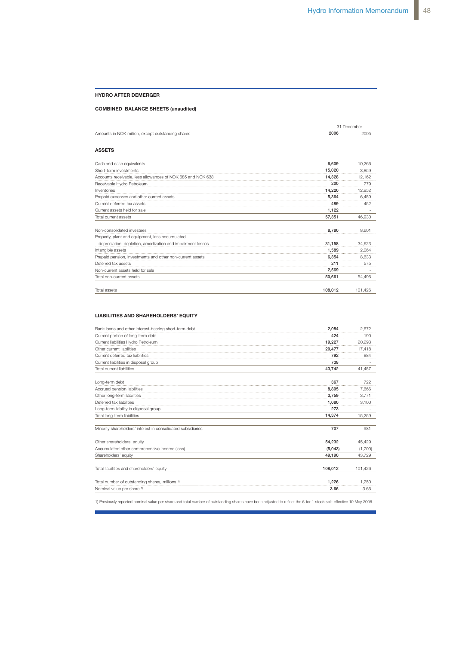#### **HYDRO AFTER DEMERGER**

#### **COMBINED BALANCE SHEETS (unaudited)**

|                                                             |         | 31 December |  |  |
|-------------------------------------------------------------|---------|-------------|--|--|
| Amounts in NOK million, except outstanding shares           | 2006    | 2005        |  |  |
| <b>ASSETS</b>                                               |         |             |  |  |
| Cash and cash equivalents                                   | 6.609   | 10.266      |  |  |
| Short-term investments                                      | 15,020  | 3,859       |  |  |
| Accounts receivable, less allowances of NOK 685 and NOK 638 | 14,328  | 12,162      |  |  |
| Receivable Hydro Petroleum                                  | 200     | 779         |  |  |
| Inventories                                                 | 14,220  | 12,952      |  |  |
| Prepaid expenses and other current assets                   | 5.364   | 6,459       |  |  |
| Current deferred tax assets                                 | 489     | 452         |  |  |
| Current assets held for sale                                | 1.122   |             |  |  |
| Total current assets                                        | 57,351  | 46.930      |  |  |
| Non-consolidated investees                                  | 8.780   | 8.601       |  |  |
| Property, plant and equipment, less accumulated             |         |             |  |  |
| depreciation, depletion, amortization and impairment losses | 31.158  | 34,623      |  |  |
| Intangible assets                                           | 1,589   | 2,064       |  |  |
| Prepaid pension, investments and other non-current assets   | 6,354   | 8,633       |  |  |
| Deferred tax assets                                         | 211     | 575         |  |  |
| Non-current assets held for sale                            | 2,569   |             |  |  |
| Total non-current assets                                    | 50,661  | 54.496      |  |  |
| Total assets                                                | 108,012 | 101,426     |  |  |

#### **LIABILITIES AND SHAREHOLDERS' EQUITY**

| Bank loans and other interest-bearing short-term debt        | 2.084   | 2.672   |
|--------------------------------------------------------------|---------|---------|
| Current portion of long-term debt                            | 424     | 190     |
| Current liabilities Hydro Petroleum                          | 19.227  | 20.293  |
| Other current liabilities                                    | 20.477  | 17,418  |
| Current deferred tax liabilities                             | 792     | 884     |
| Current liabilities in disposal group                        | 738     |         |
| Total current liabilities                                    | 43.742  | 41,457  |
| Long-term debt                                               | 367     | 722     |
| Accrued pension liabilities                                  | 8,895   | 7,666   |
| Other long-term liabilities                                  | 3,759   | 3,771   |
| Deferred tax liabilities                                     | 1.080   | 3.100   |
| Long-term liability in disposal group                        | 273     |         |
| Total long-term liabilities                                  | 14.374  | 15.259  |
| Minority shareholders' interest in consolidated subsidiaries | 707     | 981     |
| Other shareholders' equity                                   | 54,232  | 45,429  |
| Accumulated other comprehensive income (loss)                | (5,043) | (1,700) |
| Shareholders' equity                                         | 49.190  | 43.729  |
| Total liabilities and shareholders' equity                   | 108.012 | 101.426 |
| Total number of outstanding shares, millions 1)              | 1.226   | 1.250   |
| Nominal value per share 1)                                   | 3.66    | 3.66    |

1) Previously reported nominal value per share and total number of outstanding shares have been adjusted to reflect the 5-for-1 stock split effective 10 May 2006.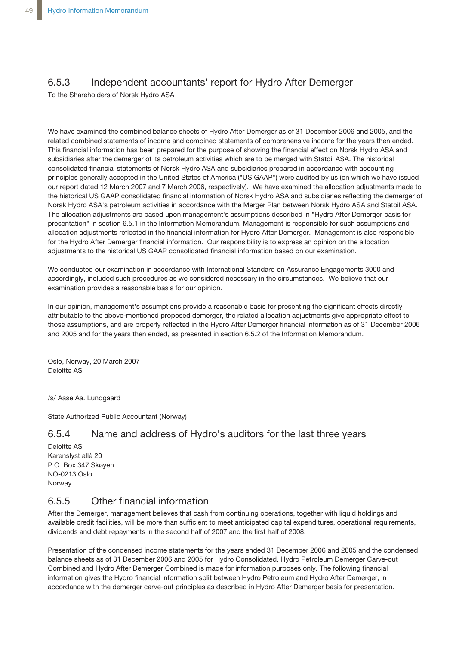## 6.5.3 Independent accountants' report for Hydro After Demerger

To the Shareholders of Norsk Hydro ASA

We have examined the combined balance sheets of Hydro After Demerger as of 31 December 2006 and 2005, and the related combined statements of income and combined statements of comprehensive income for the years then ended. This financial information has been prepared for the purpose of showing the financial effect on Norsk Hydro ASA and subsidiaries after the demerger of its petroleum activities which are to be merged with Statoil ASA. The historical consolidated financial statements of Norsk Hydro ASA and subsidiaries prepared in accordance with accounting principles generally accepted in the United States of America ("US GAAP") were audited by us (on which we have issued our report dated 12 March 2007 and 7 March 2006, respectively). We have examined the allocation adjustments made to the historical US GAAP consolidated financial information of Norsk Hydro ASA and subsidiaries reflecting the demerger of Norsk Hydro ASA's petroleum activities in accordance with the Merger Plan between Norsk Hydro ASA and Statoil ASA. The allocation adjustments are based upon management's assumptions described in "Hydro After Demerger basis for presentation" in section 6.5.1 in the Information Memorandum. Management is responsible for such assumptions and allocation adjustments reflected in the financial information for Hydro After Demerger. Management is also responsible for the Hydro After Demerger financial information. Our responsibility is to express an opinion on the allocation adjustments to the historical US GAAP consolidated financial information based on our examination.

We conducted our examination in accordance with International Standard on Assurance Engagements 3000 and accordingly, included such procedures as we considered necessary in the circumstances. We believe that our examination provides a reasonable basis for our opinion.

In our opinion, management's assumptions provide a reasonable basis for presenting the significant effects directly attributable to the above-mentioned proposed demerger, the related allocation adjustments give appropriate effect to those assumptions, and are properly reflected in the Hydro After Demerger financial information as of 31 December 2006 and 2005 and for the years then ended, as presented in section 6.5.2 of the Information Memorandum.

Oslo, Norway, 20 March 2007 Deloitte AS

/s/ Aase Aa. Lundgaard

State Authorized Public Accountant (Norway)

## 6.5.4 Name and address of Hydro's auditors for the last three years

Deloitte AS Karenslyst allè 20 P.O. Box 347 Skøyen NO-0213 Oslo Norway

## 6.5.5 Other financial information

After the Demerger, management believes that cash from continuing operations, together with liquid holdings and available credit facilities, will be more than sufficient to meet anticipated capital expenditures, operational requirements, dividends and debt repayments in the second half of 2007 and the first half of 2008.

Presentation of the condensed income statements for the years ended 31 December 2006 and 2005 and the condensed balance sheets as of 31 December 2006 and 2005 for Hydro Consolidated, Hydro Petroleum Demerger Carve-out Combined and Hydro After Demerger Combined is made for information purposes only. The following financial information gives the Hydro financial information split between Hydro Petroleum and Hydro After Demerger, in accordance with the demerger carve-out principles as described in Hydro After Demerger basis for presentation.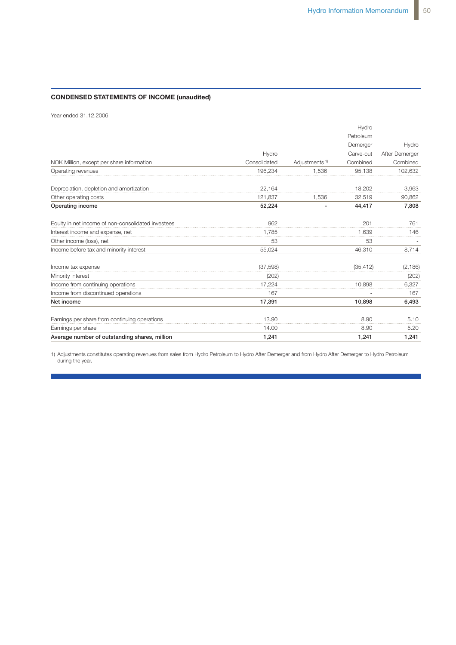### **CONDENSED STATEMENTS OF INCOME (unaudited)**

Year ended 31.12.2006

|              |                           | Petroleum |                |
|--------------|---------------------------|-----------|----------------|
|              |                           | Demerger  | Hydro          |
| Hydro        |                           | Carve-out | After Demerger |
| Consolidated | Adjustments <sup>1)</sup> | Combined  | Combined       |
| 196,234      | 1.536                     | 95,138    | 102,632        |
| 22,164       |                           | 18,202    | 3,963          |
| 121,837      | 1.536                     | 32,519    | 90,862         |
| 52,224       | $\overline{a}$            | 44,417    | 7,808          |
| 962          |                           | 201       | 761            |
| 1.785        |                           | 1,639     | 146            |
| 53           |                           | 53        |                |
| 55,024       |                           | 46,310    | 8,714          |
| (37, 598)    |                           | (35, 412) | (2, 186)       |
| (202)        |                           |           | (202)          |
| 17,224       |                           | 10,898    | 6,327          |
| 167          |                           |           | 167            |
| 17,391       |                           | 10,898    | 6,493          |
| 13.90        |                           | 8.90      | 5.10           |
| 14.00        |                           | 8.90      | 5.20           |
| 1,241        |                           | 1,241     | 1,241          |
|              |                           |           | Hydro          |

1) Adjustments constitutes operating revenues from sales from Hydro Petroleum to Hydro After Demerger and from Hydro After Demerger to Hydro Petroleum during the year.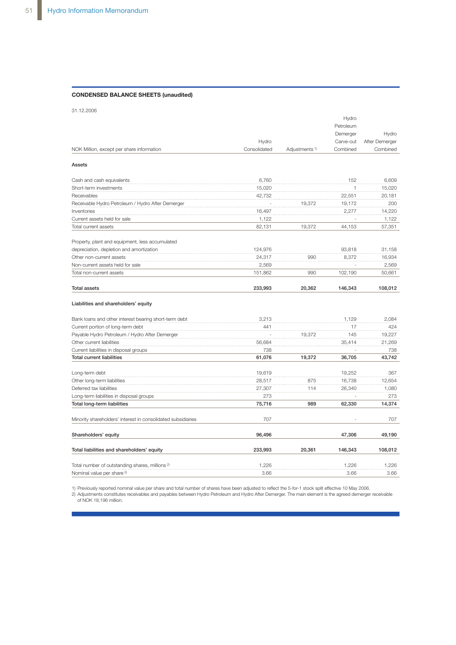#### **CONDENSED BALANCE SHEETS (unaudited)**

31.12.2006

|                                                              |              |                           | Hydro     |                |
|--------------------------------------------------------------|--------------|---------------------------|-----------|----------------|
|                                                              |              |                           | Petroleum |                |
|                                                              |              |                           | Demerger  | Hydro          |
|                                                              | Hydro        |                           | Carve-out | After Demerger |
| NOK Million, except per share information                    | Consolidated | Adjustments <sup>1)</sup> | Combined  | Combined       |
| Assets                                                       |              |                           |           |                |
| Cash and cash equivalents                                    | 6,760        |                           | 152       | 6,609          |
| Short-term investments                                       | 15,020       |                           |           | 15,020         |
| Receivables                                                  | 42,732       |                           | 22,551    | 20,181         |
| Receivable Hydro Petroleum / Hydro After Demerger            |              | 19,372                    | 19,172    | 200            |
| Inventories                                                  | 16,497       |                           | 2,277     | 14,220         |
| Current assets held for sale                                 | 1,122        |                           |           | 1,122          |
| Total current assets                                         | 82,131       | 19.372                    | 44,153    | 57,351         |
| Property, plant and equipment, less accumulated              |              |                           |           |                |
| depreciation, depletion and amortization                     | 124,976      |                           | 93,818    | 31,158         |
| Other non-current assets                                     | 24,317       | 990                       | 8,372     | 16,934         |
| Non-current assets held for sale                             | 2,569        |                           |           | 2,569          |
| Total non-current assets                                     | 151,862      | 990                       | 102,190   | 50,661         |
| <b>Total assets</b>                                          | 233,993      | 20,362                    | 146,343   | 108,012        |
| Liabilities and shareholders' equity                         |              |                           |           |                |
| Bank loans and other interest bearing short-term debt        | 3,213        |                           | 1,129     | 2,084          |
| Current portion of long-term debt                            | 441          |                           | 17        | 424            |
| Payable Hydro Petroleum / Hydro After Demerger               |              | 19,372                    | 145       | 19,227         |
| Other current liabilities                                    | 56,684       |                           | 35,414    | 21,269         |
| Current liabilities in disposal groups                       | 738          |                           |           | 738            |
| <b>Total current liabilities</b>                             | 61,076       | 19,372                    | 36,705    | 43,742         |
| Long-term debt                                               | 19,619       |                           | 19,252    | 367            |
| Other long-term liabilities                                  | 28,517       | 875                       | 16,738    | 12,654         |
| Deferred tax liabilities                                     | 27,307       | 114                       | 26,340    | 1,080          |
| Long-term liabilities in disposal groups                     | 273          |                           |           | 273            |
| Total long-term liabilities                                  | 75,716       | 989                       | 62,330    | 14,374         |
| Minority shareholders' interest in consolidated subsidiaries | 707          |                           |           | 707            |
| Shareholders' equity                                         | 96,496       |                           | 47,306    | 49,190         |
| Total liabilities and shareholders' equity                   | 233,993      | 20,361                    | 146,343   | 108,012        |
| Total number of outstanding shares, millions <sup>2)</sup>   | 1,226        |                           | 1,226     | 1,226          |
| Nominal value per share <sup>2)</sup>                        | 3.66         |                           | 3.66      | 3.66           |

1) Previously reported nominal value per share and total number of shares have been adjusted to reflect the 5-for-1 stock split effective 10 May 2006.<br>2) Adjustments constitutes receivables and payables between Hydro Petro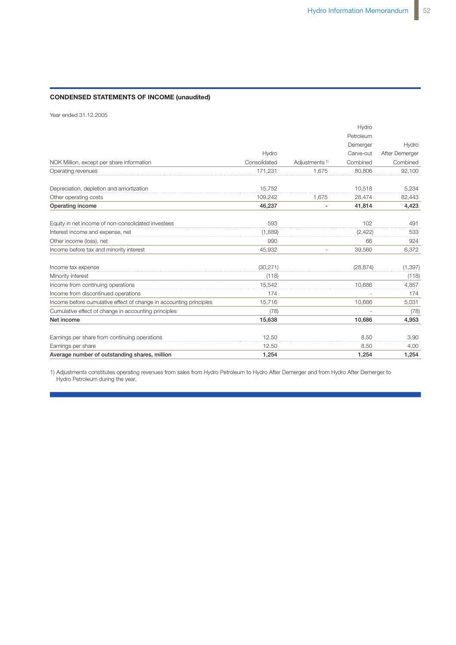### **CONDENSED STATEMENTS OF INCOME (unaudited)**

Year ended 31.12.2005

|                                                                    |              |                           | Hydro     |                |
|--------------------------------------------------------------------|--------------|---------------------------|-----------|----------------|
|                                                                    |              |                           | Petroleum |                |
|                                                                    |              |                           | Demerger  | Hydro          |
|                                                                    | Hydro        |                           | Carve-out | After Demerger |
| NOK Million, except per share information                          | Consolidated | Adjustments <sup>1)</sup> | Combined  | Combined       |
| Operating revenues                                                 | 171,231      | 1,675                     | 80,806    | 92,100         |
| Depreciation, depletion and amortization                           | 15,752       |                           | 10,518    | 5,234          |
| Other operating costs                                              | 109,242      | 1.675                     | 28,474    | 82,443         |
| Operating income                                                   | 46,237       | ٠                         | 41,814    | 4,423          |
| Equity in net income of non-consolidated investees                 | 593          |                           | 102       | 491            |
| Interest income and expense, net                                   | (1,889)      |                           | (2, 422)  | 533            |
| Other income (loss), net                                           | 990          |                           | 66        | 924            |
| Income before tax and minority interest                            | 45,932       |                           | 39,560    | 6,372          |
| Income tax expense                                                 | (30, 271)    |                           | (28, 874) | (1, 397)       |
| Minority interest                                                  | (118)        |                           |           | (118)          |
| Income from continuing operations                                  | 15.542       |                           | 10.686    | 4,857          |
| Income from discontinued operations                                | 174          |                           |           | 174            |
| Income before cumulative effect of change in accounting principles | 15,716       |                           | 10.686    | 5,031          |
| Cumulative effect of change in accounting principles               | (78)         |                           |           | (78)           |
| Net income                                                         | 15,638       |                           | 10,686    | 4,953          |
| Earnings per share from continuing operations                      | 12.50        |                           | 8.50      | 3.90           |
| Earnings per share                                                 | 12.50        |                           | 8.50      | 4.00           |
| Average number of outstanding shares, million                      | 1,254        |                           | 1.254     | 1,254          |

1) Adjustments constitutes operating revenues from sales from Hydro Petroleum to Hydro After Demerger and from Hydro After Demerger to Hydro Petroleum during the year.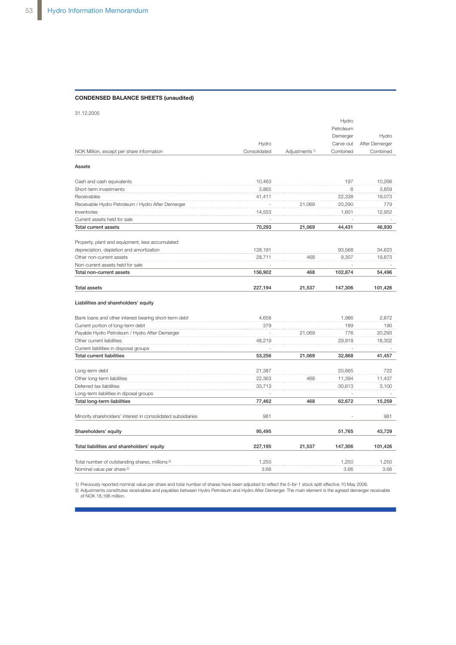#### CONDENSED BALANCE SHEETS (unaudited)

31.12.2005

|                                                              |              |                           | Hydro     |                |
|--------------------------------------------------------------|--------------|---------------------------|-----------|----------------|
|                                                              |              |                           | Petroleum |                |
|                                                              |              |                           | Demerger  | Hydro          |
|                                                              | Hydro        |                           | Carve-out | After Demerger |
| NOK Million, except per share information                    | Consolidated | Adjustments <sup>1)</sup> | Combined  | Combined       |
| Assets                                                       |              |                           |           |                |
| Cash and cash equivalents                                    | 10,463       |                           | 197       | 10,266         |
| Short-term investments                                       | 3,865        |                           | 6         | 3,859          |
| Receivables                                                  | 41,411       |                           | 22,338    | 19,073         |
| Receivable Hydro Petroleum / Hydro After Demerger            |              | 21,069                    | 20,290    | 779            |
| Inventories                                                  | 14,553       |                           | 1,601     | 12,952         |
| Current assets held for sale                                 |              |                           |           |                |
| <b>Total current assets</b>                                  | 70,293       | 21,069                    | 44,431    | 46,930         |
| Property, plant and equipment, less accumulated              |              |                           |           |                |
| depreciation, depletion and amortization                     | 128,191      |                           | 93,568    | 34,623         |
| Other non-current assets                                     | 28,711       | 468                       | 9,307     | 19,873         |
| Non-current assets held for sale                             |              |                           |           |                |
| Total non-current assets                                     | 156,902      | 468                       | 102,874   | 54,496         |
| <b>Total assets</b>                                          | 227,194      | 21,537                    | 147,306   | 101,426        |
| Liabilities and shareholders' equity                         |              |                           |           |                |
| Bank loans and other interest bearing short-term debt        | 4,658        |                           | 1,986     | 2,672          |
| Current portion of long-term debt                            | 379          |                           | 189       | 190            |
| Payable Hydro Petroleum / Hydro After Demerger               |              | 21.069                    | 776       | 20.293         |
| Other current liabilities                                    | 48,219       |                           | 29,918    | 18,302         |
| Current liabilities in disposal groups                       |              |                           |           |                |
| <b>Total current liabilities</b>                             | 53,256       | 21,069                    | 32,868    | 41,457         |
| Long-term debt                                               | 21,387       |                           | 20,665    | 722            |
| Other long-term liabilities                                  | 22,363       | 468                       | 11,394    | 11,437         |
| Deferred tax liabilities                                     | 33,713       |                           | 30,613    | 3,100          |
| Long-term liabilities in diposal groups                      |              |                           |           |                |
| Total long-term liabilities                                  | 77,462       | 468                       | 62,672    | 15,259         |
| Minority shareholders' interest in consolidated subsidiaries | 981          |                           |           | 981            |
|                                                              |              |                           |           |                |
| Shareholders' equity                                         | 95,495       |                           | 51,765    | 43,729         |
| Total liabilities and shareholders' equity                   | 227,195      | 21,537                    | 147,306   | 101,426        |
| Total number of outstanding shares, millions <sup>2)</sup>   | 1,250        |                           | 1,250     | 1,250          |
| Nominal value per share <sup>2)</sup>                        | 3.66         |                           | 3.66      | 3.66           |

1) Previously reported nominal value per share and total number of shares have been adjusted to reflect the 5-for-1 stock split effective 10 May 2006.<br>2) Adjustments constitutes receivables and payables between Hydro Petro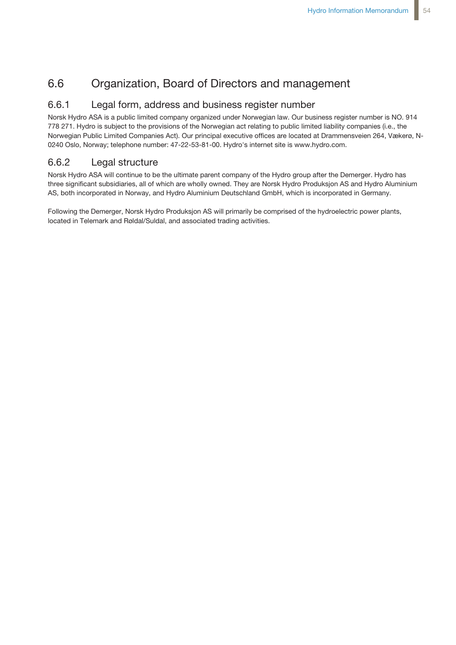# 6.6 Organization, Board of Directors and management

## 6.6.1 Legal form, address and business register number

Norsk Hydro ASA is a public limited company organized under Norwegian law. Our business register number is NO. 914 778 271. Hydro is subject to the provisions of the Norwegian act relating to public limited liability companies (i.e., the Norwegian Public Limited Companies Act). Our principal executive offices are located at Drammensveien 264, Vækerø, N-0240 Oslo, Norway; telephone number: 47-22-53-81-00. Hydro's internet site is www.hydro.com.

## 6.6.2 Legal structure

Norsk Hydro ASA will continue to be the ultimate parent company of the Hydro group after the Demerger. Hydro has three significant subsidiaries, all of which are wholly owned. They are Norsk Hydro Produksjon AS and Hydro Aluminium AS, both incorporated in Norway, and Hydro Aluminium Deutschland GmbH, which is incorporated in Germany.

Following the Demerger, Norsk Hydro Produksjon AS will primarily be comprised of the hydroelectric power plants, located in Telemark and Røldal/Suldal, and associated trading activities.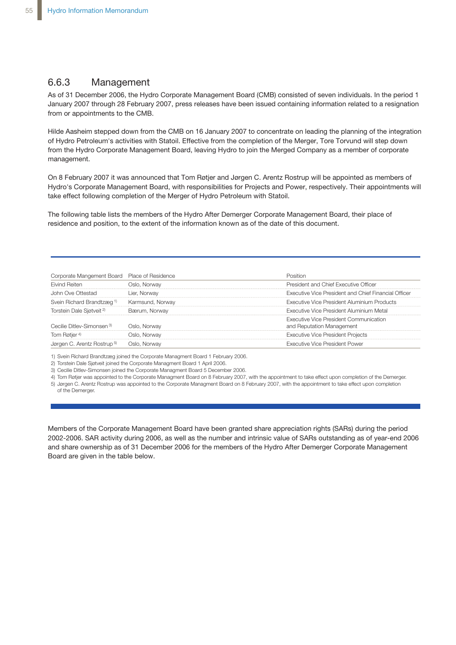## 6.6.3 Management

As of 31 December 2006, the Hydro Corporate Management Board (CMB) consisted of seven individuals. In the period 1 January 2007 through 28 February 2007, press releases have been issued containing information related to a resignation from or appointments to the CMB.

Hilde Aasheim stepped down from the CMB on 16 January 2007 to concentrate on leading the planning of the integration of Hydro Petroleum's activities with Statoil. Effective from the completion of the Merger, Tore Torvund will step down from the Hydro Corporate Management Board, leaving Hydro to join the Merged Company as a member of corporate management.

On 8 February 2007 it was announced that Tom Røtjer and Jørgen C. Arentz Rostrup will be appointed as members of Hydro's Corporate Management Board, with responsibilities for Projects and Power, respectively. Their appointments will take effect following completion of the Merger of Hydro Petroleum with Statoil.

The following table lists the members of the Hydro After Demerger Corporate Management Board, their place of residence and position, to the extent of the information known as of the date of this document.

| Corporate Mangement Board Place of Residence |                  |                                                                     |
|----------------------------------------------|------------------|---------------------------------------------------------------------|
| <b>Fivind Reiten</b>                         | Oslo. Norwav     | President and Chief Executive Officer                               |
| Ove Ottestad                                 | Lier. Norwav     | Executive Vice President and Chief Financial Officer                |
| Svein Richard Brandtzæg <sup>1)</sup>        | Karmsund, Norway | Executive Vice President Aluminium Products                         |
| Torstein Dale Siøtveit <sup>2)</sup>         | Bærum, Norwav    | Executive Vice President Aluminium Metal                            |
| Cecilie Ditley-Simonsen 3)                   | Oslo. Norwav     | Executive Vice President Communication<br>and Reputation Management |
| Tom Røtjer <sup>4)</sup>                     | . )slo. Norwav   | <b>Executive Vice President Projects</b>                            |
| Jørgen C. Arentz Rostrup 5)                  | . Norwav         | <b>Executive Vice President Power</b>                               |

1) Svein Richard Brandtzæg joined the Corporate Managment Board 1 February 2006.

2) Torstein Dale Sjøtveit joined the Corporate Managment Board 1 April 2006.

3) Cecilie Ditlev-Simonsen joined the Corporate Managment Board 5 December 2006.

4) Tom Røtjer was appointed to the Corporate Managment Board on 8 February 2007, with the appointment to take effect upon completion of the Demerger.

5) Jørgen C. Arentz Rostrup was appointed to the Corporate Managment Board on 8 February 2007, with the appointment to take effect upon completion of the Demerger.

Members of the Corporate Management Board have been granted share appreciation rights (SARs) during the period 2002-2006. SAR activity during 2006, as well as the number and intrinsic value of SARs outstanding as of year-end 2006 and share ownership as of 31 December 2006 for the members of the Hydro After Demerger Corporate Management Board are given in the table below.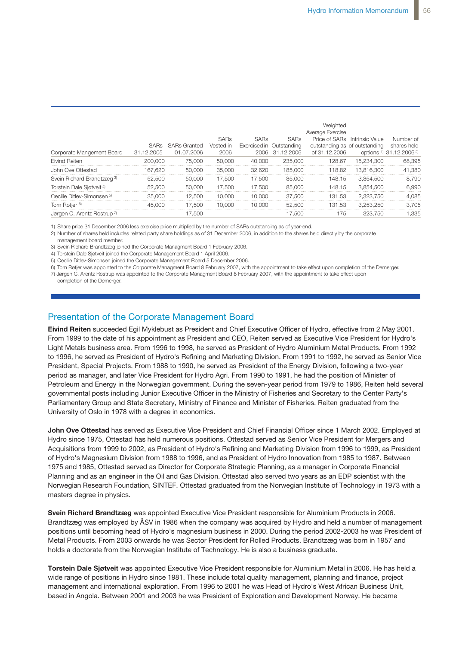| Corporate Mangement Board             | 31.12.2005 | SARs SARs Granted<br>01.07.2006 | <b>SARs</b><br>Vested in<br>2006 | <b>SARs</b> | <b>SARs</b><br>Exercised in Outstanding<br>2006 31.12.2006 | Weighted<br>Average Exercise<br>outstanding as of outstanding<br>of 31.12.2006 | Price of SARs Intrinsic Value | Number of<br>shares held<br>options 1) 31.12.2006 <sup>2)</sup> |
|---------------------------------------|------------|---------------------------------|----------------------------------|-------------|------------------------------------------------------------|--------------------------------------------------------------------------------|-------------------------------|-----------------------------------------------------------------|
| <b>Eivind Reiten</b>                  | 200,000    | 75.000                          | 50,000                           | 40.000      | 235,000                                                    | 128.67                                                                         | 15.234.300                    | 68.395                                                          |
| John Ove Ottestad                     | 167.620    | 50,000                          | 35,000                           | 32.620      | 185,000                                                    | 118.82                                                                         | 13.816.300                    | 41.380                                                          |
| Svein Richard Brandtzæg <sup>3)</sup> | 52,500     | 50,000                          | 17.500                           | 17.500      | 85,000                                                     | 148.15                                                                         | 3.854.500                     | 8.790                                                           |
| Torstein Dale Sjøtveit <sup>4)</sup>  | 52.500     | 50,000                          | 17.500                           | 17.500      | 85,000                                                     | 148.15                                                                         | 3.854.500                     | 6.990                                                           |
| Cecilie Ditlev-Simonsen <sup>5)</sup> | 35,000     | 12.500                          | 10.000                           | 10.000      | 37.500                                                     | 131.53                                                                         | 2.323.750                     | 4.085                                                           |
| Tom Røtjer <sup>6)</sup>              | 45,000     | 17.500                          | 10.000                           | 10.000      | 52.500                                                     | 131.53                                                                         | 3.253.250                     | 3.705                                                           |
| Jørgen C. Arentz Rostrup 7)           |            | 17.500                          |                                  |             | 17.500                                                     | 175                                                                            | 323.750                       | 1.335                                                           |

1) Share price 31 December 2006 less exercise price multiplied by the number of SARs outstanding as of year-end.

2) Number of shares held includes related party share holdings as of 31 December 2006, in addition to the shares held directly by the corporate management board member.

3) Svein Richard Brandtzæg joined the Corporate Managment Board 1 February 2006.

4) Torstein Dale Sjøtveit joined the Corporate Management Board 1 April 2006.

5) Cecilie Ditlev-Simonsen joined the Corporate Management Board 5 December 2006.

6) Tom Røtjer was appointed to the Corporate Managment Board 8 February 2007, with the appointment to take effect upon completion of the Demerger.

7) Jørgen C. Arentz Rostrup was appointed to the Corporate Managment Board 8 February 2007, with the appointment to take effect upon

completion of the Demerger.

## Presentation of the Corporate Management Board

**Eivind Reiten** succeeded Egil Myklebust as President and Chief Executive Officer of Hydro, effective from 2 May 2001. From 1999 to the date of his appointment as President and CEO, Reiten served as Executive Vice President for Hydro's Light Metals business area. From 1996 to 1998, he served as President of Hydro Aluminium Metal Products. From 1992 to 1996, he served as President of Hydro's Refining and Marketing Division. From 1991 to 1992, he served as Senior Vice President, Special Projects. From 1988 to 1990, he served as President of the Energy Division, following a two-year period as manager, and later Vice President for Hydro Agri. From 1990 to 1991, he had the position of Minister of Petroleum and Energy in the Norwegian government. During the seven-year period from 1979 to 1986, Reiten held several governmental posts including Junior Executive Officer in the Ministry of Fisheries and Secretary to the Center Party's Parliamentary Group and State Secretary, Ministry of Finance and Minister of Fisheries. Reiten graduated from the University of Oslo in 1978 with a degree in economics.

**John Ove Ottestad** has served as Executive Vice President and Chief Financial Officer since 1 March 2002. Employed at Hydro since 1975, Ottestad has held numerous positions. Ottestad served as Senior Vice President for Mergers and Acquisitions from 1999 to 2002, as President of Hydro's Refining and Marketing Division from 1996 to 1999, as President of Hydro's Magnesium Division from 1988 to 1996, and as President of Hydro Innovation from 1985 to 1987. Between 1975 and 1985, Ottestad served as Director for Corporate Strategic Planning, as a manager in Corporate Financial Planning and as an engineer in the Oil and Gas Division. Ottestad also served two years as an EDP scientist with the Norwegian Research Foundation, SINTEF. Ottestad graduated from the Norwegian Institute of Technology in 1973 with a masters degree in physics.

**Svein Richard Brandtzæg** was appointed Executive Vice President responsible for Aluminium Products in 2006. Brandtzæg was employed by ÅSV in 1986 when the company was acquired by Hydro and held a number of management positions until becoming head of Hydro's magnesium business in 2000. During the period 2002-2003 he was President of Metal Products. From 2003 onwards he was Sector President for Rolled Products. Brandtzæg was born in 1957 and holds a doctorate from the Norwegian Institute of Technology. He is also a business graduate.

**Torstein Dale Sjøtveit** was appointed Executive Vice President responsible for Aluminium Metal in 2006. He has held a wide range of positions in Hydro since 1981. These include total quality management, planning and finance, project management and international exploration. From 1996 to 2001 he was Head of Hydro's West African Business Unit, based in Angola. Between 2001 and 2003 he was President of Exploration and Development Norway. He became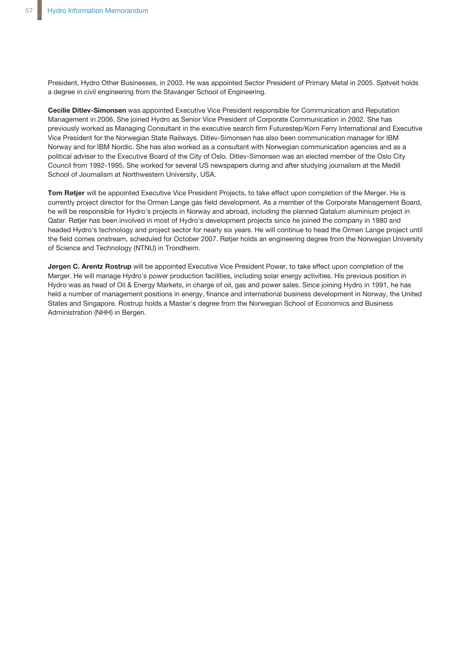President, Hydro Other Businesses, in 2003. He was appointed Sector President of Primary Metal in 2005. Sjøtveit holds a degree in civil engineering from the Stavanger School of Engineering.

**Cecilie Ditlev-Simonsen** was appointed Executive Vice President responsible for Communication and Reputation Management in 2006. She joined Hydro as Senior Vice President of Corporate Communication in 2002. She has previously worked as Managing Consultant in the executive search firm Futurestep/Korn Ferry International and Executive Vice President for the Norwegian State Railways. Ditlev-Simonsen has also been communication manager for IBM Norway and for IBM Nordic. She has also worked as a consultant with Norwegian communication agencies and as a political adviser to the Executive Board of the City of Oslo. Ditlev-Simonsen was an elected member of the Oslo City Council from 1992-1995. She worked for several US newspapers during and after studying journalism at the Medill School of Journalism at Northwestern University, USA.

**Tom Røtjer** will be appointed Executive Vice President Projects, to take effect upon completion of the Merger. He is currently project director for the Ormen Lange gas field development. As a member of the Corporate Management Board, he will be responsible for Hydro's projects in Norway and abroad, including the planned Qatalum aluminium project in Qatar. Røtjer has been involved in most of Hydro's development projects since he joined the company in 1980 and headed Hydro's technology and project sector for nearly six years. He will continue to head the Ormen Lange project until the field comes onstream, scheduled for October 2007. Røtjer holds an engineering degree from the Norwegian University of Science and Technology (NTNU) in Trondheim.

**Jørgen C. Arentz Rostrup** will be appointed Executive Vice President Power, to take effect upon completion of the Merger. He will manage Hydro's power production facilities, including solar energy activities. His previous position in Hydro was as head of Oil & Energy Markets, in charge of oil, gas and power sales. Since joining Hydro in 1991, he has held a number of management positions in energy, finance and international business development in Norway, the United States and Singapore. Rostrup holds a Master's degree from the Norwegian School of Economics and Business Administration (NHH) in Bergen.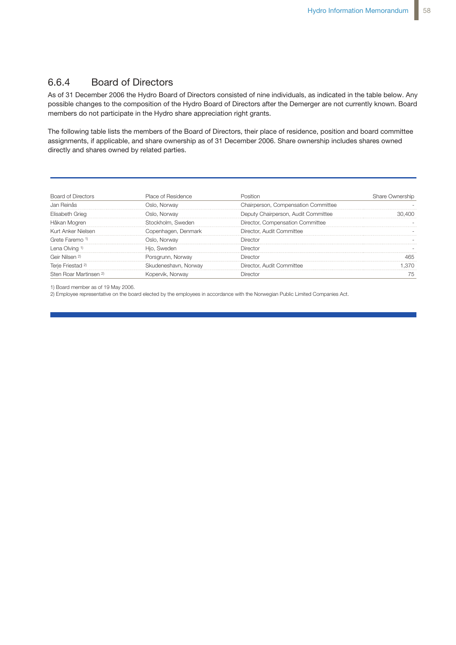## 6.6.4 Board of Directors

As of 31 December 2006 the Hydro Board of Directors consisted of nine individuals, as indicated in the table below. Any possible changes to the composition of the Hydro Board of Directors after the Demerger are not currently known. Board members do not participate in the Hydro share appreciation right grants.

The following table lists the members of the Board of Directors, their place of residence, position and board committee assignments, if applicable, and share ownership as of 31 December 2006. Share ownership includes shares owned directly and shares owned by related parties.

| Board of Directors                | Place of Residence   | Position                            | Share Ownership |
|-----------------------------------|----------------------|-------------------------------------|-----------------|
|                                   | Jslo. Norwav         | Chairperson, Compensation Committee |                 |
| Elisabeth Grieg                   | 'o, Norway           | outy Chairperson, Audit Committee   |                 |
| Håkan Mogren                      | Stockholm. Sweden    | Director, Compensation Committee    |                 |
| Kurt Anker Nielsen                | Copenhagen, Denmark  | Director. Audit Committee           |                 |
| Grete Faremo <sup>1)</sup>        | Oslo. Norwav         | <b>Director</b>                     |                 |
| Lena Olving 1                     | Hio. Sweden          | Director                            |                 |
| Geir Nilsen 2)                    | Porsgrunn, Norway    | <b>Director</b>                     |                 |
| Terje Friestad                    | Skudeneshavn, Norway | Director. Audit Committee           |                 |
| Sten Roar Martinsen <sup>2)</sup> | Kopervik. Norway     |                                     |                 |

1) Board member as of 19 May 2006.

2) Employee representative on the board elected by the employees in accordance with the Norwegian Public Limited Companies Act.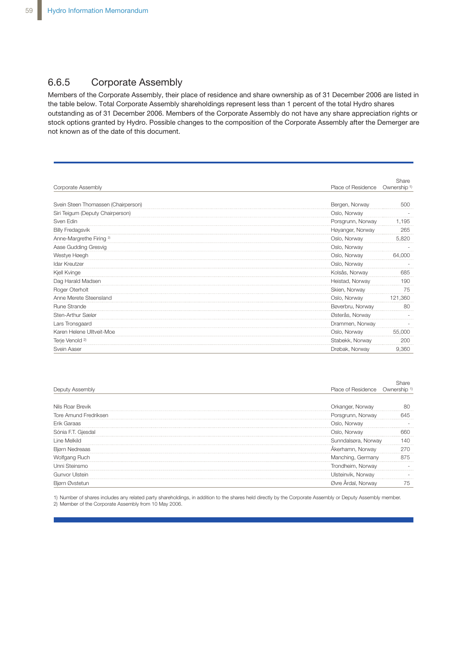## 6.6.5 Corporate Assembly

Members of the Corporate Assembly, their place of residence and share ownership as of 31 December 2006 are listed in the table below. Total Corporate Assembly shareholdings represent less than 1 percent of the total Hydro shares outstanding as of 31 December 2006. Members of the Corporate Assembly do not have any share appreciation rights or stock options granted by Hydro. Possible changes to the composition of the Corporate Assembly after the Demerger are not known as of the date of this document.

| Corporate Assembly                  | Place of Residence | Share<br>Ownership <sup>1)</sup> |
|-------------------------------------|--------------------|----------------------------------|
|                                     |                    |                                  |
| Svein Steen Thomassen (Chairperson) | Bergen, Norway     | 500                              |
| Siri Teigum (Deputy Chairperson)    | Oslo, Norway       |                                  |
| Sven Edin                           | Porsgrunn, Norway  | 1.195                            |
| <b>Billy Fredagsvik</b>             | Høyanger, Norway   | 265                              |
| Anne-Margrethe Firing <sup>2)</sup> | Oslo, Norway       | 5,820                            |
| Aase Gudding Gresvig                | Oslo, Norway       |                                  |
| Westye Høegh                        | Oslo, Norway       | 64.000                           |
| Idar Kreutzer                       | Oslo, Norway       |                                  |
| Kjell Kvinge                        | Kolsås, Norway     | 685                              |
| Dag Harald Madsen                   | Heistad, Norway    | 190                              |
| Roger Oterholt                      | Skien, Norway      | 75                               |
| Anne Merete Steensland              | Oslo, Norway       | 121,360                          |
| Rune Strande                        | Bøverbru, Norway   | 80                               |
| Sten-Arthur Sælør                   | Østerås, Norway    |                                  |
| Lars Tronsgaard                     | Drammen, Norway    |                                  |
| Karen Helene Ulltveit-Moe           | Oslo, Norway       | 55,000                           |
| Terje Venold <sup>2)</sup>          | Stabekk, Norway    | 200                              |
| Svein Aaser                         | Drøbak, Norway     | 9,360                            |

| Deputy Assembly       | Place of Residence Ownership |  |
|-----------------------|------------------------------|--|
|                       |                              |  |
| Nils Roar Brevik      | Orkanger, Norway             |  |
| Tore Amund Fredriksen | Porsarunn. Norwav            |  |
| Frik Garaas           | )slo. Norwav                 |  |
| Giesdal               | )slo, Norway                 |  |
|                       | Sunndalsøra, Norway          |  |
| Bjørn                 | Akerhamn, Norway             |  |
| Wolfgang Ruch         | Manching, Germany            |  |
| Jnni Steinsmo         | Trondheim, Norway            |  |
| Gunvor Ulsteir        | Jlsteinvik, Norway           |  |
| Bjørn Øvstetur        | Øvre Ardal, Norway           |  |

1) Number of shares includes any related party shareholdings, in addition to the shares held directly by the Corporate Assembly or Deputy Assembly member. 2) Member of the Corporate Assembly from 10 May 2006.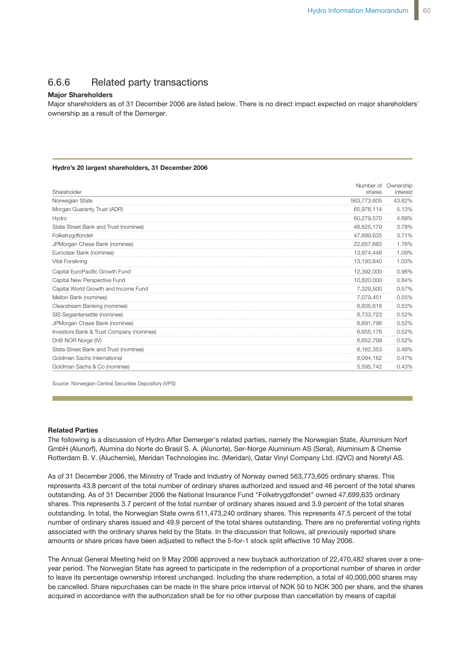## 6.6.6 Related party transactions

#### **Major Shareholders**

Major shareholders as of 31 December 2006 are listed below. There is no direct impact expected on major shareholders' ownership as a result of the Demerger.

#### **Hydro's 20 largest shareholders, 31 December 2006**

| Shareholder                              | shares      | Number of Ownership<br>interest |
|------------------------------------------|-------------|---------------------------------|
| Norwegian State                          | 563,773,605 | 43.82%                          |
| Morgan Guaranty Trust (ADR)              | 65,978,114  | 5.13%                           |
| Hydro                                    | 60,279,570  | 4.69%                           |
| State Street Bank and Trust (nominee)    | 48,625,179  | 3.78%                           |
| Folketrygdfondet                         | 47,699,635  | 3.71%                           |
| JPMorgan Chase Bank (nominee)            | 22,657,683  | 1.76%                           |
| Euroclear Bank (nominee)                 | 13,974,448  | 1.09%                           |
| Vital Forsikring                         | 13,193,640  | 1.03%                           |
| Capital EuroPacific Growth Fund          | 12,392,000  | 0.96%                           |
| Capital New Perspective Fund             | 10,820,000  | 0.84%                           |
| Capital World Growth and Income Fund     | 7,329,500   | 0.57%                           |
| Mellon Bank (nominee)                    | 7,079,451   | 0.55%                           |
| Clearstream Banking (nominee)            | 6,835,618   | 0.53%                           |
| SIS Segaintersettle (nominee)            | 6,733,723   | 0.52%                           |
| JPMorgan Chase Bank (nominee)            | 6,691,798   | 0.52%                           |
| Investors Bank & Trust Company (nominee) | 6,655,176   | 0.52%                           |
| DnB NOR Norge (IV)                       | 6,652,799   | 0.52%                           |
| State Street Bank and Trust (nominee)    | 6,162,353   | 0.48%                           |
| Goldman Sachs International              | 6,094,182   | 0.47%                           |
| Goldman Sachs & Co (nominee)             | 5.595.742   | 0.43%                           |

Source: Norwegian Central Securities Depository (VPS)

#### **Related Parties**

**Information from Hydro Annual General Meeting** GmbH (Alunorf), Alumina do Norte do Brasil S. A. (Alunorte), Sør-Norge Aluminium AS (Søral), Aluminium & Chemie  $\frac{1}{\pi}$  (Alushamia) Maridan Tachnologica Inc. (N  $k$ et, and aims to maintain and  $p$  matricipants. The maintain and  $p$  $T$ Rotterdam B. V. (Aluchemie), Meridan Technologies Inc. (Meridan), Qatar Vinyl Company Ltd. (QVC) and Noretyl AS. The following is a discussion of Hydro After Demerger's related parties, namely the Norwegian State, Aluminium Norf

As of 31 December 2006, the Ministry of Trade and Industry of Norway owned 563,773,605 ordinary shares. This represents 43.8 percent of the total number of ordinary shares authorized and issued and 46 percent of the total shares Procedure that price sensitive is considered price sensitive in the sensitive is communicated price sensitive is communicated by communication of the sensitive is communicated by communication of the sensitive is communica by news release and stock exchange and stock exchange and stock exchange and stock exchange and stock exchange and stock exchange and stock exchange and stock exchange and stock exchange and stock exchange and stock exchan shares. This represents 3.7 percent of the total number of ordinary shares issued and 3.9 percent of the total shares outstanding. In total, the Norwegian State owns 611,473,240 ordinary shares. This represents 47.5 percent of the total number of ordinary shares issued and 49.9 percent of the total shares outstanding. There are no preferential voting rights associated with the ordinary shares held by the State. In the discussion that follows, all previously reported share Method will be published in the Norwegian newspapers After After After After After After After After After After After After After After After After After After After After After After After After After After After After A outstanding. As of 31 December 2006 the National Insurance Fund "Folketrygdfondet" owned 47,699,635 ordinary amounts or share prices have been adjusted to reflect the 5-for-1 stock split effective 10 May 2006.

 $n_e$  annual General Meeting held on 9 May 2006 approved year period. The Norwegian State has agreed to participate in the redemption of a proportional number of shares in order acquired in accordance with the authorization shall be for no other purpose than cancellation by means of capital The Annual General Meeting held on 9 May 2006 approved a new buyback authorization of 22,470,482 shares over a oneto leave its percentage ownership interest unchanged. Including the share redemption, a total of 40,000,000 shares may be cancelled. Share repurchases can be made in the share price interval of NOK 50 to NOK 300 per share, and the shares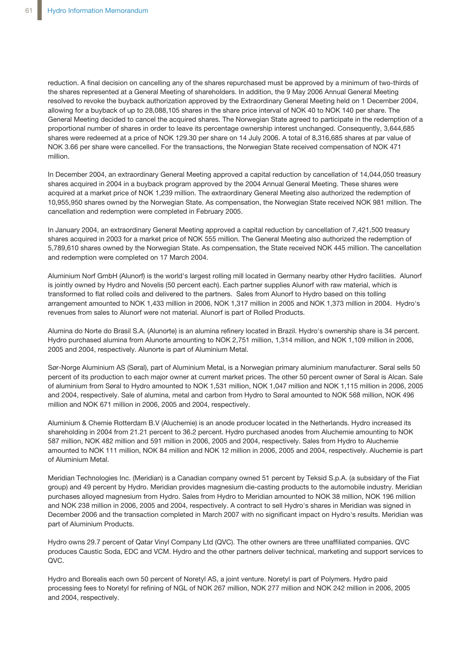reduction. A final decision on cancelling any of the shares repurchased must be approved by a minimum of two-thirds of the shares represented at a General Meeting of shareholders. In addition, the 9 May 2006 Annual General Meeting resolved to revoke the buyback authorization approved by the Extraordinary General Meeting held on 1 December 2004, allowing for a buyback of up to 28,088,105 shares in the share price interval of NOK 40 to NOK 140 per share. The General Meeting decided to cancel the acquired shares. The Norwegian State agreed to participate in the redemption of a proportional number of shares in order to leave its percentage ownership interest unchanged. Consequently, 3,644,685 shares were redeemed at a price of NOK 129.30 per share on 14 July 2006. A total of 8,316,685 shares at par value of NOK 3.66 per share were cancelled. For the transactions, the Norwegian State received compensation of NOK 471 million.

In December 2004, an extraordinary General Meeting approved a capital reduction by cancellation of 14,044,050 treasury shares acquired in 2004 in a buyback program approved by the 2004 Annual General Meeting. These shares were acquired at a market price of NOK 1,239 million. The extraordinary General Meeting also authorized the redemption of 10,955,950 shares owned by the Norwegian State. As compensation, the Norwegian State received NOK 981 million. The cancellation and redemption were completed in February 2005.

In January 2004, an extraordinary General Meeting approved a capital reduction by cancellation of 7,421,500 treasury shares acquired in 2003 for a market price of NOK 555 million. The General Meeting also authorized the redemption of 5,789,610 shares owned by the Norwegian State. As compensation, the State received NOK 445 million. The cancellation and redemption were completed on 17 March 2004.

Aluminium Norf GmbH (Alunorf) is the world's largest rolling mill located in Germany nearby other Hydro facilities. Alunorf is jointly owned by Hydro and Novelis (50 percent each). Each partner supplies Alunorf with raw material, which is transformed to flat rolled coils and delivered to the partners. Sales from Alunorf to Hydro based on this tolling arrangement amounted to NOK 1,433 million in 2006, NOK 1,317 million in 2005 and NOK 1,373 million in 2004. Hydro's revenues from sales to Alunorf were not material. Alunorf is part of Rolled Products.

Alumina do Norte do Brasil S.A. (Alunorte) is an alumina refinery located in Brazil. Hydro's ownership share is 34 percent. Hydro purchased alumina from Alunorte amounting to NOK 2,751 million, 1,314 million, and NOK 1,109 million in 2006, 2005 and 2004, respectively. Alunorte is part of Aluminium Metal.

Sør-Norge Aluminium AS (Søral), part of Aluminium Metal, is a Norwegian primary aluminium manufacturer. Søral sells 50 percent of its production to each major owner at current market prices. The other 50 percent owner of Søral is Alcan. Sale of aluminium from Søral to Hydro amounted to NOK 1,531 million, NOK 1,047 million and NOK 1,115 million in 2006, 2005 and 2004, respectively. Sale of alumina, metal and carbon from Hydro to Søral amounted to NOK 568 million, NOK 496 million and NOK 671 million in 2006, 2005 and 2004, respectively.

Aluminium & Chemie Rotterdam B.V (Aluchemie) is an anode producer located in the Netherlands. Hydro increased its shareholding in 2004 from 21.21 percent to 36.2 percent. Hydro purchased anodes from Aluchemie amounting to NOK 587 million, NOK 482 million and 591 million in 2006, 2005 and 2004, respectively. Sales from Hydro to Aluchemie amounted to NOK 111 million, NOK 84 million and NOK 12 million in 2006, 2005 and 2004, respectively. Aluchemie is part of Aluminium Metal.

Meridian Technologies Inc. (Meridian) is a Canadian company owned 51 percent by Teksid S.p.A. (a subsidary of the Fiat group) and 49 percent by Hydro. Meridian provides magnesium die-casting products to the automobile industry. Meridian purchases alloyed magnesium from Hydro. Sales from Hydro to Meridian amounted to NOK 38 million, NOK 196 million and NOK 238 million in 2006, 2005 and 2004, respectively. A contract to sell Hydro's shares in Meridian was signed in December 2006 and the transaction completed in March 2007 with no significant impact on Hydro's results. Meridian was part of Aluminium Products.

Hydro owns 29.7 percent of Qatar Vinyl Company Ltd (QVC). The other owners are three unaffiliated companies. QVC produces Caustic Soda, EDC and VCM. Hydro and the other partners deliver technical, marketing and support services to QVC.

Hydro and Borealis each own 50 percent of Noretyl AS, a joint venture. Noretyl is part of Polymers. Hydro paid processing fees to Noretyl for refining of NGL of NOK 267 million, NOK 277 million and NOK 242 million in 2006, 2005 and 2004, respectively.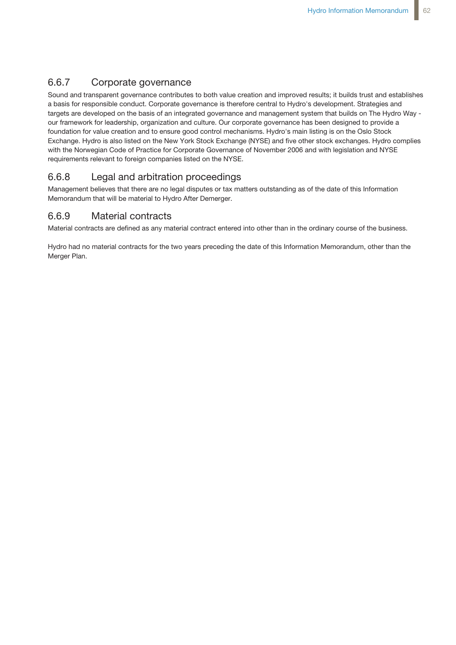## 6.6.7 Corporate governance

Sound and transparent governance contributes to both value creation and improved results; it builds trust and establishes a basis for responsible conduct. Corporate governance is therefore central to Hydro's development. Strategies and targets are developed on the basis of an integrated governance and management system that builds on The Hydro Way our framework for leadership, organization and culture. Our corporate governance has been designed to provide a foundation for value creation and to ensure good control mechanisms. Hydro's main listing is on the Oslo Stock Exchange. Hydro is also listed on the New York Stock Exchange (NYSE) and five other stock exchanges. Hydro complies with the Norwegian Code of Practice for Corporate Governance of November 2006 and with legislation and NYSE requirements relevant to foreign companies listed on the NYSE.

## 6.6.8 Legal and arbitration proceedings

Management believes that there are no legal disputes or tax matters outstanding as of the date of this Information Memorandum that will be material to Hydro After Demerger.

## 6.6.9 Material contracts

Material contracts are defined as any material contract entered into other than in the ordinary course of the business.

Hydro had no material contracts for the two years preceding the date of this Information Memorandum, other than the Merger Plan.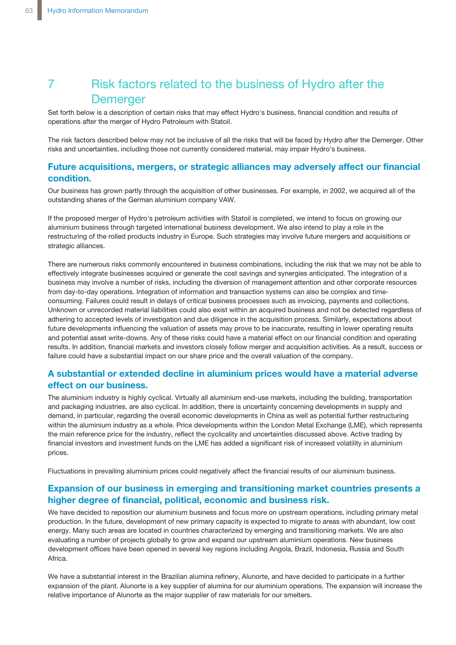# 7 Risk factors related to the business of Hydro after the **Demerger**

Set forth below is a description of certain risks that may effect Hydro's business, financial condition and results of operations after the merger of Hydro Petroleum with Statoil.

The risk factors described below may not be inclusive of all the risks that will be faced by Hydro after the Demerger. Other risks and uncertainties, including those not currently considered material, may impair Hydro's business.

## **Future acquisitions, mergers, or strategic alliances may adversely affect our financial condition.**

Our business has grown partly through the acquisition of other businesses. For example, in 2002, we acquired all of the outstanding shares of the German aluminium company VAW.

If the proposed merger of Hydro's petroleum activities with Statoil is completed, we intend to focus on growing our aluminium business through targeted international business development. We also intend to play a role in the restructuring of the rolled products industry in Europe. Such strategies may involve future mergers and acquisitions or strategic alliances.

There are numerous risks commonly encountered in business combinations, including the risk that we may not be able to effectively integrate businesses acquired or generate the cost savings and synergies anticipated. The integration of a business may involve a number of risks, including the diversion of management attention and other corporate resources from day-to-day operations. Integration of information and transaction systems can also be complex and timeconsuming. Failures could result in delays of critical business processes such as invoicing, payments and collections. Unknown or unrecorded material liabilities could also exist within an acquired business and not be detected regardless of adhering to accepted levels of investigation and due diligence in the acquisition process. Similarly, expectations about future developments influencing the valuation of assets may prove to be inaccurate, resulting in lower operating results and potential asset write-downs. Any of these risks could have a material effect on our financial condition and operating results. In addition, financial markets and investors closely follow merger and acquisition activities. As a result, success or failure could have a substantial impact on our share price and the overall valuation of the company.

## **A substantial or extended decline in aluminium prices would have a material adverse effect on our business.**

The aluminium industry is highly cyclical. Virtually all aluminium end-use markets, including the building, transportation and packaging industries, are also cyclical. In addition, there is uncertainty concerning developments in supply and demand, in particular, regarding the overall economic developments in China as well as potential further restructuring within the aluminium industry as a whole. Price developments within the London Metal Exchange (LME), which represents the main reference price for the industry, reflect the cyclicality and uncertainties discussed above. Active trading by financial investors and investment funds on the LME has added a significant risk of increased volatility in aluminium prices.

Fluctuations in prevailing aluminium prices could negatively affect the financial results of our aluminium business.

## **Expansion of our business in emerging and transitioning market countries presents a higher degree of financial, political, economic and business risk.**

We have decided to reposition our aluminium business and focus more on upstream operations, including primary metal production. In the future, development of new primary capacity is expected to migrate to areas with abundant, low cost energy. Many such areas are located in countries characterized by emerging and transitioning markets. We are also evaluating a number of projects globally to grow and expand our upstream aluminium operations. New business development offices have been opened in several key regions including Angola, Brazil, Indonesia, Russia and South Africa.

We have a substantial interest in the Brazilian alumina refinery, Alunorte, and have decided to participate in a further expansion of the plant. Alunorte is a key supplier of alumina for our aluminium operations. The expansion will increase the relative importance of Alunorte as the major supplier of raw materials for our smelters.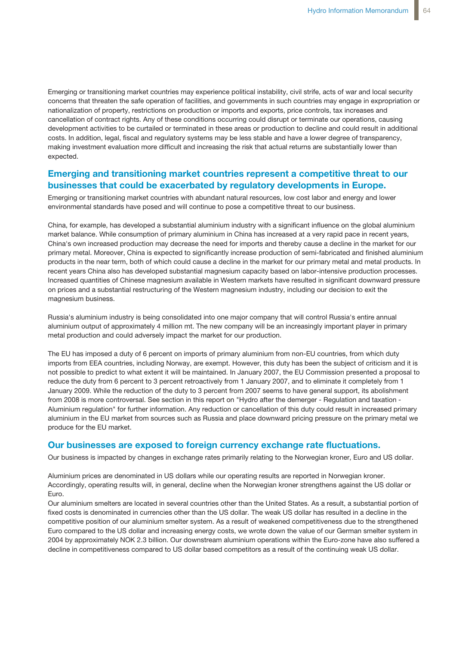Emerging or transitioning market countries may experience political instability, civil strife, acts of war and local security concerns that threaten the safe operation of facilities, and governments in such countries may engage in expropriation or nationalization of property, restrictions on production or imports and exports, price controls, tax increases and cancellation of contract rights. Any of these conditions occurring could disrupt or terminate our operations, causing development activities to be curtailed or terminated in these areas or production to decline and could result in additional costs. In addition, legal, fiscal and regulatory systems may be less stable and have a lower degree of transparency, making investment evaluation more difficult and increasing the risk that actual returns are substantially lower than expected.

## **Emerging and transitioning market countries represent a competitive threat to our businesses that could be exacerbated by regulatory developments in Europe.**

Emerging or transitioning market countries with abundant natural resources, low cost labor and energy and lower environmental standards have posed and will continue to pose a competitive threat to our business.

China, for example, has developed a substantial aluminium industry with a significant influence on the global aluminium market balance. While consumption of primary aluminium in China has increased at a very rapid pace in recent years, China's own increased production may decrease the need for imports and thereby cause a decline in the market for our primary metal. Moreover, China is expected to significantly increase production of semi-fabricated and finished aluminium products in the near term, both of which could cause a decline in the market for our primary metal and metal products. In recent years China also has developed substantial magnesium capacity based on labor-intensive production processes. Increased quantities of Chinese magnesium available in Western markets have resulted in significant downward pressure on prices and a substantial restructuring of the Western magnesium industry, including our decision to exit the magnesium business.

Russia's aluminium industry is being consolidated into one major company that will control Russia's entire annual aluminium output of approximately 4 million mt. The new company will be an increasingly important player in primary metal production and could adversely impact the market for our production.

The EU has imposed a duty of 6 percent on imports of primary aluminium from non-EU countries, from which duty imports from EEA countries, including Norway, are exempt. However, this duty has been the subject of criticism and it is not possible to predict to what extent it will be maintained. In January 2007, the EU Commission presented a proposal to reduce the duty from 6 percent to 3 percent retroactively from 1 January 2007, and to eliminate it completely from 1 January 2009. While the reduction of the duty to 3 percent from 2007 seems to have general support, its abolishment from 2008 is more controversal. See section in this report on "Hydro after the demerger - Regulation and taxation - Aluminium regulation" for further information. Any reduction or cancellation of this duty could result in increased primary aluminium in the EU market from sources such as Russia and place downward pricing pressure on the primary metal we produce for the EU market.

### **Our businesses are exposed to foreign currency exchange rate fluctuations.**

Our business is impacted by changes in exchange rates primarily relating to the Norwegian kroner, Euro and US dollar.

Aluminium prices are denominated in US dollars while our operating results are reported in Norwegian kroner. Accordingly, operating results will, in general, decline when the Norwegian kroner strengthens against the US dollar or Euro.

Our aluminium smelters are located in several countries other than the United States. As a result, a substantial portion of fixed costs is denominated in currencies other than the US dollar. The weak US dollar has resulted in a decline in the competitive position of our aluminium smelter system. As a result of weakened competitiveness due to the strengthened Euro compared to the US dollar and increasing energy costs, we wrote down the value of our German smelter system in 2004 by approximately NOK 2.3 billion. Our downstream aluminium operations within the Euro-zone have also suffered a decline in competitiveness compared to US dollar based competitors as a result of the continuing weak US dollar.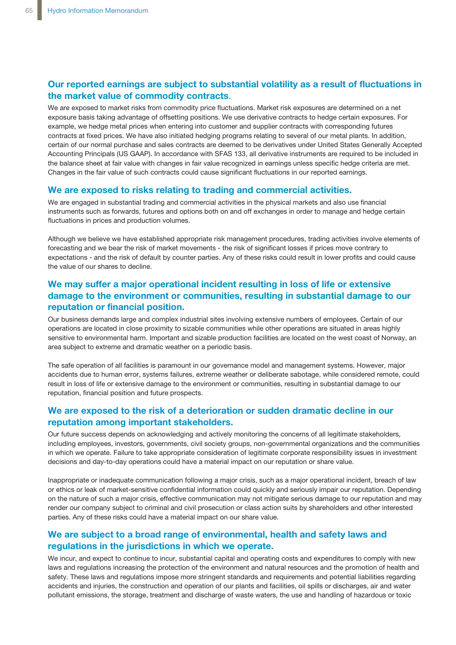## **Our reported earnings are subject to substantial volatility as a result of fluctuations in the market value of commodity contracts**.

We are exposed to market risks from commodity price fluctuations. Market risk exposures are determined on a net exposure basis taking advantage of offsetting positions. We use derivative contracts to hedge certain exposures. For example, we hedge metal prices when entering into customer and supplier contracts with corresponding futures contracts at fixed prices. We have also initiated hedging programs relating to several of our metal plants. In addition, certain of our normal purchase and sales contracts are deemed to be derivatives under United States Generally Accepted Accounting Principals (US GAAP). In accordance with SFAS 133, all derivative instruments are required to be included in the balance sheet at fair value with changes in fair value recognized in earnings unless specific hedge criteria are met. Changes in the fair value of such contracts could cause significant fluctuations in our reported earnings.

### **We are exposed to risks relating to trading and commercial activities.**

We are engaged in substantial trading and commercial activities in the physical markets and also use financial instruments such as forwards, futures and options both on and off exchanges in order to manage and hedge certain fluctuations in prices and production volumes.

Although we believe we have established appropriate risk management procedures, trading activities involve elements of forecasting and we bear the risk of market movements - the risk of significant losses if prices move contrary to expectations - and the risk of default by counter parties. Any of these risks could result in lower profits and could cause the value of our shares to decline.

## **We may suffer a major operational incident resulting in loss of life or extensive damage to the environment or communities, resulting in substantial damage to our reputation or financial position.**

Our business demands large and complex industrial sites involving extensive numbers of employees. Certain of our operations are located in close proximity to sizable communities while other operations are situated in areas highly sensitive to environmental harm. Important and sizable production facilities are located on the west coast of Norway, an area subject to extreme and dramatic weather on a periodic basis.

The safe operation of all facilities is paramount in our governance model and management systems. However, major accidents due to human error, systems failures, extreme weather or deliberate sabotage, while considered remote, could result in loss of life or extensive damage to the environment or communities, resulting in substantial damage to our reputation, financial position and future prospects.

## **We are exposed to the risk of a deterioration or sudden dramatic decline in our reputation among important stakeholders.**

Our future success depends on acknowledging and actively monitoring the concerns of all legitimate stakeholders, including employees, investors, governments, civil society groups, non-governmental organizations and the communities in which we operate. Failure to take appropriate consideration of legitimate corporate responsibility issues in investment decisions and day-to-day operations could have a material impact on our reputation or share value.

Inappropriate or inadequate communication following a major crisis, such as a major operational incident, breach of law or ethics or leak of market-sensitive confidential information could quickly and seriously impair our reputation. Depending on the nature of such a major crisis, effective communication may not mitigate serious damage to our reputation and may render our company subject to criminal and civil prosecution or class action suits by shareholders and other interested parties. Any of these risks could have a material impact on our share value.

## **We are subject to a broad range of environmental, health and safety laws and regulations in the jurisdictions in which we operate.**

We incur, and expect to continue to incur, substantial capital and operating costs and expenditures to comply with new laws and regulations increasing the protection of the environment and natural resources and the promotion of health and safety. These laws and regulations impose more stringent standards and requirements and potential liabilities regarding accidents and injuries, the construction and operation of our plants and facilities, oil spills or discharges, air and water pollutant emissions, the storage, treatment and discharge of waste waters, the use and handling of hazardous or toxic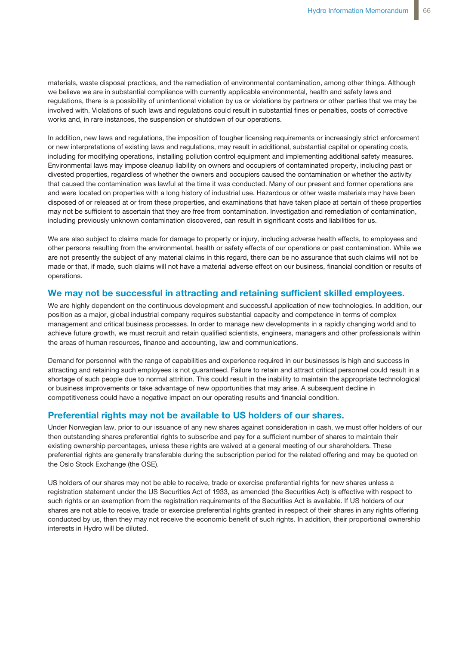materials, waste disposal practices, and the remediation of environmental contamination, among other things. Although we believe we are in substantial compliance with currently applicable environmental, health and safety laws and regulations, there is a possibility of unintentional violation by us or violations by partners or other parties that we may be involved with. Violations of such laws and regulations could result in substantial fines or penalties, costs of corrective works and, in rare instances, the suspension or shutdown of our operations.

In addition, new laws and regulations, the imposition of tougher licensing requirements or increasingly strict enforcement or new interpretations of existing laws and regulations, may result in additional, substantial capital or operating costs, including for modifying operations, installing pollution control equipment and implementing additional safety measures. Environmental laws may impose cleanup liability on owners and occupiers of contaminated property, including past or divested properties, regardless of whether the owners and occupiers caused the contamination or whether the activity that caused the contamination was lawful at the time it was conducted. Many of our present and former operations are and were located on properties with a long history of industrial use. Hazardous or other waste materials may have been disposed of or released at or from these properties, and examinations that have taken place at certain of these properties may not be sufficient to ascertain that they are free from contamination. Investigation and remediation of contamination, including previously unknown contamination discovered, can result in significant costs and liabilities for us.

We are also subject to claims made for damage to property or injury, including adverse health effects, to employees and other persons resulting from the environmental, health or safety effects of our operations or past contamination. While we are not presently the subject of any material claims in this regard, there can be no assurance that such claims will not be made or that, if made, such claims will not have a material adverse effect on our business, financial condition or results of operations.

### **We may not be successful in attracting and retaining sufficient skilled employees.**

We are highly dependent on the continuous development and successful application of new technologies. In addition, our position as a major, global industrial company requires substantial capacity and competence in terms of complex management and critical business processes. In order to manage new developments in a rapidly changing world and to achieve future growth, we must recruit and retain qualified scientists, engineers, managers and other professionals within the areas of human resources, finance and accounting, law and communications.

Demand for personnel with the range of capabilities and experience required in our businesses is high and success in attracting and retaining such employees is not guaranteed. Failure to retain and attract critical personnel could result in a shortage of such people due to normal attrition. This could result in the inability to maintain the appropriate technological or business improvements or take advantage of new opportunities that may arise. A subsequent decline in competitiveness could have a negative impact on our operating results and financial condition.

### **Preferential rights may not be available to US holders of our shares.**

Under Norwegian law, prior to our issuance of any new shares against consideration in cash, we must offer holders of our then outstanding shares preferential rights to subscribe and pay for a sufficient number of shares to maintain their existing ownership percentages, unless these rights are waived at a general meeting of our shareholders. These preferential rights are generally transferable during the subscription period for the related offering and may be quoted on the Oslo Stock Exchange (the OSE).

US holders of our shares may not be able to receive, trade or exercise preferential rights for new shares unless a registration statement under the US Securities Act of 1933, as amended (the Securities Act) is effective with respect to such rights or an exemption from the registration requirements of the Securities Act is available. If US holders of our shares are not able to receive, trade or exercise preferential rights granted in respect of their shares in any rights offering conducted by us, then they may not receive the economic benefit of such rights. In addition, their proportional ownership interests in Hydro will be diluted.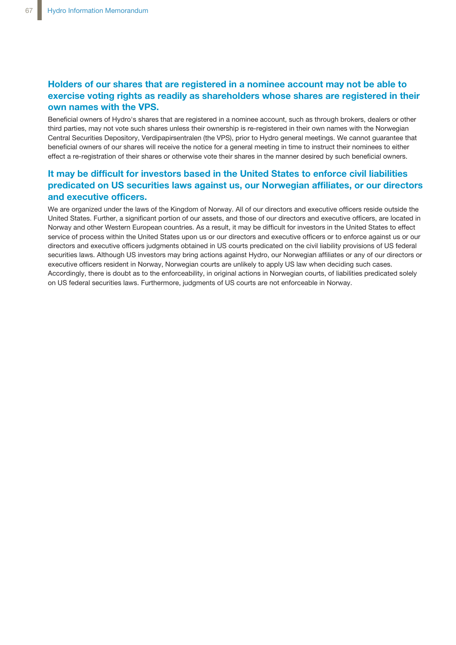## **Holders of our shares that are registered in a nominee account may not be able to exercise voting rights as readily as shareholders whose shares are registered in their own names with the VPS.**

Beneficial owners of Hydro's shares that are registered in a nominee account, such as through brokers, dealers or other third parties, may not vote such shares unless their ownership is re-registered in their own names with the Norwegian Central Securities Depository, Verdipapirsentralen (the VPS), prior to Hydro general meetings. We cannot guarantee that beneficial owners of our shares will receive the notice for a general meeting in time to instruct their nominees to either effect a re-registration of their shares or otherwise vote their shares in the manner desired by such beneficial owners.

## **It may be difficult for investors based in the United States to enforce civil liabilities predicated on US securities laws against us, our Norwegian affiliates, or our directors and executive officers.**

We are organized under the laws of the Kingdom of Norway. All of our directors and executive officers reside outside the United States. Further, a significant portion of our assets, and those of our directors and executive officers, are located in Norway and other Western European countries. As a result, it may be difficult for investors in the United States to effect service of process within the United States upon us or our directors and executive officers or to enforce against us or our directors and executive officers judgments obtained in US courts predicated on the civil liability provisions of US federal securities laws. Although US investors may bring actions against Hydro, our Norwegian affiliates or any of our directors or executive officers resident in Norway, Norwegian courts are unlikely to apply US law when deciding such cases. Accordingly, there is doubt as to the enforceability, in original actions in Norwegian courts, of liabilities predicated solely on US federal securities laws. Furthermore, judgments of US courts are not enforceable in Norway.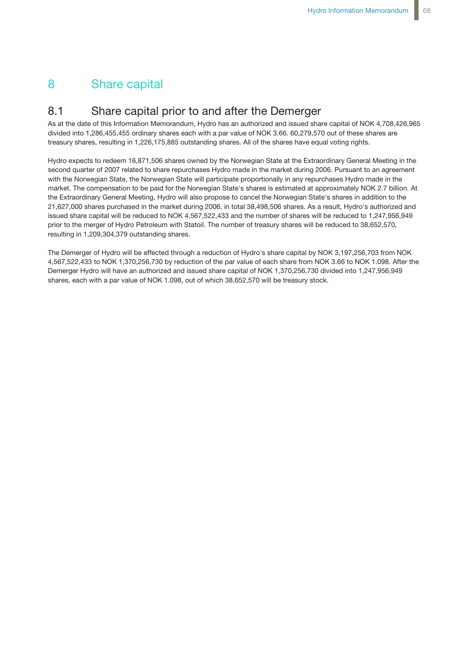# 8 Share capital

## 8.1 Share capital prior to and after the Demerger

As at the date of this Information Memorandum, Hydro has an authorized and issued share capital of NOK 4,708,426,965 divided into 1,286,455,455 ordinary shares each with a par value of NOK 3.66. 60,279,570 out of these shares are treasury shares, resulting in 1,226,175,885 outstanding shares. All of the shares have equal voting rights.

Hydro expects to redeem 16,871,506 shares owned by the Norwegian State at the Extraordinary General Meeting in the second quarter of 2007 related to share repurchases Hydro made in the market during 2006. Pursuant to an agreement with the Norwegian State, the Norwegian State will participate proportionally in any repurchases Hydro made in the market. The compensation to be paid for the Norwegian State's shares is estimated at approximately NOK 2.7 billion. At the Extraordinary General Meeting, Hydro will also propose to cancel the Norwegian State's shares in addition to the 21,627,000 shares purchased in the market during 2006, in total 38,498,506 shares. As a result, Hydro's authorized and issued share capital will be reduced to NOK 4,567,522,433 and the number of shares will be reduced to 1,247,956,949 prior to the merger of Hydro Petroleum with Statoil. The number of treasury shares will be reduced to 38,652,570, resulting in 1,209,304,379 outstanding shares.

The Demerger of Hydro will be effected through a reduction of Hydro's share capital by NOK 3,197,256,703 from NOK 4,567,522,433 to NOK 1,370,256,730 by reduction of the par value of each share from NOK 3.66 to NOK 1.098. After the Demerger Hydro will have an authorized and issued share capital of NOK 1,370,256,730 divided into 1,247,956,949 shares, each with a par value of NOK 1.098, out of which 38,652,570 will be treasury stock.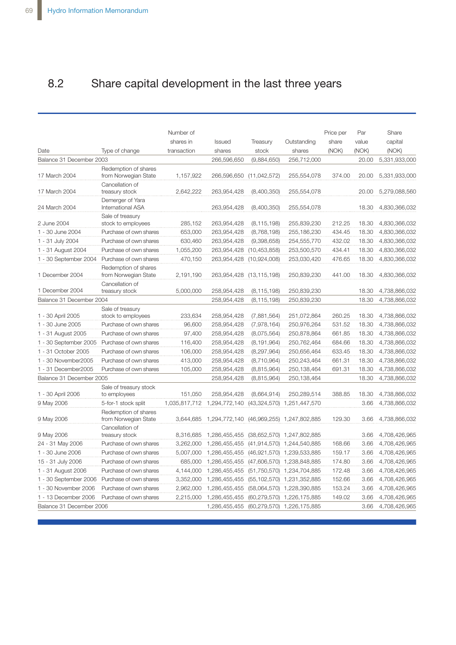# 8.2 Share capital development in the last three years

| Date                     | Type of change                               | Number of<br>shares in<br>transaction | Issued<br>shares | Treasury<br>stock        | Outstanding<br>shares           | Price per<br>share<br>(NOK) | Par<br>value<br>(NOK) | Share<br>capital<br>(NOK) |
|--------------------------|----------------------------------------------|---------------------------------------|------------------|--------------------------|---------------------------------|-----------------------------|-----------------------|---------------------------|
| Balance 31 December 2003 |                                              |                                       | 266,596,650      | (9,884,650)              | 256,712,000                     |                             | 20.00                 | 5,331,933,000             |
| 17 March 2004            | Redemption of shares<br>from Norwegian State | 1,157,922                             | 266,596,650      | (11, 042, 572)           | 255,554,078                     | 374.00                      | 20.00                 | 5,331,933,000             |
| 17 March 2004            | Cancellation of<br>treasury stock            | 2.642.222                             | 263,954,428      | (8,400,350)              | 255,554,078                     |                             | 20.00                 | 5,279,088,560             |
| 24 March 2004            | Demerger of Yara<br><b>International ASA</b> |                                       | 263,954,428      | (8,400,350)              | 255,554,078                     |                             | 18.30                 | 4,830,366,032             |
|                          | Sale of treasury                             |                                       |                  |                          |                                 |                             |                       |                           |
| 2 June 2004              | stock to employees                           | 285,152                               | 263,954,428      | (8, 115, 198)            | 255,839,230                     | 212.25                      | 18.30                 | 4,830,366,032             |
| 1 - 30 June 2004         | Purchase of own shares                       | 653,000                               | 263,954,428      | (8,768,198)              | 255,186,230                     | 434.45                      | 18.30                 | 4,830,366,032             |
| 1 - 31 July 2004         | Purchase of own shares                       | 630,460                               | 263,954,428      | (9,398,658)              | 254,555,770                     | 432.02                      | 18.30                 | 4,830,366,032             |
| 1 - 31 August 2004       | Purchase of own shares                       | 1,055,200                             | 263,954,428      | (10, 453, 858)           | 253,500,570                     | 434.41                      | 18.30                 | 4,830,366,032             |
| 1 - 30 September 2004    | Purchase of own shares                       | 470,150                               | 263,954,428      | (10,924,008)             | 253,030,420                     | 476.65                      | 18.30                 | 4,830,366,032             |
| 1 December 2004          | Redemption of shares<br>from Norwegian State | 2,191,190                             |                  | 263,954,428 (13,115,198) | 250,839,230                     | 441.00                      | 18.30                 | 4,830,366,032             |
| 1 December 2004          | Cancellation of<br>treasury stock            | 5,000,000                             | 258,954,428      | (8, 115, 198)            | 250,839,230                     |                             | 18.30                 | 4,738,866,032             |
| Balance 31 December 2004 |                                              |                                       | 258,954,428      | (8, 115, 198)            | 250,839,230                     |                             | 18.30                 | 4,738,866,032             |
| 1 - 30 April 2005        | Sale of treasury<br>stock to employees       | 233,634                               | 258,954,428      | (7,881,564)              | 251,072,864                     | 260.25                      | 18.30                 | 4,738,866,032             |
| 1 - 30 June 2005         | Purchase of own shares                       | 96,600                                | 258,954,428      | (7,978,164)              | 250,976,264                     | 531.52                      | 18.30                 | 4,738,866,032             |
| 1 - 31 August 2005       | Purchase of own shares                       | 97,400                                | 258,954,428      | (8,075,564)              | 250,878,864                     | 661.85                      | 18.30                 | 4,738,866,032             |
| 1 - 30 September 2005    | Purchase of own shares                       | 116,400                               | 258,954,428      | (8, 191, 964)            | 250,762,464                     | 684.66                      | 18.30                 | 4,738,866,032             |
| 1 - 31 October 2005      | Purchase of own shares                       | 106,000                               | 258,954,428      | (8, 297, 964)            | 250,656,464                     | 633.45                      | 18.30                 | 4,738,866,032             |
| 1 - 30 November 2005     | Purchase of own shares                       | 413,000                               | 258,954,428      | (8,710,964)              | 250,243,464                     | 661.31                      | 18.30                 | 4,738,866,032             |
| 1 - 31 December 2005     | Purchase of own shares                       | 105,000                               | 258,954,428      | (8,815,964)              | 250,138,464                     | 691.31                      | 18.30                 | 4,738,866,032             |
| Balance 31 December 2005 |                                              |                                       | 258,954,428      | (8,815,964)              | 250,138,464                     |                             | 18.30                 | 4,738,866,032             |
|                          | Sale of treasury stock                       |                                       |                  |                          |                                 |                             |                       |                           |
| 1 - 30 April 2006        | to employees                                 | 151,050                               | 258,954,428      | (8,664,914)              | 250,289,514                     | 388.85                      | 18.30                 | 4,738,866,032             |
| 9 May 2006               | 5-for-1 stock split                          | 1,035,817,712                         | 1,294,772,140    | (43, 324, 570)           | 1,251,447,570                   |                             | 3.66                  | 4,738,866,032             |
| 9 May 2006               | Redemption of shares<br>from Norwegian State | 3,644,685                             | 1,294,772,140    | (46,969,255)             | 1,247,802,885                   | 129.30                      | 3.66                  | 4,738,866,032             |
| 9 May 2006               | Cancellation of<br>treasury stock            | 8,316,685                             | 1,286,455,455    |                          | $(38,652,570)$ 1,247,802,885    |                             | 3.66                  | 4,708,426,965             |
| 24 - 31 May 2006         | Purchase of own shares                       | 3,262,000                             | 1,286,455,455    | (41, 914, 570)           | 1,244,540,885                   | 168.66                      | 3.66                  | 4,708,426,965             |
| 1 - 30 June 2006         | Purchase of own shares                       | 5,007,000                             | 1,286,455,455    |                          | (46,921,570) 1,239,533,885      | 159.17                      | 3.66                  | 4,708,426,965             |
| 15 - 31 July 2006        | Purchase of own shares                       | 685,000                               | 1,286,455,455    |                          | (47,606,570) 1,238,848,885      | 174.80                      | 3.66                  | 4,708,426,965             |
| 1 - 31 August 2006       | Purchase of own shares                       | 4,144,000                             | 1,286,455,455    |                          | (51,750,570) 1,234,704,885      | 172.48                      | 3.66                  | 4,708,426,965             |
| 1 - 30 September 2006    | Purchase of own shares                       | 3,352,000                             | 1,286,455,455    |                          | (55, 102, 570) 1, 231, 352, 885 | 152.66                      | 3.66                  | 4,708,426,965             |
| 1 - 30 November 2006     | Purchase of own shares                       | 2,962,000                             | 1,286,455,455    |                          | (58,064,570) 1,228,390,885      | 153.24                      | 3.66                  | 4,708,426,965             |
| 1 - 13 December 2006     | Purchase of own shares                       | 2,215,000                             | 1,286,455,455    | (60, 279, 570)           | 1,226,175,885                   | 149.02                      | 3.66                  | 4,708,426,965             |
| Balance 31 December 2006 |                                              |                                       | 1,286,455,455    |                          | (60,279,570) 1,226,175,885      |                             | 3.66                  | 4,708,426,965             |
|                          |                                              |                                       |                  |                          |                                 |                             |                       |                           |